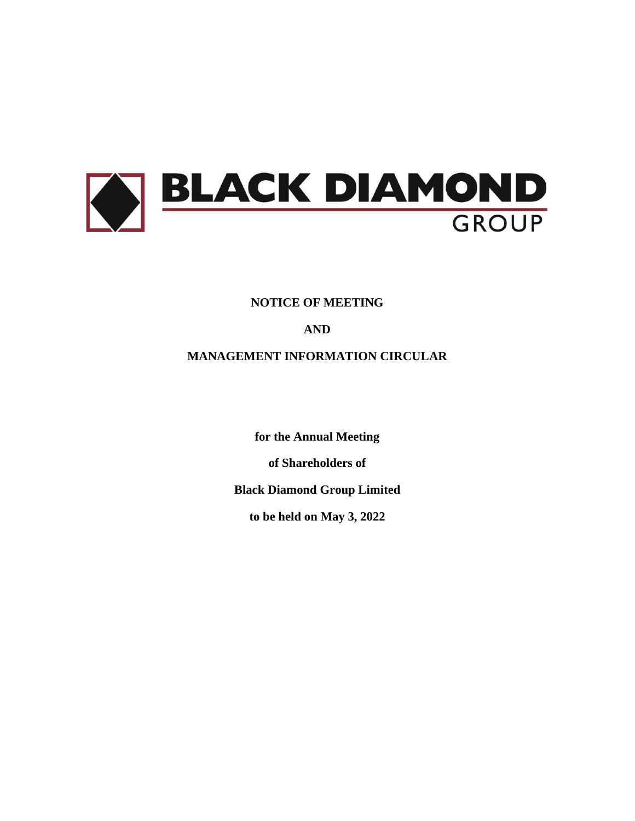

# **NOTICE OF MEETING**

# **AND**

# **MANAGEMENT INFORMATION CIRCULAR**

**for the Annual Meeting** 

**of Shareholders of**

**Black Diamond Group Limited**

**to be held on May 3, 2022**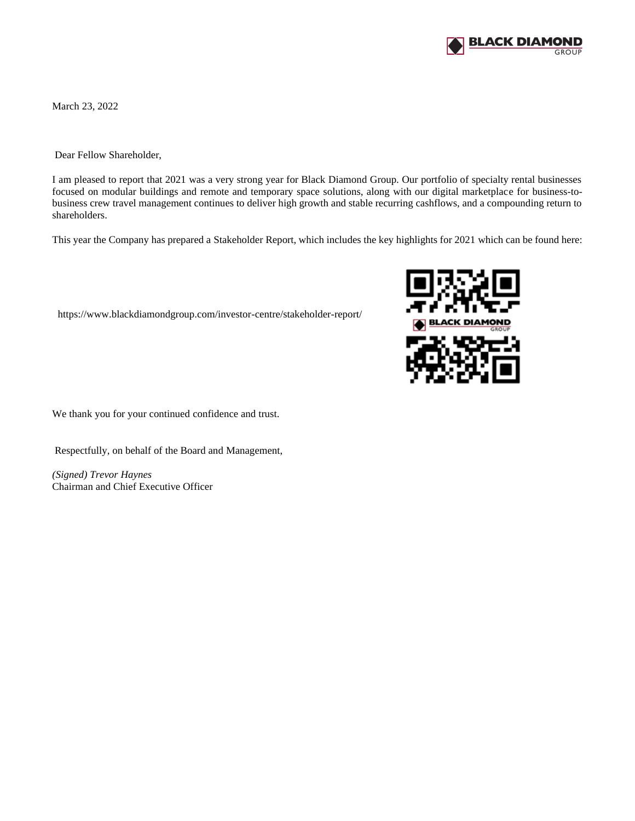

March 23, 2022

Dear Fellow Shareholder,

I am pleased to report that 2021 was a very strong year for Black Diamond Group. Our portfolio of specialty rental businesses focused on modular buildings and remote and temporary space solutions, along with our digital marketplace for business-tobusiness crew travel management continues to deliver high growth and stable recurring cashflows, and a compounding return to shareholders.

This year the Company has prepared a Stakeholder Report, which includes the key highlights for 2021 which can be found here:

<https://www.blackdiamondgroup.com/investor-centre/stakeholder-report/>



We thank you for your continued confidence and trust.

Respectfully, on behalf of the Board and Management,

*(Signed) Trevor Haynes* Chairman and Chief Executive Officer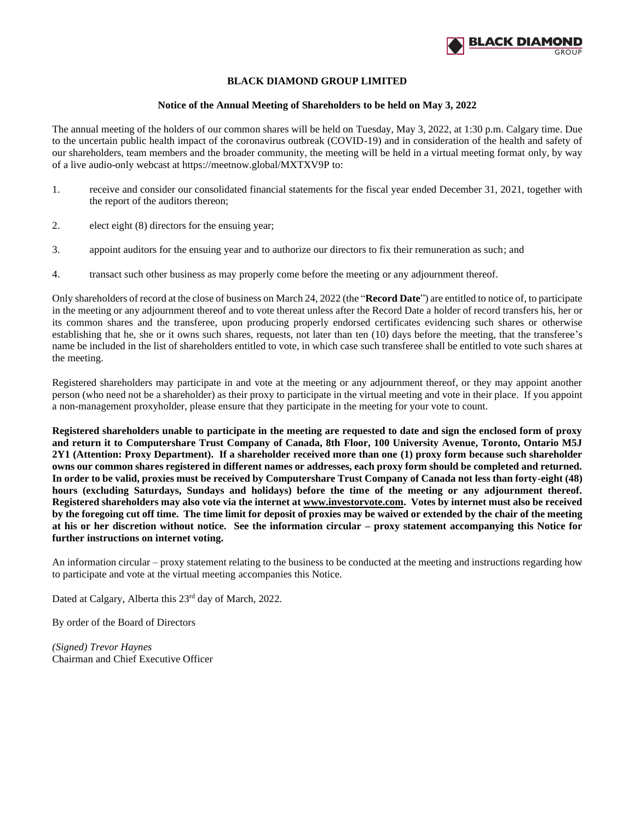

## **BLACK DIAMOND GROUP LIMITED**

### **Notice of the Annual Meeting of Shareholders to be held on May 3, 2022**

The annual meeting of the holders of our common shares will be held on Tuesday, May 3, 2022, at 1:30 p.m. Calgary time. Due to the uncertain public health impact of the coronavirus outbreak (COVID-19) and in consideration of the health and safety of our shareholders, team members and the broader community, the meeting will be held in a virtual meeting format only, by way of a live audio-only webcast at<https://meetnow.global/MXTXV9P> to:

- 1. receive and consider our consolidated financial statements for the fiscal year ended December 31, 2021, together with the report of the auditors thereon;
- 2. elect eight (8) directors for the ensuing year;
- 3. appoint auditors for the ensuing year and to authorize our directors to fix their remuneration as such; and
- 4. transact such other business as may properly come before the meeting or any adjournment thereof.

Only shareholders of record at the close of business on March 24, 2022 (the "**Record Date**") are entitled to notice of, to participate in the meeting or any adjournment thereof and to vote thereat unless after the Record Date a holder of record transfers his, her or its common shares and the transferee, upon producing properly endorsed certificates evidencing such shares or otherwise establishing that he, she or it owns such shares, requests, not later than ten (10) days before the meeting, that the transferee's name be included in the list of shareholders entitled to vote, in which case such transferee shall be entitled to vote such shares at the meeting.

Registered shareholders may participate in and vote at the meeting or any adjournment thereof, or they may appoint another person (who need not be a shareholder) as their proxy to participate in the virtual meeting and vote in their place. If you appoint a non-management proxyholder, please ensure that they participate in the meeting for your vote to count.

**Registered shareholders unable to participate in the meeting are requested to date and sign the enclosed form of proxy and return it to Computershare Trust Company of Canada, 8th Floor, 100 University Avenue, Toronto, Ontario M5J 2Y1 (Attention: Proxy Department). If a shareholder received more than one (1) proxy form because such shareholder owns our common shares registered in different names or addresses, each proxy form should be completed and returned. In order to be valid, proxies must be received by Computershare Trust Company of Canada not less than forty-eight (48) hours (excluding Saturdays, Sundays and holidays) before the time of the meeting or any adjournment thereof. Registered shareholders may also vote via the internet at www.investorvote.com. Votes by internet must also be received by the foregoing cut off time. The time limit for deposit of proxies may be waived or extended by the chair of the meeting at his or her discretion without notice. See the information circular – proxy statement accompanying this Notice for further instructions on internet voting.** 

An information circular – proxy statement relating to the business to be conducted at the meeting and instructions regarding how to participate and vote at the virtual meeting accompanies this Notice.

Dated at Calgary, Alberta this 23rd day of March, 2022.

By order of the Board of Directors

*(Signed) Trevor Haynes* Chairman and Chief Executive Officer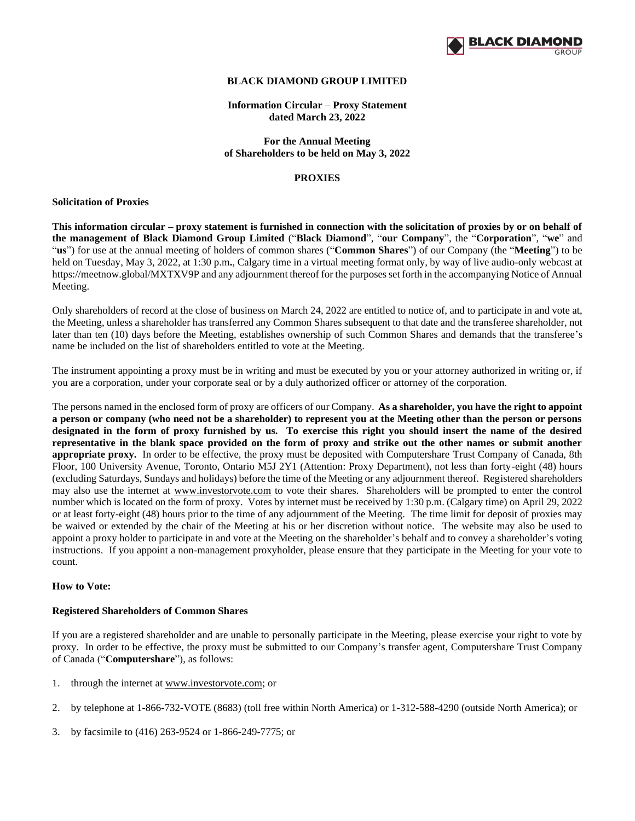

### **BLACK DIAMOND GROUP LIMITED**

**Information Circular** – **Proxy Statement dated March 23, 2022**

**For the Annual Meeting of Shareholders to be held on May 3, 2022**

### **PROXIES**

#### **Solicitation of Proxies**

**This information circular – proxy statement is furnished in connection with the solicitation of proxies by or on behalf of the management of Black Diamond Group Limited** ("**Black Diamond**", "**our Company**", the "**Corporation**", "**we**" and "**us**") for use at the annual meeting of holders of common shares ("**Common Shares**") of our Company (the "**Meeting**") to be held on Tuesday, May 3, 2022, at 1:30 p.m**.**, Calgary time in a virtual meeting format only, by way of live audio-only webcast at <https://meetnow.global/MXTXV9P> and any adjournment thereof for the purposes set forth in the accompanying Notice of Annual Meeting.

Only shareholders of record at the close of business on March 24, 2022 are entitled to notice of, and to participate in and vote at, the Meeting, unless a shareholder has transferred any Common Shares subsequent to that date and the transferee shareholder, not later than ten (10) days before the Meeting, establishes ownership of such Common Shares and demands that the transferee's name be included on the list of shareholders entitled to vote at the Meeting.

The instrument appointing a proxy must be in writing and must be executed by you or your attorney authorized in writing or, if you are a corporation, under your corporate seal or by a duly authorized officer or attorney of the corporation.

The persons named in the enclosed form of proxy are officers of our Company. **As a shareholder, you have the right to appoint a person or company (who need not be a shareholder) to represent you at the Meeting other than the person or persons designated in the form of proxy furnished by us. To exercise this right you should insert the name of the desired representative in the blank space provided on the form of proxy and strike out the other names or submit another appropriate proxy.** In order to be effective, the proxy must be deposited with Computershare Trust Company of Canada, 8th Floor, 100 University Avenue, Toronto, Ontario M5J 2Y1 (Attention: Proxy Department), not less than forty-eight (48) hours (excluding Saturdays, Sundays and holidays) before the time of the Meeting or any adjournment thereof. Registered shareholders may also use the internet at www.investorvote.com to vote their shares. Shareholders will be prompted to enter the control number which is located on the form of proxy. Votes by internet must be received by 1:30 p.m. (Calgary time) on April 29, 2022 or at least forty-eight (48) hours prior to the time of any adjournment of the Meeting. The time limit for deposit of proxies may be waived or extended by the chair of the Meeting at his or her discretion without notice. The website may also be used to appoint a proxy holder to participate in and vote at the Meeting on the shareholder's behalf and to convey a shareholder's voting instructions. If you appoint a non-management proxyholder, please ensure that they participate in the Meeting for your vote to count.

### **How to Vote:**

### **Registered Shareholders of Common Shares**

If you are a registered shareholder and are unable to personally participate in the Meeting, please exercise your right to vote by proxy. In order to be effective, the proxy must be submitted to our Company's transfer agent, Computershare Trust Company of Canada ("**Computershare**"), as follows:

- 1. through the internet at www.investorvote.com; or
- 2. by telephone at 1-866-732-VOTE (8683) (toll free within North America) or 1-312-588-4290 (outside North America); or
- 3. by facsimile to (416) 263-9524 or 1-866-249-7775; or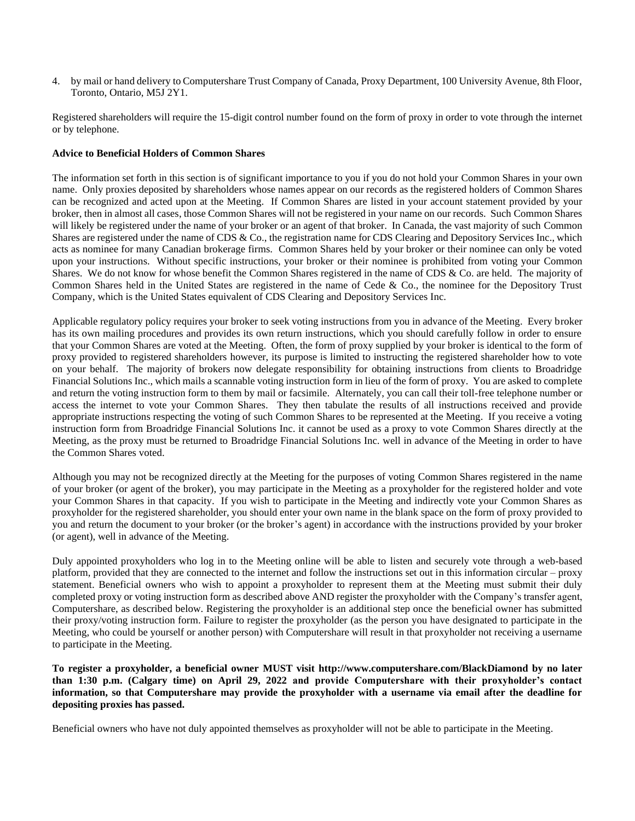4. by mail or hand delivery to Computershare Trust Company of Canada, Proxy Department, 100 University Avenue, 8th Floor, Toronto, Ontario, M5J 2Y1.

Registered shareholders will require the 15-digit control number found on the form of proxy in order to vote through the internet or by telephone.

## **Advice to Beneficial Holders of Common Shares**

The information set forth in this section is of significant importance to you if you do not hold your Common Shares in your own name. Only proxies deposited by shareholders whose names appear on our records as the registered holders of Common Shares can be recognized and acted upon at the Meeting. If Common Shares are listed in your account statement provided by your broker, then in almost all cases, those Common Shares will not be registered in your name on our records. Such Common Shares will likely be registered under the name of your broker or an agent of that broker. In Canada, the vast majority of such Common Shares are registered under the name of CDS & Co., the registration name for CDS Clearing and Depository Services Inc., which acts as nominee for many Canadian brokerage firms. Common Shares held by your broker or their nominee can only be voted upon your instructions. Without specific instructions, your broker or their nominee is prohibited from voting your Common Shares. We do not know for whose benefit the Common Shares registered in the name of CDS & Co. are held. The majority of Common Shares held in the United States are registered in the name of Cede & Co., the nominee for the Depository Trust Company, which is the United States equivalent of CDS Clearing and Depository Services Inc.

Applicable regulatory policy requires your broker to seek voting instructions from you in advance of the Meeting. Every broker has its own mailing procedures and provides its own return instructions, which you should carefully follow in order to ensure that your Common Shares are voted at the Meeting. Often, the form of proxy supplied by your broker is identical to the form of proxy provided to registered shareholders however, its purpose is limited to instructing the registered shareholder how to vote on your behalf. The majority of brokers now delegate responsibility for obtaining instructions from clients to Broadridge Financial Solutions Inc., which mails a scannable voting instruction form in lieu of the form of proxy. You are asked to complete and return the voting instruction form to them by mail or facsimile. Alternately, you can call their toll-free telephone number or access the internet to vote your Common Shares. They then tabulate the results of all instructions received and provide appropriate instructions respecting the voting of such Common Shares to be represented at the Meeting. If you receive a voting instruction form from Broadridge Financial Solutions Inc. it cannot be used as a proxy to vote Common Shares directly at the Meeting, as the proxy must be returned to Broadridge Financial Solutions Inc. well in advance of the Meeting in order to have the Common Shares voted.

Although you may not be recognized directly at the Meeting for the purposes of voting Common Shares registered in the name of your broker (or agent of the broker), you may participate in the Meeting as a proxyholder for the registered holder and vote your Common Shares in that capacity. If you wish to participate in the Meeting and indirectly vote your Common Shares as proxyholder for the registered shareholder, you should enter your own name in the blank space on the form of proxy provided to you and return the document to your broker (or the broker's agent) in accordance with the instructions provided by your broker (or agent), well in advance of the Meeting.

Duly appointed proxyholders who log in to the Meeting online will be able to listen and securely vote through a web-based platform, provided that they are connected to the internet and follow the instructions set out in this information circular – proxy statement. Beneficial owners who wish to appoint a proxyholder to represent them at the Meeting must submit their duly completed proxy or voting instruction form as described above AND register the proxyholder with the Company's transfer agent, Computershare, as described below. Registering the proxyholder is an additional step once the beneficial owner has submitted their proxy/voting instruction form. Failure to register the proxyholder (as the person you have designated to participate in the Meeting, who could be yourself or another person) with Computershare will result in that proxyholder not receiving a username to participate in the Meeting.

**To register a proxyholder, a beneficial owner MUST visit<http://www.computershare.com/BlackDiamond> by no later than 1:30 p.m. (Calgary time) on April 29, 2022 and provide Computershare with their proxyholder's contact information, so that Computershare may provide the proxyholder with a username via email after the deadline for depositing proxies has passed.**

Beneficial owners who have not duly appointed themselves as proxyholder will not be able to participate in the Meeting.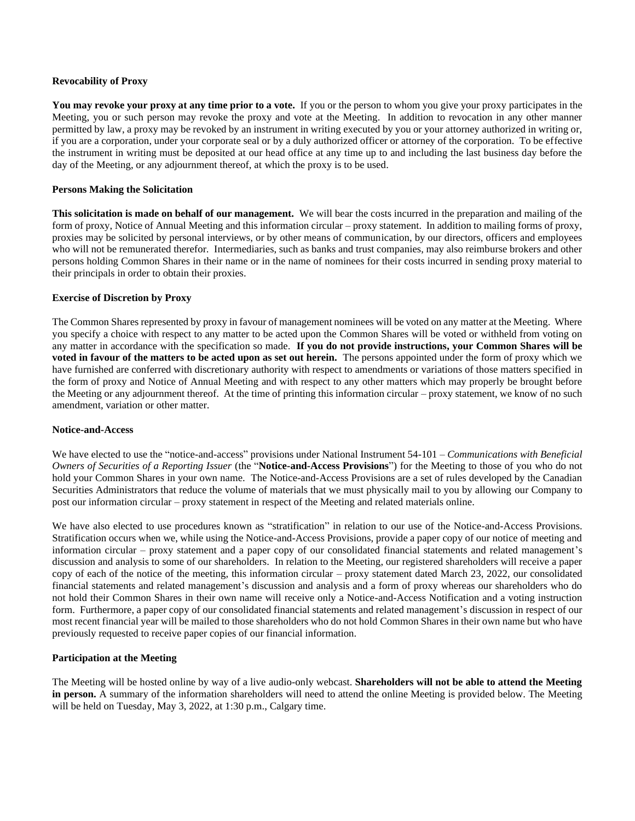### **Revocability of Proxy**

**You may revoke your proxy at any time prior to a vote.** If you or the person to whom you give your proxy participates in the Meeting, you or such person may revoke the proxy and vote at the Meeting. In addition to revocation in any other manner permitted by law, a proxy may be revoked by an instrument in writing executed by you or your attorney authorized in writing or, if you are a corporation, under your corporate seal or by a duly authorized officer or attorney of the corporation. To be effective the instrument in writing must be deposited at our head office at any time up to and including the last business day before the day of the Meeting, or any adjournment thereof, at which the proxy is to be used.

## **Persons Making the Solicitation**

**This solicitation is made on behalf of our management.** We will bear the costs incurred in the preparation and mailing of the form of proxy, Notice of Annual Meeting and this information circular – proxy statement. In addition to mailing forms of proxy, proxies may be solicited by personal interviews, or by other means of communication, by our directors, officers and employees who will not be remunerated therefor. Intermediaries, such as banks and trust companies, may also reimburse brokers and other persons holding Common Shares in their name or in the name of nominees for their costs incurred in sending proxy material to their principals in order to obtain their proxies.

## **Exercise of Discretion by Proxy**

The Common Shares represented by proxy in favour of management nominees will be voted on any matter at the Meeting. Where you specify a choice with respect to any matter to be acted upon the Common Shares will be voted or withheld from voting on any matter in accordance with the specification so made. **If you do not provide instructions, your Common Shares will be voted in favour of the matters to be acted upon as set out herein.** The persons appointed under the form of proxy which we have furnished are conferred with discretionary authority with respect to amendments or variations of those matters specified in the form of proxy and Notice of Annual Meeting and with respect to any other matters which may properly be brought before the Meeting or any adjournment thereof. At the time of printing this information circular – proxy statement, we know of no such amendment, variation or other matter.

### **Notice-and-Access**

We have elected to use the "notice-and-access" provisions under National Instrument 54-101 – *Communications with Beneficial Owners of Securities of a Reporting Issuer* (the "**Notice-and-Access Provisions**") for the Meeting to those of you who do not hold your Common Shares in your own name. The Notice-and-Access Provisions are a set of rules developed by the Canadian Securities Administrators that reduce the volume of materials that we must physically mail to you by allowing our Company to post our information circular – proxy statement in respect of the Meeting and related materials online.

We have also elected to use procedures known as "stratification" in relation to our use of the Notice-and-Access Provisions. Stratification occurs when we, while using the Notice-and-Access Provisions, provide a paper copy of our notice of meeting and information circular – proxy statement and a paper copy of our consolidated financial statements and related management's discussion and analysis to some of our shareholders. In relation to the Meeting, our registered shareholders will receive a paper copy of each of the notice of the meeting, this information circular – proxy statement dated March 23, 2022, our consolidated financial statements and related management's discussion and analysis and a form of proxy whereas our shareholders who do not hold their Common Shares in their own name will receive only a Notice-and-Access Notification and a voting instruction form. Furthermore, a paper copy of our consolidated financial statements and related management's discussion in respect of our most recent financial year will be mailed to those shareholders who do not hold Common Shares in their own name but who have previously requested to receive paper copies of our financial information.

## **Participation at the Meeting**

The Meeting will be hosted online by way of a live audio-only webcast. **Shareholders will not be able to attend the Meeting in person.** A summary of the information shareholders will need to attend the online Meeting is provided below. The Meeting will be held on Tuesday, May 3, 2022, at 1:30 p.m., Calgary time.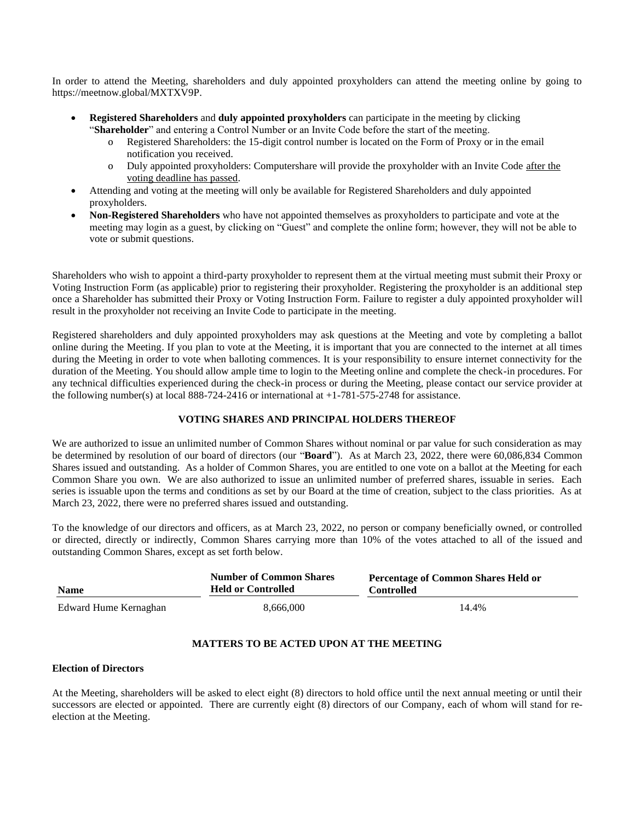In order to attend the Meeting, shareholders and duly appointed proxyholders can attend the meeting online by going to [https://meetnow.global/MXTXV9P.](https://meetnow.global/MXTXV9P) 

- **Registered Shareholders** and **duly appointed proxyholders** can participate in the meeting by clicking "**Shareholder**" and entering a Control Number or an Invite Code before the start of the meeting.
	- o Registered Shareholders: the 15-digit control number is located on the Form of Proxy or in the email notification you received.
	- o Duly appointed proxyholders: Computershare will provide the proxyholder with an Invite Code after the voting deadline has passed.
- Attending and voting at the meeting will only be available for Registered Shareholders and duly appointed proxyholders.
- **Non-Registered Shareholders** who have not appointed themselves as proxyholders to participate and vote at the meeting may login as a guest, by clicking on "Guest" and complete the online form; however, they will not be able to vote or submit questions.

Shareholders who wish to appoint a third-party proxyholder to represent them at the virtual meeting must submit their Proxy or Voting Instruction Form (as applicable) prior to registering their proxyholder. Registering the proxyholder is an additional step once a Shareholder has submitted their Proxy or Voting Instruction Form. Failure to register a duly appointed proxyholder will result in the proxyholder not receiving an Invite Code to participate in the meeting.

Registered shareholders and duly appointed proxyholders may ask questions at the Meeting and vote by completing a ballot online during the Meeting. If you plan to vote at the Meeting, it is important that you are connected to the internet at all times during the Meeting in order to vote when balloting commences. It is your responsibility to ensure internet connectivity for the duration of the Meeting. You should allow ample time to login to the Meeting online and complete the check-in procedures. For any technical difficulties experienced during the check-in process or during the Meeting, please contact our service provider at the following number(s) at local 888-724-2416 or international at +1-781-575-2748 for assistance.

## **VOTING SHARES AND PRINCIPAL HOLDERS THEREOF**

We are authorized to issue an unlimited number of Common Shares without nominal or par value for such consideration as may be determined by resolution of our board of directors (our "**Board**"). As at March 23, 2022, there were 60,086,834 Common Shares issued and outstanding. As a holder of Common Shares, you are entitled to one vote on a ballot at the Meeting for each Common Share you own. We are also authorized to issue an unlimited number of preferred shares, issuable in series. Each series is issuable upon the terms and conditions as set by our Board at the time of creation, subject to the class priorities. As at March 23, 2022, there were no preferred shares issued and outstanding.

To the knowledge of our directors and officers, as at March 23, 2022, no person or company beneficially owned, or controlled or directed, directly or indirectly, Common Shares carrying more than 10% of the votes attached to all of the issued and outstanding Common Shares, except as set forth below.

| <b>Name</b>           | <b>Number of Common Shares</b><br><b>Held or Controlled</b> | <b>Percentage of Common Shares Held or</b><br><b>Controlled</b> |
|-----------------------|-------------------------------------------------------------|-----------------------------------------------------------------|
| Edward Hume Kernaghan | 8.666.000                                                   | 14.4%                                                           |

## **MATTERS TO BE ACTED UPON AT THE MEETING**

### **Election of Directors**

At the Meeting, shareholders will be asked to elect eight (8) directors to hold office until the next annual meeting or until their successors are elected or appointed. There are currently eight (8) directors of our Company, each of whom will stand for reelection at the Meeting.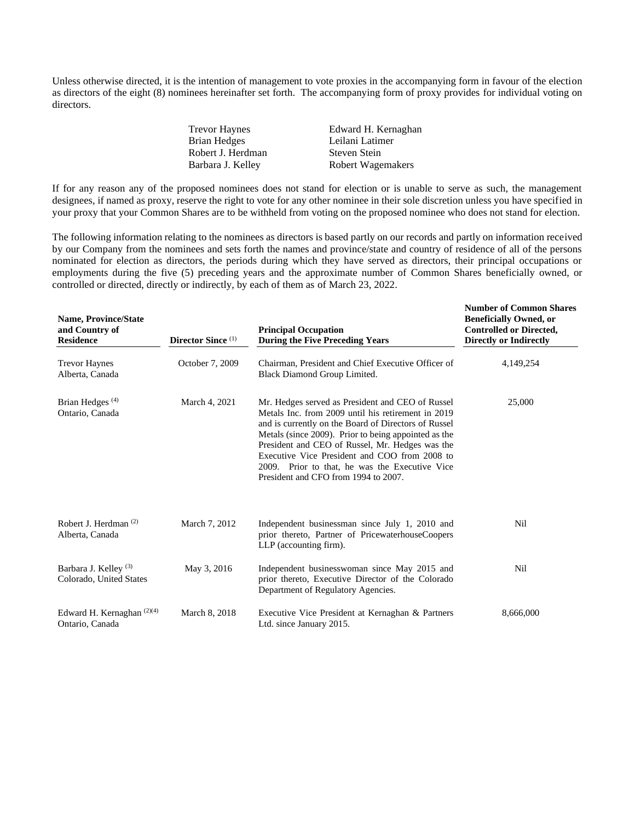Unless otherwise directed, it is the intention of management to vote proxies in the accompanying form in favour of the election as directors of the eight (8) nominees hereinafter set forth. The accompanying form of proxy provides for individual voting on directors.

| <b>Trevor Haynes</b> | Edward H. Kernaghan |
|----------------------|---------------------|
| Brian Hedges         | Leilani Latimer     |
| Robert J. Herdman    | <b>Steven Stein</b> |
| Barbara J. Kelley    | Robert Wagemakers   |

If for any reason any of the proposed nominees does not stand for election or is unable to serve as such, the management designees, if named as proxy, reserve the right to vote for any other nominee in their sole discretion unless you have specified in your proxy that your Common Shares are to be withheld from voting on the proposed nominee who does not stand for election.

The following information relating to the nominees as directors is based partly on our records and partly on information received by our Company from the nominees and sets forth the names and province/state and country of residence of all of the persons nominated for election as directors, the periods during which they have served as directors, their principal occupations or employments during the five (5) preceding years and the approximate number of Common Shares beneficially owned, or controlled or directed, directly or indirectly, by each of them as of March 23, 2022.

| <b>Name, Province/State</b><br>and Country of<br><b>Residence</b> | Director Since <sup>(1)</sup> | <b>Principal Occupation</b><br><b>During the Five Preceding Years</b>                                                                                                                                                                                                                                                                                                                                                | <b>Number of Common Shares</b><br><b>Beneficially Owned, or</b><br><b>Controlled or Directed,</b><br><b>Directly or Indirectly</b> |
|-------------------------------------------------------------------|-------------------------------|----------------------------------------------------------------------------------------------------------------------------------------------------------------------------------------------------------------------------------------------------------------------------------------------------------------------------------------------------------------------------------------------------------------------|------------------------------------------------------------------------------------------------------------------------------------|
| <b>Trevor Haynes</b><br>Alberta, Canada                           | October 7, 2009               | Chairman, President and Chief Executive Officer of<br>Black Diamond Group Limited.                                                                                                                                                                                                                                                                                                                                   | 4,149,254                                                                                                                          |
| Brian Hedges <sup>(4)</sup><br>Ontario, Canada                    | March 4, 2021                 | Mr. Hedges served as President and CEO of Russel<br>Metals Inc. from 2009 until his retirement in 2019<br>and is currently on the Board of Directors of Russel<br>Metals (since 2009). Prior to being appointed as the<br>President and CEO of Russel, Mr. Hedges was the<br>Executive Vice President and COO from 2008 to<br>2009. Prior to that, he was the Executive Vice<br>President and CFO from 1994 to 2007. | 25,000                                                                                                                             |
| Robert J. Herdman <sup>(2)</sup><br>Alberta, Canada               | March 7, 2012                 | Independent businessman since July 1, 2010 and<br>prior thereto, Partner of PricewaterhouseCoopers<br>LLP (accounting firm).                                                                                                                                                                                                                                                                                         | Nil                                                                                                                                |
| Barbara J. Kelley <sup>(3)</sup><br>Colorado, United States       | May 3, 2016                   | Independent businesswoman since May 2015 and<br>prior thereto, Executive Director of the Colorado<br>Department of Regulatory Agencies.                                                                                                                                                                                                                                                                              | Nil                                                                                                                                |
| Edward H. Kernaghan <sup>(2)(4)</sup><br>Ontario, Canada          | March 8, 2018                 | Executive Vice President at Kernaghan & Partners<br>Ltd. since January 2015.                                                                                                                                                                                                                                                                                                                                         | 8,666,000                                                                                                                          |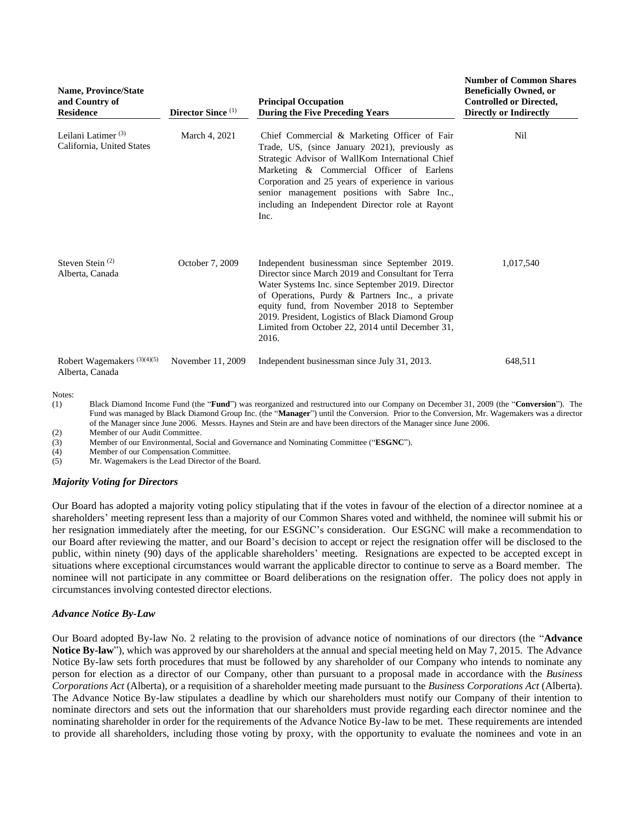| <b>Name, Province/State</b><br>and Country of<br><b>Residence</b> | Director Since <sup>(1)</sup> | <b>Principal Occupation</b><br><b>During the Five Preceding Years</b>                                                                                                                                                                                                                                                                                                         | <b>Number of Common Shares</b><br><b>Beneficially Owned, or</b><br><b>Controlled or Directed,</b><br><b>Directly or Indirectly</b> |
|-------------------------------------------------------------------|-------------------------------|-------------------------------------------------------------------------------------------------------------------------------------------------------------------------------------------------------------------------------------------------------------------------------------------------------------------------------------------------------------------------------|------------------------------------------------------------------------------------------------------------------------------------|
| Leilani Latimer $(3)$<br>California, United States                | March 4, 2021                 | Chief Commercial & Marketing Officer of Fair<br>Trade, US, (since January 2021), previously as<br>Strategic Advisor of WallKom International Chief<br>Marketing & Commercial Officer of Earlens<br>Corporation and 25 years of experience in various<br>senior management positions with Sabre Inc.,<br>including an Independent Director role at Rayont<br>Inc.              | Nil                                                                                                                                |
| Steven Stein $(2)$<br>Alberta, Canada                             | October 7, 2009               | Independent businessman since September 2019.<br>Director since March 2019 and Consultant for Terra<br>Water Systems Inc. since September 2019. Director<br>of Operations, Purdy & Partners Inc., a private<br>equity fund, from November 2018 to September<br>2019. President, Logistics of Black Diamond Group<br>Limited from October 22, 2014 until December 31,<br>2016. | 1,017,540                                                                                                                          |
| Robert Wagemakers <sup>(3)(4)(5)</sup><br>Alberta, Canada         | November 11, 2009             | Independent businessman since July 31, 2013.                                                                                                                                                                                                                                                                                                                                  | 648,511                                                                                                                            |

(1) Black Diamond Income Fund (the "**Fund**") was reorganized and restructured into our Company on December 31, 2009 (the "**Conversion**"). The Fund was managed by Black Diamond Group Inc. (the "**Manager**") until the Conversion. Prior to the Conversion, Mr. Wagemakers was a director of the Manager since June 2006. Messrs. Haynes and Stein are and have been directors of the Manager since June 2006.

(2) Member of our Audit Committee.

(3) Member of our Environmental, Social and Governance and Nominating Committee ("**ESGNC**").

(4) Member of our Compensation Committee.

(5) Mr. Wagemakers is the Lead Director of the Board.

### *Majority Voting for Directors*

Our Board has adopted a majority voting policy stipulating that if the votes in favour of the election of a director nominee at a shareholders' meeting represent less than a majority of our Common Shares voted and withheld, the nominee will submit his or her resignation immediately after the meeting, for our ESGNC's consideration. Our ESGNC will make a recommendation to our Board after reviewing the matter, and our Board's decision to accept or reject the resignation offer will be disclosed to the public, within ninety (90) days of the applicable shareholders' meeting. Resignations are expected to be accepted except in situations where exceptional circumstances would warrant the applicable director to continue to serve as a Board member. The nominee will not participate in any committee or Board deliberations on the resignation offer. The policy does not apply in circumstances involving contested director elections.

### *Advance Notice By-Law*

Our Board adopted By-law No. 2 relating to the provision of advance notice of nominations of our directors (the "**Advance Notice By-law**"), which was approved by our shareholders at the annual and special meeting held on May 7, 2015. The Advance Notice By-law sets forth procedures that must be followed by any shareholder of our Company who intends to nominate any person for election as a director of our Company, other than pursuant to a proposal made in accordance with the *Business Corporations Act* (Alberta), or a requisition of a shareholder meeting made pursuant to the *Business Corporations Act* (Alberta). The Advance Notice By-law stipulates a deadline by which our shareholders must notify our Company of their intention to nominate directors and sets out the information that our shareholders must provide regarding each director nominee and the nominating shareholder in order for the requirements of the Advance Notice By-law to be met. These requirements are intended to provide all shareholders, including those voting by proxy, with the opportunity to evaluate the nominees and vote in an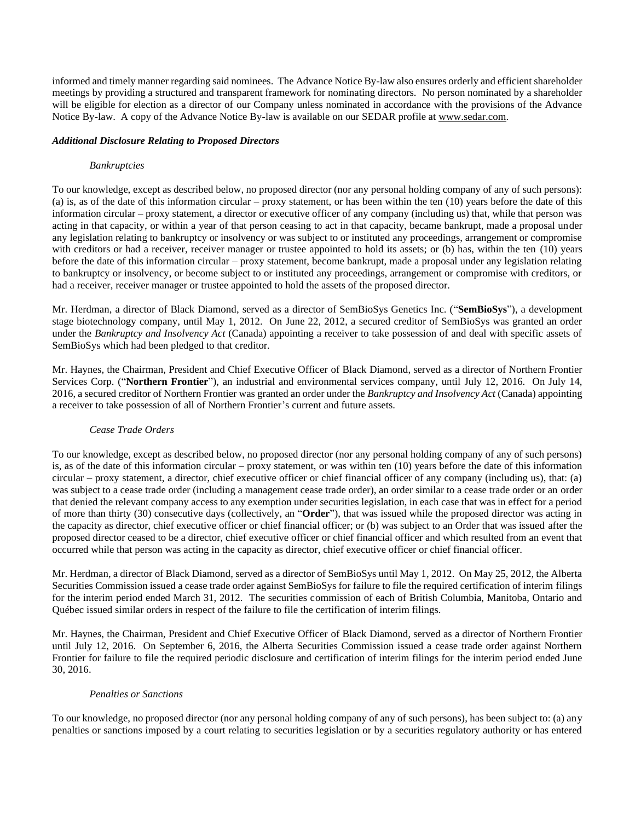informed and timely manner regarding said nominees. The Advance Notice By-law also ensures orderly and efficient shareholder meetings by providing a structured and transparent framework for nominating directors. No person nominated by a shareholder will be eligible for election as a director of our Company unless nominated in accordance with the provisions of the Advance Notice By-law. A copy of the Advance Notice By-law is available on our SEDAR profile at www.sedar.com.

## *Additional Disclosure Relating to Proposed Directors*

## *Bankruptcies*

To our knowledge, except as described below, no proposed director (nor any personal holding company of any of such persons): (a) is, as of the date of this information circular – proxy statement, or has been within the ten (10) years before the date of this information circular – proxy statement, a director or executive officer of any company (including us) that, while that person was acting in that capacity, or within a year of that person ceasing to act in that capacity, became bankrupt, made a proposal under any legislation relating to bankruptcy or insolvency or was subject to or instituted any proceedings, arrangement or compromise with creditors or had a receiver, receiver manager or trustee appointed to hold its assets; or (b) has, within the ten (10) years before the date of this information circular – proxy statement, become bankrupt, made a proposal under any legislation relating to bankruptcy or insolvency, or become subject to or instituted any proceedings, arrangement or compromise with creditors, or had a receiver, receiver manager or trustee appointed to hold the assets of the proposed director.

Mr. Herdman, a director of Black Diamond, served as a director of SemBioSys Genetics Inc. ("**SemBioSys**"), a development stage biotechnology company, until May 1, 2012. On June 22, 2012, a secured creditor of SemBioSys was granted an order under the *Bankruptcy and Insolvency Act* (Canada) appointing a receiver to take possession of and deal with specific assets of SemBioSys which had been pledged to that creditor.

Mr. Haynes, the Chairman, President and Chief Executive Officer of Black Diamond, served as a director of Northern Frontier Services Corp. ("**Northern Frontier**"), an industrial and environmental services company, until July 12, 2016. On July 14, 2016, a secured creditor of Northern Frontier was granted an order under the *Bankruptcy and Insolvency Act* (Canada) appointing a receiver to take possession of all of Northern Frontier's current and future assets.

### *Cease Trade Orders*

To our knowledge, except as described below, no proposed director (nor any personal holding company of any of such persons) is, as of the date of this information circular – proxy statement, or was within ten (10) years before the date of this information circular – proxy statement, a director, chief executive officer or chief financial officer of any company (including us), that: (a) was subject to a cease trade order (including a management cease trade order), an order similar to a cease trade order or an order that denied the relevant company access to any exemption under securities legislation, in each case that was in effect for a period of more than thirty (30) consecutive days (collectively, an "**Order**"), that was issued while the proposed director was acting in the capacity as director, chief executive officer or chief financial officer; or (b) was subject to an Order that was issued after the proposed director ceased to be a director, chief executive officer or chief financial officer and which resulted from an event that occurred while that person was acting in the capacity as director, chief executive officer or chief financial officer.

Mr. Herdman, a director of Black Diamond, served as a director of SemBioSys until May 1, 2012. On May 25, 2012, the Alberta Securities Commission issued a cease trade order against SemBioSys for failure to file the required certification of interim filings for the interim period ended March 31, 2012. The securities commission of each of British Columbia, Manitoba, Ontario and Québec issued similar orders in respect of the failure to file the certification of interim filings.

Mr. Haynes, the Chairman, President and Chief Executive Officer of Black Diamond, served as a director of Northern Frontier until July 12, 2016. On September 6, 2016, the Alberta Securities Commission issued a cease trade order against Northern Frontier for failure to file the required periodic disclosure and certification of interim filings for the interim period ended June 30, 2016.

### *Penalties or Sanctions*

To our knowledge, no proposed director (nor any personal holding company of any of such persons), has been subject to: (a) any penalties or sanctions imposed by a court relating to securities legislation or by a securities regulatory authority or has entered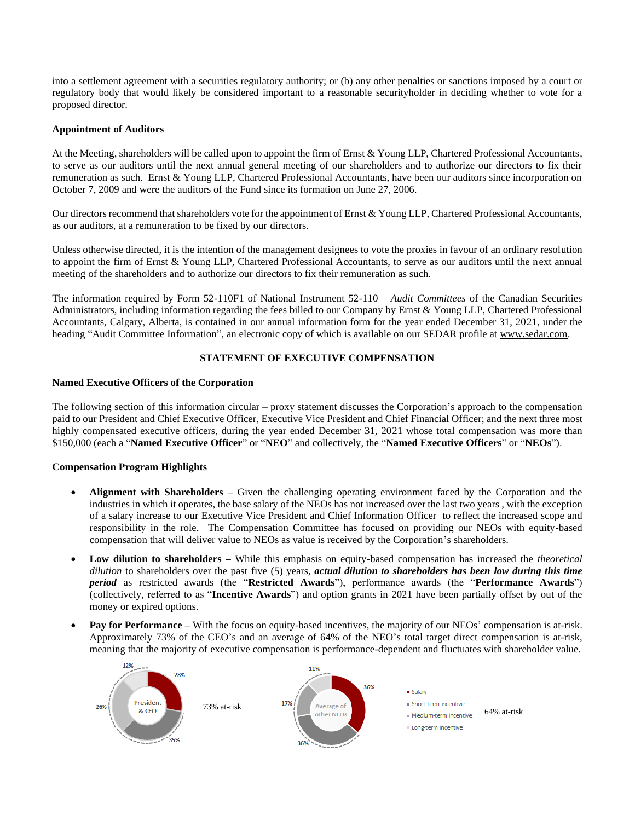into a settlement agreement with a securities regulatory authority; or (b) any other penalties or sanctions imposed by a court or regulatory body that would likely be considered important to a reasonable securityholder in deciding whether to vote for a proposed director.

## **Appointment of Auditors**

At the Meeting, shareholders will be called upon to appoint the firm of Ernst & Young LLP, Chartered Professional Accountants, to serve as our auditors until the next annual general meeting of our shareholders and to authorize our directors to fix their remuneration as such. Ernst & Young LLP, Chartered Professional Accountants, have been our auditors since incorporation on October 7, 2009 and were the auditors of the Fund since its formation on June 27, 2006.

Our directors recommend that shareholders vote for the appointment of Ernst & Young LLP, Chartered Professional Accountants, as our auditors, at a remuneration to be fixed by our directors.

Unless otherwise directed, it is the intention of the management designees to vote the proxies in favour of an ordinary resolution to appoint the firm of Ernst & Young LLP, Chartered Professional Accountants, to serve as our auditors until the next annual meeting of the shareholders and to authorize our directors to fix their remuneration as such.

The information required by Form 52-110F1 of National Instrument 52-110 – *Audit Committees* of the Canadian Securities Administrators, including information regarding the fees billed to our Company by Ernst & Young LLP, Chartered Professional Accountants, Calgary, Alberta, is contained in our annual information form for the year ended December 31, 2021, under the heading "Audit Committee Information", an electronic copy of which is available on our SEDAR profile at www.sedar.com.

## **STATEMENT OF EXECUTIVE COMPENSATION**

## **Named Executive Officers of the Corporation**

The following section of this information circular – proxy statement discusses the Corporation's approach to the compensation paid to our President and Chief Executive Officer, Executive Vice President and Chief Financial Officer; and the next three most highly compensated executive officers, during the year ended December 31, 2021 whose total compensation was more than \$150,000 (each a "**Named Executive Officer**" or "**NEO**" and collectively, the "**Named Executive Officers**" or "**NEOs**").

## **Compensation Program Highlights**

- **Alignment with Shareholders –** Given the challenging operating environment faced by the Corporation and the industries in which it operates, the base salary of the NEOs has not increased over the last two years , with the exception of a salary increase to our Executive Vice President and Chief Information Officer to reflect the increased scope and responsibility in the role. The Compensation Committee has focused on providing our NEOs with equity-based compensation that will deliver value to NEOs as value is received by the Corporation's shareholders.
- **Low dilution to shareholders –** While this emphasis on equity-based compensation has increased the *theoretical dilution* to shareholders over the past five (5) years, *actual dilution to shareholders has been low during this time period* as restricted awards (the "**Restricted Awards**"), performance awards (the "**Performance Awards**") (collectively, referred to as "**Incentive Awards**") and option grants in 2021 have been partially offset by out of the money or expired options.
- **Pay for Performance –** With the focus on equity-based incentives, the majority of our NEOs' compensation is at-risk. Approximately 73% of the CEO's and an average of 64% of the NEO's total target direct compensation is at-risk, meaning that the majority of executive compensation is performance-dependent and fluctuates with shareholder value.

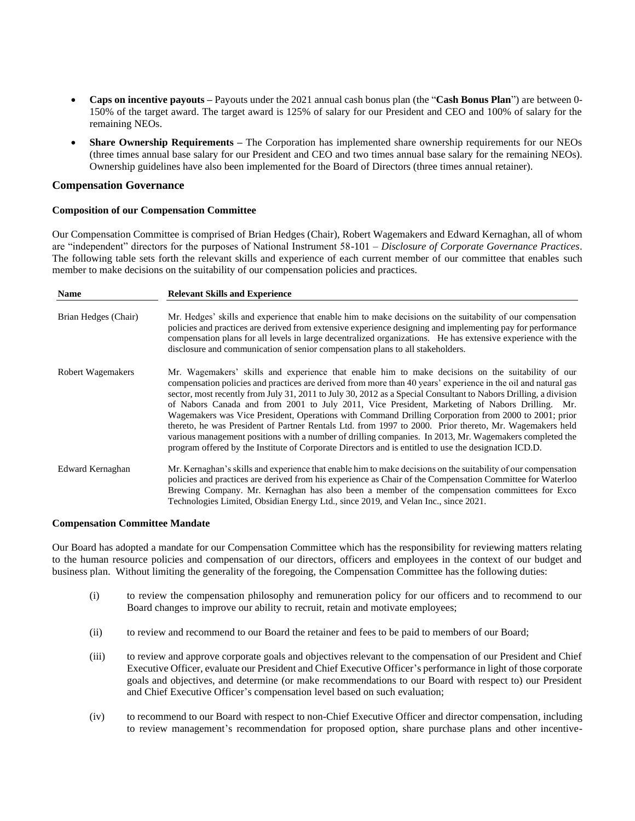- **Caps on incentive payouts –** Payouts under the 2021 annual cash bonus plan (the "**Cash Bonus Plan**") are between 0- 150% of the target award. The target award is 125% of salary for our President and CEO and 100% of salary for the remaining NEOs.
- **Share Ownership Requirements –** The Corporation has implemented share ownership requirements for our NEOs (three times annual base salary for our President and CEO and two times annual base salary for the remaining NEOs). Ownership guidelines have also been implemented for the Board of Directors (three times annual retainer).

## **Compensation Governance**

### **Composition of our Compensation Committee**

Our Compensation Committee is comprised of Brian Hedges (Chair), Robert Wagemakers and Edward Kernaghan, all of whom are "independent" directors for the purposes of National Instrument 58-101 – *Disclosure of Corporate Governance Practices*. The following table sets forth the relevant skills and experience of each current member of our committee that enables such member to make decisions on the suitability of our compensation policies and practices.

| <b>Name</b>          | <b>Relevant Skills and Experience</b>                                                                                                                                                                                                                                                                                                                                                                                                                                                                                                                                                                                                                                                                                                                                                                                                                                            |
|----------------------|----------------------------------------------------------------------------------------------------------------------------------------------------------------------------------------------------------------------------------------------------------------------------------------------------------------------------------------------------------------------------------------------------------------------------------------------------------------------------------------------------------------------------------------------------------------------------------------------------------------------------------------------------------------------------------------------------------------------------------------------------------------------------------------------------------------------------------------------------------------------------------|
| Brian Hedges (Chair) | Mr. Hedges' skills and experience that enable him to make decisions on the suitability of our compensation<br>policies and practices are derived from extensive experience designing and implementing pay for performance<br>compensation plans for all levels in large decentralized organizations. He has extensive experience with the<br>disclosure and communication of senior compensation plans to all stakeholders.                                                                                                                                                                                                                                                                                                                                                                                                                                                      |
| Robert Wagemakers    | Mr. Wagemakers' skills and experience that enable him to make decisions on the suitability of our<br>compensation policies and practices are derived from more than 40 years' experience in the oil and natural gas<br>sector, most recently from July 31, 2011 to July 30, 2012 as a Special Consultant to Nabors Drilling, a division<br>of Nabors Canada and from 2001 to July 2011, Vice President, Marketing of Nabors Drilling. Mr.<br>Wagemakers was Vice President, Operations with Command Drilling Corporation from 2000 to 2001; prior<br>thereto, he was President of Partner Rentals Ltd. from 1997 to 2000. Prior thereto, Mr. Wagemakers held<br>various management positions with a number of drilling companies. In 2013, Mr. Wagemakers completed the<br>program offered by the Institute of Corporate Directors and is entitled to use the designation ICD.D. |
| Edward Kernaghan     | Mr. Kernaghan's skills and experience that enable him to make decisions on the suitability of our compensation<br>policies and practices are derived from his experience as Chair of the Compensation Committee for Waterloo<br>Brewing Company. Mr. Kernaghan has also been a member of the compensation committees for Exco<br>Technologies Limited, Obsidian Energy Ltd., since 2019, and Velan Inc., since 2021.                                                                                                                                                                                                                                                                                                                                                                                                                                                             |

#### **Compensation Committee Mandate**

Our Board has adopted a mandate for our Compensation Committee which has the responsibility for reviewing matters relating to the human resource policies and compensation of our directors, officers and employees in the context of our budget and business plan. Without limiting the generality of the foregoing, the Compensation Committee has the following duties:

- (i) to review the compensation philosophy and remuneration policy for our officers and to recommend to our Board changes to improve our ability to recruit, retain and motivate employees;
- (ii) to review and recommend to our Board the retainer and fees to be paid to members of our Board;
- (iii) to review and approve corporate goals and objectives relevant to the compensation of our President and Chief Executive Officer, evaluate our President and Chief Executive Officer's performance in light of those corporate goals and objectives, and determine (or make recommendations to our Board with respect to) our President and Chief Executive Officer's compensation level based on such evaluation;
- (iv) to recommend to our Board with respect to non-Chief Executive Officer and director compensation, including to review management's recommendation for proposed option, share purchase plans and other incentive-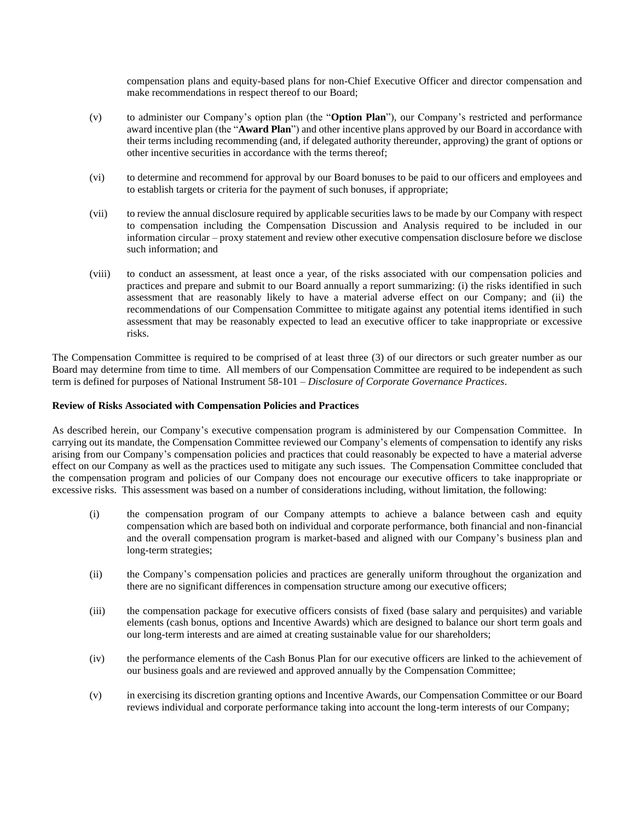compensation plans and equity-based plans for non-Chief Executive Officer and director compensation and make recommendations in respect thereof to our Board;

- (v) to administer our Company's option plan (the "**Option Plan**"), our Company's restricted and performance award incentive plan (the "**Award Plan**") and other incentive plans approved by our Board in accordance with their terms including recommending (and, if delegated authority thereunder, approving) the grant of options or other incentive securities in accordance with the terms thereof;
- (vi) to determine and recommend for approval by our Board bonuses to be paid to our officers and employees and to establish targets or criteria for the payment of such bonuses, if appropriate;
- (vii) to review the annual disclosure required by applicable securities laws to be made by our Company with respect to compensation including the Compensation Discussion and Analysis required to be included in our information circular – proxy statement and review other executive compensation disclosure before we disclose such information; and
- (viii) to conduct an assessment, at least once a year, of the risks associated with our compensation policies and practices and prepare and submit to our Board annually a report summarizing: (i) the risks identified in such assessment that are reasonably likely to have a material adverse effect on our Company; and (ii) the recommendations of our Compensation Committee to mitigate against any potential items identified in such assessment that may be reasonably expected to lead an executive officer to take inappropriate or excessive risks.

The Compensation Committee is required to be comprised of at least three (3) of our directors or such greater number as our Board may determine from time to time. All members of our Compensation Committee are required to be independent as such term is defined for purposes of National Instrument 58-101 – *Disclosure of Corporate Governance Practices*.

## **Review of Risks Associated with Compensation Policies and Practices**

As described herein, our Company's executive compensation program is administered by our Compensation Committee. In carrying out its mandate, the Compensation Committee reviewed our Company's elements of compensation to identify any risks arising from our Company's compensation policies and practices that could reasonably be expected to have a material adverse effect on our Company as well as the practices used to mitigate any such issues. The Compensation Committee concluded that the compensation program and policies of our Company does not encourage our executive officers to take inappropriate or excessive risks. This assessment was based on a number of considerations including, without limitation, the following:

- (i) the compensation program of our Company attempts to achieve a balance between cash and equity compensation which are based both on individual and corporate performance, both financial and non-financial and the overall compensation program is market-based and aligned with our Company's business plan and long-term strategies;
- (ii) the Company's compensation policies and practices are generally uniform throughout the organization and there are no significant differences in compensation structure among our executive officers;
- (iii) the compensation package for executive officers consists of fixed (base salary and perquisites) and variable elements (cash bonus, options and Incentive Awards) which are designed to balance our short term goals and our long-term interests and are aimed at creating sustainable value for our shareholders;
- (iv) the performance elements of the Cash Bonus Plan for our executive officers are linked to the achievement of our business goals and are reviewed and approved annually by the Compensation Committee;
- (v) in exercising its discretion granting options and Incentive Awards, our Compensation Committee or our Board reviews individual and corporate performance taking into account the long-term interests of our Company;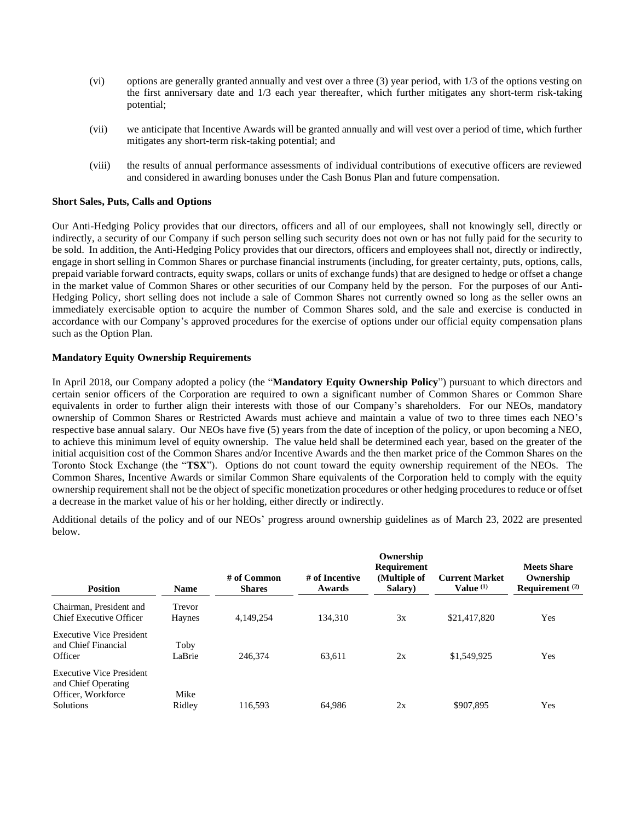- (vi) options are generally granted annually and vest over a three (3) year period, with 1/3 of the options vesting on the first anniversary date and 1/3 each year thereafter, which further mitigates any short-term risk-taking potential;
- (vii) we anticipate that Incentive Awards will be granted annually and will vest over a period of time, which further mitigates any short-term risk-taking potential; and
- (viii) the results of annual performance assessments of individual contributions of executive officers are reviewed and considered in awarding bonuses under the Cash Bonus Plan and future compensation.

### **Short Sales, Puts, Calls and Options**

Our Anti-Hedging Policy provides that our directors, officers and all of our employees, shall not knowingly sell, directly or indirectly, a security of our Company if such person selling such security does not own or has not fully paid for the security to be sold. In addition, the Anti-Hedging Policy provides that our directors, officers and employees shall not, directly or indirectly, engage in short selling in Common Shares or purchase financial instruments (including, for greater certainty, puts, options, calls, prepaid variable forward contracts, equity swaps, collars or units of exchange funds) that are designed to hedge or offset a change in the market value of Common Shares or other securities of our Company held by the person. For the purposes of our Anti-Hedging Policy, short selling does not include a sale of Common Shares not currently owned so long as the seller owns an immediately exercisable option to acquire the number of Common Shares sold, and the sale and exercise is conducted in accordance with our Company's approved procedures for the exercise of options under our official equity compensation plans such as the Option Plan.

## **Mandatory Equity Ownership Requirements**

In April 2018, our Company adopted a policy (the "**Mandatory Equity Ownership Policy**") pursuant to which directors and certain senior officers of the Corporation are required to own a significant number of Common Shares or Common Share equivalents in order to further align their interests with those of our Company's shareholders. For our NEOs, mandatory ownership of Common Shares or Restricted Awards must achieve and maintain a value of two to three times each NEO's respective base annual salary. Our NEOs have five (5) years from the date of inception of the policy, or upon becoming a NEO, to achieve this minimum level of equity ownership. The value held shall be determined each year, based on the greater of the initial acquisition cost of the Common Shares and/or Incentive Awards and the then market price of the Common Shares on the Toronto Stock Exchange (the "**TSX**"). Options do not count toward the equity ownership requirement of the NEOs. The Common Shares, Incentive Awards or similar Common Share equivalents of the Corporation held to comply with the equity ownership requirement shall not be the object of specific monetization procedures or other hedging procedures to reduce or offset a decrease in the market value of his or her holding, either directly or indirectly.

Additional details of the policy and of our NEOs' progress around ownership guidelines as of March 23, 2022 are presented below.

| <b>Position</b>                                                                                  | <b>Name</b>      | $#$ of Common<br><b>Shares</b> | # of Incentive<br>Awards | Ownership<br><b>Requirement</b><br>(Multiple of<br>Salary) | <b>Current Market</b><br>Value $(1)$ | <b>Meets Share</b><br>Ownership<br>Requirement $(2)$ |
|--------------------------------------------------------------------------------------------------|------------------|--------------------------------|--------------------------|------------------------------------------------------------|--------------------------------------|------------------------------------------------------|
| Chairman, President and<br>Chief Executive Officer                                               | Trevor<br>Haynes | 4,149,254                      | 134.310                  | 3x                                                         | \$21,417,820                         | Yes                                                  |
| <b>Executive Vice President</b><br>and Chief Financial<br>Officer                                | Toby<br>LaBrie   | 246,374                        | 63,611                   | 2x                                                         | \$1,549,925                          | Yes                                                  |
| <b>Executive Vice President</b><br>and Chief Operating<br>Officer, Workforce<br><b>Solutions</b> | Mike<br>Ridley   | 116.593                        | 64.986                   | 2x                                                         | \$907.895                            | Yes                                                  |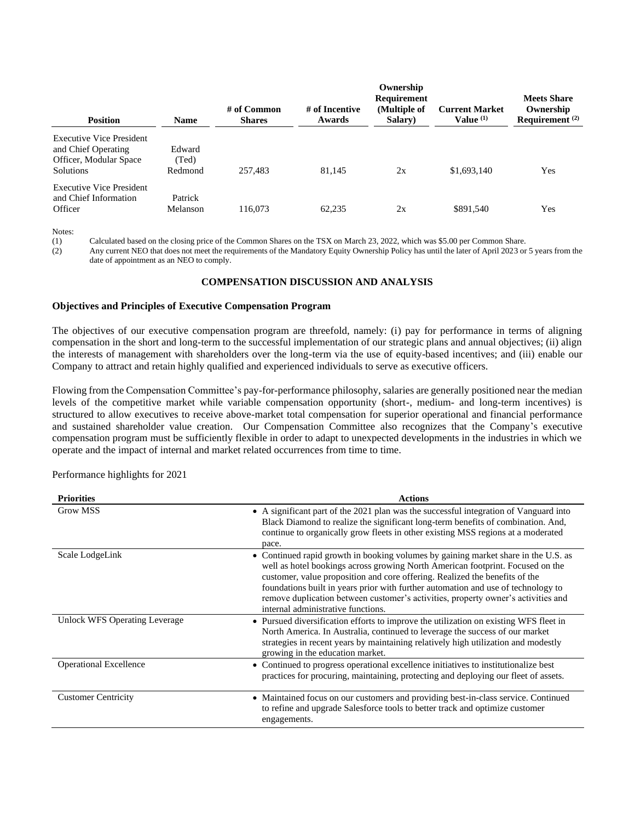| <b>Position</b>                                                                                      | <b>Name</b>                | $#$ of Common<br><b>Shares</b> | # of Incentive<br>Awards | Ownership<br>Requirement<br>(Multiple of<br><b>Salary</b> ) | <b>Current Market</b><br>Value $(1)$ | <b>Meets Share</b><br>Ownership<br>Requirement $(2)$ |
|------------------------------------------------------------------------------------------------------|----------------------------|--------------------------------|--------------------------|-------------------------------------------------------------|--------------------------------------|------------------------------------------------------|
| <b>Executive Vice President</b><br>and Chief Operating<br>Officer, Modular Space<br><b>Solutions</b> | Edward<br>(Ted)<br>Redmond | 257,483                        | 81.145                   | 2x                                                          | \$1,693,140                          | Yes                                                  |
| <b>Executive Vice President</b><br>and Chief Information<br>Officer                                  | Patrick<br>Melanson        | 116,073                        | 62.235                   | 2x                                                          | \$891.540                            | Yes                                                  |

(1) Calculated based on the closing price of the Common Shares on the TSX on March 23, 2022, which was \$5.00 per Common Share.

(2) Any current NEO that does not meet the requirements of the Mandatory Equity Ownership Policy has until the later of April 2023 or 5 years from the date of appointment as an NEO to comply.

## **COMPENSATION DISCUSSION AND ANALYSIS**

### **Objectives and Principles of Executive Compensation Program**

The objectives of our executive compensation program are threefold, namely: (i) pay for performance in terms of aligning compensation in the short and long-term to the successful implementation of our strategic plans and annual objectives; (ii) align the interests of management with shareholders over the long-term via the use of equity-based incentives; and (iii) enable our Company to attract and retain highly qualified and experienced individuals to serve as executive officers.

Flowing from the Compensation Committee's pay-for-performance philosophy, salaries are generally positioned near the median levels of the competitive market while variable compensation opportunity (short-, medium- and long-term incentives) is structured to allow executives to receive above-market total compensation for superior operational and financial performance and sustained shareholder value creation. Our Compensation Committee also recognizes that the Company's executive compensation program must be sufficiently flexible in order to adapt to unexpected developments in the industries in which we operate and the impact of internal and market related occurrences from time to time.

Performance highlights for 2021

| <b>Priorities</b>             | <b>Actions</b>                                                                                                                                                                                                                                                                                                                                                                                                                                                      |
|-------------------------------|---------------------------------------------------------------------------------------------------------------------------------------------------------------------------------------------------------------------------------------------------------------------------------------------------------------------------------------------------------------------------------------------------------------------------------------------------------------------|
| Grow MSS                      | • A significant part of the 2021 plan was the successful integration of Vanguard into<br>Black Diamond to realize the significant long-term benefits of combination. And,<br>continue to organically grow fleets in other existing MSS regions at a moderated<br>pace.                                                                                                                                                                                              |
| Scale LodgeLink               | • Continued rapid growth in booking volumes by gaining market share in the U.S. as<br>well as hotel bookings across growing North American footprint. Focused on the<br>customer, value proposition and core offering. Realized the benefits of the<br>foundations built in years prior with further automation and use of technology to<br>remove duplication between customer's activities, property owner's activities and<br>internal administrative functions. |
| Unlock WFS Operating Leverage | • Pursued diversification efforts to improve the utilization on existing WFS fleet in<br>North America. In Australia, continued to leverage the success of our market<br>strategies in recent years by maintaining relatively high utilization and modestly<br>growing in the education market.                                                                                                                                                                     |
| <b>Operational Excellence</b> | • Continued to progress operational excellence initiatives to institutionalize best<br>practices for procuring, maintaining, protecting and deploying our fleet of assets.                                                                                                                                                                                                                                                                                          |
| <b>Customer Centricity</b>    | • Maintained focus on our customers and providing best-in-class service. Continued<br>to refine and upgrade Salesforce tools to better track and optimize customer<br>engagements.                                                                                                                                                                                                                                                                                  |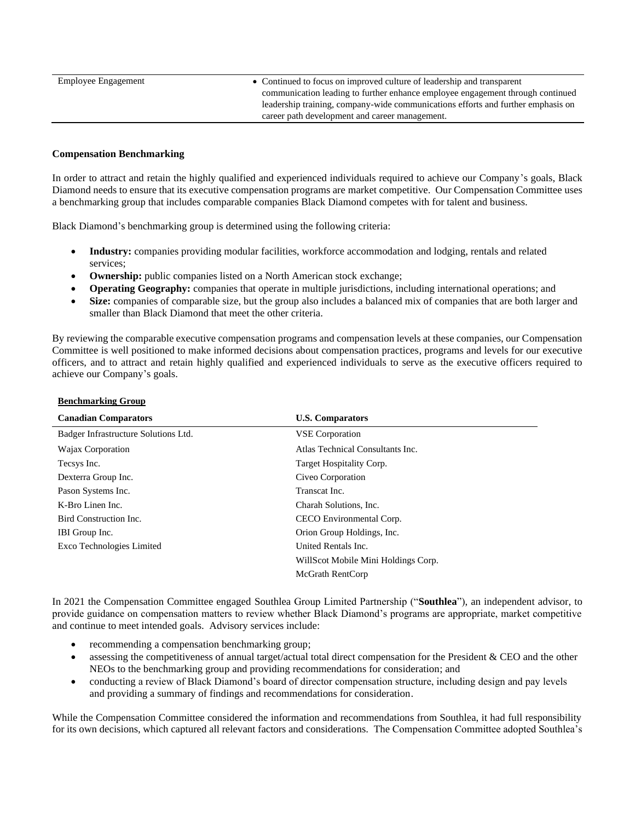Employee Engagement • Continued to focus on improved culture of leadership and transparent communication leading to further enhance employee engagement through continued leadership training, company-wide communications efforts and further emphasis on career path development and career management.

## **Compensation Benchmarking**

In order to attract and retain the highly qualified and experienced individuals required to achieve our Company's goals, Black Diamond needs to ensure that its executive compensation programs are market competitive. Our Compensation Committee uses a benchmarking group that includes comparable companies Black Diamond competes with for talent and business.

Black Diamond's benchmarking group is determined using the following criteria:

- **Industry:** companies providing modular facilities, workforce accommodation and lodging, rentals and related services;
- **Ownership:** public companies listed on a North American stock exchange;
- **Operating Geography:** companies that operate in multiple jurisdictions, including international operations; and
- **Size:** companies of comparable size, but the group also includes a balanced mix of companies that are both larger and smaller than Black Diamond that meet the other criteria.

By reviewing the comparable executive compensation programs and compensation levels at these companies, our Compensation Committee is well positioned to make informed decisions about compensation practices, programs and levels for our executive officers, and to attract and retain highly qualified and experienced individuals to serve as the executive officers required to achieve our Company's goals.

| Benchmarking Group |  |
|--------------------|--|
|                    |  |

| <b>Canadian Comparators</b>          | <b>U.S. Comparators</b>             |
|--------------------------------------|-------------------------------------|
| Badger Infrastructure Solutions Ltd. | <b>VSE</b> Corporation              |
| Wajax Corporation                    | Atlas Technical Consultants Inc.    |
| Tecsys Inc.                          | Target Hospitality Corp.            |
| Dexterra Group Inc.                  | Civeo Corporation                   |
| Pason Systems Inc.                   | Transcat Inc.                       |
| K-Bro Linen Inc.                     | Charah Solutions, Inc.              |
| Bird Construction Inc.               | CECO Environmental Corp.            |
| IBI Group Inc.                       | Orion Group Holdings, Inc.          |
| Exco Technologies Limited            | United Rentals Inc.                 |
|                                      | WillScot Mobile Mini Holdings Corp. |
|                                      | McGrath RentCorp                    |

In 2021 the Compensation Committee engaged Southlea Group Limited Partnership ("**Southlea**"), an independent advisor, to provide guidance on compensation matters to review whether Black Diamond's programs are appropriate, market competitive and continue to meet intended goals. Advisory services include:

- recommending a compensation benchmarking group;
- assessing the competitiveness of annual target/actual total direct compensation for the President & CEO and the other NEOs to the benchmarking group and providing recommendations for consideration; and
- conducting a review of Black Diamond's board of director compensation structure, including design and pay levels and providing a summary of findings and recommendations for consideration.

While the Compensation Committee considered the information and recommendations from Southlea, it had full responsibility for its own decisions, which captured all relevant factors and considerations. The Compensation Committee adopted Southlea's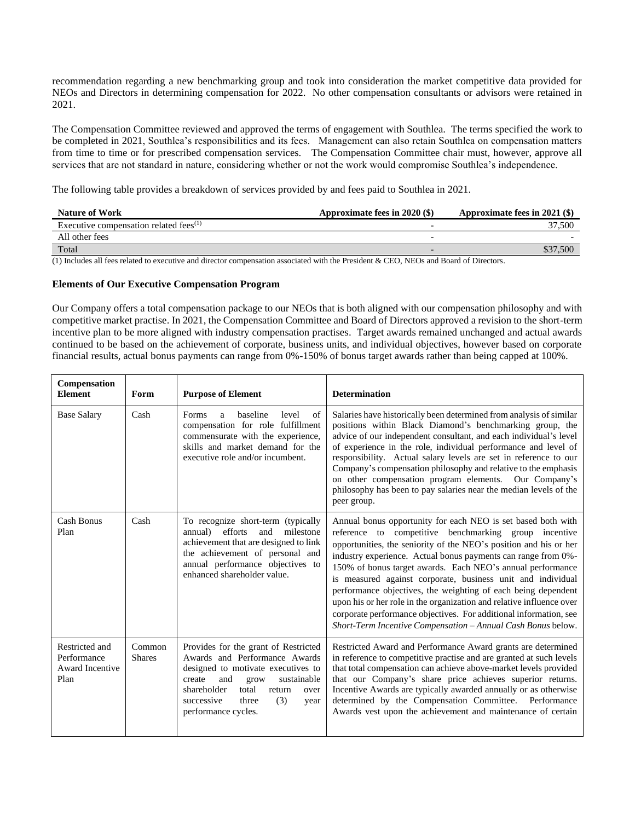recommendation regarding a new benchmarking group and took into consideration the market competitive data provided for NEOs and Directors in determining compensation for 2022. No other compensation consultants or advisors were retained in 2021.

The Compensation Committee reviewed and approved the terms of engagement with Southlea. The terms specified the work to be completed in 2021, Southlea's responsibilities and its fees. Management can also retain Southlea on compensation matters from time to time or for prescribed compensation services. The Compensation Committee chair must, however, approve all services that are not standard in nature, considering whether or not the work would compromise Southlea's independence.

The following table provides a breakdown of services provided by and fees paid to Southlea in 2021.

| <b>Nature of Work</b>                     | Approximate fees in 2020 (\$) | Approximate fees in $2021$ (\$) |
|-------------------------------------------|-------------------------------|---------------------------------|
| Executive compensation related fees $(1)$ |                               | 37.500                          |
| All other fees                            |                               |                                 |
| Total                                     |                               |                                 |

(1) Includes all fees related to executive and director compensation associated with the President & CEO, NEOs and Board of Directors.

### **Elements of Our Executive Compensation Program**

Our Company offers a total compensation package to our NEOs that is both aligned with our compensation philosophy and with competitive market practise. In 2021, the Compensation Committee and Board of Directors approved a revision to the short-term incentive plan to be more aligned with industry compensation practises. Target awards remained unchanged and actual awards continued to be based on the achievement of corporate, business units, and individual objectives, however based on corporate financial results, actual bonus payments can range from 0%-150% of bonus target awards rather than being capped at 100%.

| Compensation<br><b>Element</b>                           | Form                    | <b>Purpose of Element</b>                                                                                                                                                                                                                                  | <b>Determination</b>                                                                                                                                                                                                                                                                                                                                                                                                                                                                                                                                                                                                                                                   |
|----------------------------------------------------------|-------------------------|------------------------------------------------------------------------------------------------------------------------------------------------------------------------------------------------------------------------------------------------------------|------------------------------------------------------------------------------------------------------------------------------------------------------------------------------------------------------------------------------------------------------------------------------------------------------------------------------------------------------------------------------------------------------------------------------------------------------------------------------------------------------------------------------------------------------------------------------------------------------------------------------------------------------------------------|
| <b>Base Salary</b>                                       | Cash                    | Forms<br>baseline<br>level<br>of<br>a<br>compensation for role fulfillment<br>commensurate with the experience,<br>skills and market demand for the<br>executive role and/or incumbent.                                                                    | Salaries have historically been determined from analysis of similar<br>positions within Black Diamond's benchmarking group, the<br>advice of our independent consultant, and each individual's level<br>of experience in the role, individual performance and level of<br>responsibility. Actual salary levels are set in reference to our<br>Company's compensation philosophy and relative to the emphasis<br>on other compensation program elements. Our Company's<br>philosophy has been to pay salaries near the median levels of the<br>peer group.                                                                                                              |
| Cash Bonus<br>Plan                                       | Cash                    | To recognize short-term (typically<br>efforts<br>milestone<br>annual)<br>and<br>achievement that are designed to link<br>the achievement of personal and<br>annual performance objectives to<br>enhanced shareholder value.                                | Annual bonus opportunity for each NEO is set based both with<br>reference to competitive benchmarking group incentive<br>opportunities, the seniority of the NEO's position and his or her<br>industry experience. Actual bonus payments can range from 0%-<br>150% of bonus target awards. Each NEO's annual performance<br>is measured against corporate, business unit and individual<br>performance objectives, the weighting of each being dependent<br>upon his or her role in the organization and relative influence over<br>corporate performance objectives. For additional information, see<br>Short-Term Incentive Compensation - Annual Cash Bonus below. |
| Restricted and<br>Performance<br>Award Incentive<br>Plan | Common<br><b>Shares</b> | Provides for the grant of Restricted<br>Awards and Performance Awards<br>designed to motivate executives to<br>create<br>and<br>sustainable<br>grow<br>shareholder<br>total<br>return<br>over<br>(3)<br>successive<br>three<br>year<br>performance cycles. | Restricted Award and Performance Award grants are determined<br>in reference to competitive practise and are granted at such levels<br>that total compensation can achieve above-market levels provided<br>that our Company's share price achieves superior returns.<br>Incentive Awards are typically awarded annually or as otherwise<br>determined by the Compensation Committee. Performance<br>Awards vest upon the achievement and maintenance of certain                                                                                                                                                                                                        |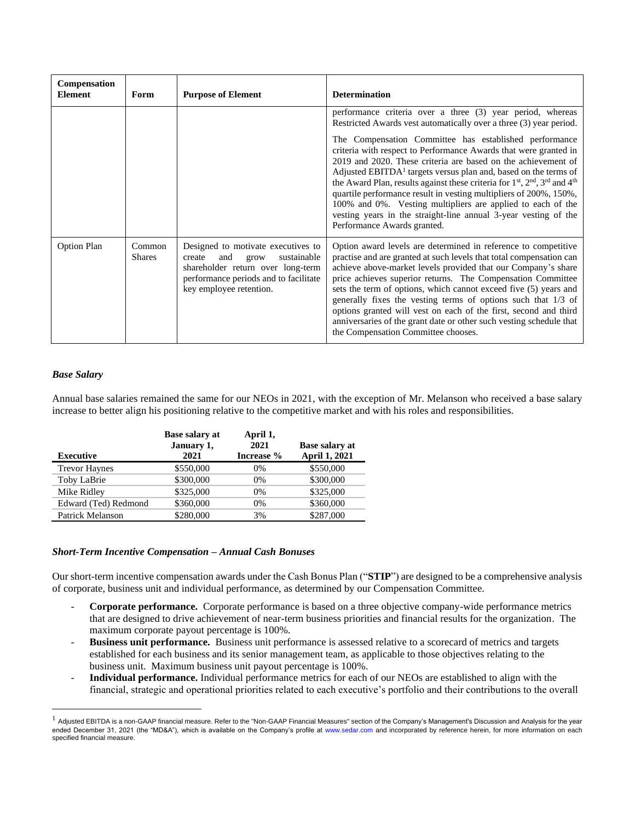| Compensation<br><b>Element</b> | Form                    | <b>Purpose of Element</b>                                                                                                                                                           | <b>Determination</b>                                                                                                                                                                                                                                                                                                                                                                                                                                                                                                                                                                                   |
|--------------------------------|-------------------------|-------------------------------------------------------------------------------------------------------------------------------------------------------------------------------------|--------------------------------------------------------------------------------------------------------------------------------------------------------------------------------------------------------------------------------------------------------------------------------------------------------------------------------------------------------------------------------------------------------------------------------------------------------------------------------------------------------------------------------------------------------------------------------------------------------|
|                                |                         |                                                                                                                                                                                     | performance criteria over a three (3) year period, whereas<br>Restricted Awards vest automatically over a three (3) year period.                                                                                                                                                                                                                                                                                                                                                                                                                                                                       |
|                                |                         |                                                                                                                                                                                     | The Compensation Committee has established performance<br>criteria with respect to Performance Awards that were granted in<br>2019 and 2020. These criteria are based on the achievement of<br>Adjusted EBITDA <sup>1</sup> targets versus plan and, based on the terms of<br>the Award Plan, results against these criteria for $1st$ , $2nd$ , $3rd$ and $4th$<br>quartile performance result in vesting multipliers of 200%, 150%,<br>100% and 0%. Vesting multipliers are applied to each of the<br>vesting years in the straight-line annual 3-year vesting of the<br>Performance Awards granted. |
| <b>Option Plan</b>             | Common<br><b>Shares</b> | Designed to motivate executives to<br>sustainable<br>and<br>create<br>grow<br>shareholder return over long-term<br>performance periods and to facilitate<br>key employee retention. | Option award levels are determined in reference to competitive<br>practise and are granted at such levels that total compensation can<br>achieve above-market levels provided that our Company's share<br>price achieves superior returns. The Compensation Committee<br>sets the term of options, which cannot exceed five (5) years and<br>generally fixes the vesting terms of options such that 1/3 of<br>options granted will vest on each of the first, second and third<br>anniversaries of the grant date or other such vesting schedule that<br>the Compensation Committee chooses.           |

## *Base Salary*

Annual base salaries remained the same for our NEOs in 2021, with the exception of Mr. Melanson who received a base salary increase to better align his positioning relative to the competitive market and with his roles and responsibilities.

|                      | <b>Base salary at</b><br>January 1, | April 1,<br>2021 | <b>Base salary at</b> |
|----------------------|-------------------------------------|------------------|-----------------------|
| <b>Executive</b>     | 2021                                | Increase %       | <b>April 1, 2021</b>  |
| <b>Trevor Haynes</b> | \$550,000                           | $0\%$            | \$550,000             |
| Toby LaBrie          | \$300,000                           | $0\%$            | \$300,000             |
| Mike Ridley          | \$325,000                           | $0\%$            | \$325,000             |
| Edward (Ted) Redmond | \$360,000                           | $0\%$            | \$360,000             |
| Patrick Melanson     | \$280,000                           | 3%               | \$287,000             |

### *Short-Term Incentive Compensation – Annual Cash Bonuses*

Our short-term incentive compensation awards under the Cash Bonus Plan ("**STIP**") are designed to be a comprehensive analysis of corporate, business unit and individual performance, as determined by our Compensation Committee.

- **Corporate performance.** Corporate performance is based on a three objective company-wide performance metrics that are designed to drive achievement of near-term business priorities and financial results for the organization. The maximum corporate payout percentage is 100%.
- **Business unit performance.** Business unit performance is assessed relative to a scorecard of metrics and targets established for each business and its senior management team, as applicable to those objectives relating to the business unit. Maximum business unit payout percentage is 100%.
- **Individual performance.** Individual performance metrics for each of our NEOs are established to align with the financial, strategic and operational priorities related to each executive's portfolio and their contributions to the overall

<sup>1</sup> Adjusted EBITDA is a non-GAAP financial measure. Refer to the "Non-GAAP Financial Measures" section of the Company's Management's Discussion and Analysis for the year ended December 31, 2021 (the "MD&A"), which is available on the Company's profile at www.sedar.com and incorporated by reference herein, for more information on each specified financial measure.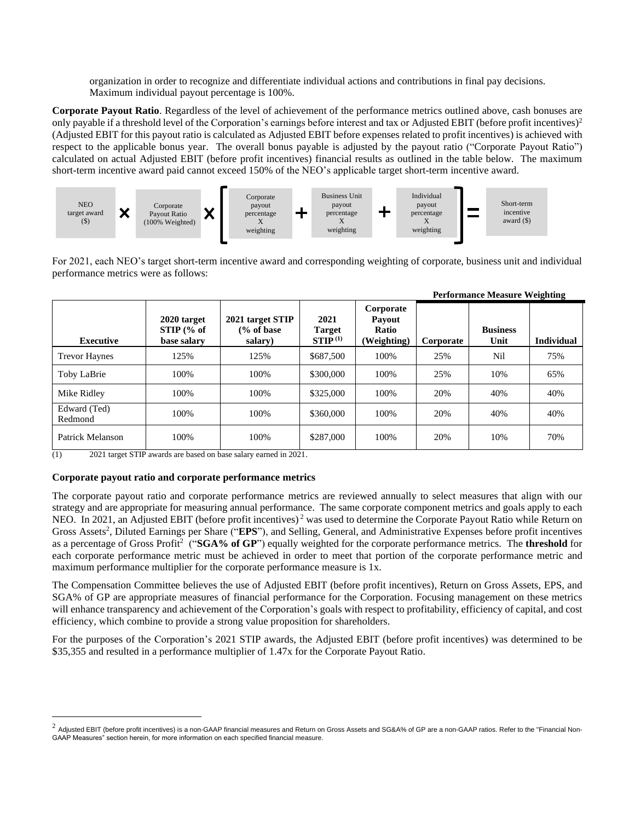organization in order to recognize and differentiate individual actions and contributions in final pay decisions. Maximum individual payout percentage is 100%.

**Corporate Payout Ratio**. Regardless of the level of achievement of the performance metrics outlined above, cash bonuses are only payable if a threshold level of the Corporation's earnings before interest and tax or Adjusted EBIT (before profit incentives)<sup>2</sup> (Adjusted EBIT for this payout ratio is calculated as Adjusted EBIT before expenses related to profit incentives) is achieved with respect to the applicable bonus year. The overall bonus payable is adjusted by the payout ratio ("Corporate Payout Ratio") calculated on actual Adjusted EBIT (before profit incentives) financial results as outlined in the table below. The maximum short-term incentive award paid cannot exceed 150% of the NEO's applicable target short-term incentive award.



For 2021, each NEO's target short-term incentive award and corresponding weighting of corporate, business unit and individual performance metrics were as follows:

**Performance Measure Weighting**

|                         |                                            |                                                      |                                              |                                             |           | Periormance measure weighting |                   |
|-------------------------|--------------------------------------------|------------------------------------------------------|----------------------------------------------|---------------------------------------------|-----------|-------------------------------|-------------------|
| <b>Executive</b>        | 2020 target<br>$STIP$ (% of<br>base salary | 2021 target STIP<br>$\frac{6}{6}$ of base<br>salary) | 2021<br><b>Target</b><br>STIP <sup>(1)</sup> | Corporate<br>Payout<br>Ratio<br>(Weighting) | Corporate | <b>Business</b><br>Unit       | <b>Individual</b> |
| <b>Trevor Haynes</b>    | 125%                                       | 125%                                                 | \$687,500                                    | 100%                                        | 25%       | Nil                           | 75%               |
| Toby LaBrie             | 100%                                       | 100%                                                 | \$300,000                                    | 100%                                        | 25%       | 10%                           | 65%               |
| Mike Ridley             | 100%                                       | 100%                                                 | \$325,000                                    | 100%                                        | 20%       | 40%                           | 40%               |
| Edward (Ted)<br>Redmond | 100%                                       | 100%                                                 | \$360,000                                    | 100%                                        | 20%       | 40%                           | 40%               |
| Patrick Melanson        | 100%                                       | 100%                                                 | \$287,000                                    | 100%                                        | 20%       | 10%                           | 70%               |

(1) 2021 target STIP awards are based on base salary earned in 2021.

## **Corporate payout ratio and corporate performance metrics**

The corporate payout ratio and corporate performance metrics are reviewed annually to select measures that align with our strategy and are appropriate for measuring annual performance. The same corporate component metrics and goals apply to each NEO. In 2021, an Adjusted EBIT (before profit incentives)<sup>2</sup> was used to determine the Corporate Payout Ratio while Return on Gross Assets<sup>2</sup>, Diluted Earnings per Share ("EPS"), and Selling, General, and Administrative Expenses before profit incentives as a percentage of Gross Profit<sup>2</sup> ("**SGA% of GP**") equally weighted for the corporate performance metrics. The **threshold** for each corporate performance metric must be achieved in order to meet that portion of the corporate performance metric and maximum performance multiplier for the corporate performance measure is 1x.

The Compensation Committee believes the use of Adjusted EBIT (before profit incentives), Return on Gross Assets, EPS, and SGA% of GP are appropriate measures of financial performance for the Corporation. Focusing management on these metrics will enhance transparency and achievement of the Corporation's goals with respect to profitability, efficiency of capital, and cost efficiency, which combine to provide a strong value proposition for shareholders.

For the purposes of the Corporation's 2021 STIP awards, the Adjusted EBIT (before profit incentives) was determined to be \$35,355 and resulted in a performance multiplier of 1.47x for the Corporate Payout Ratio.

 $^2$  Adjusted EBIT (before profit incentives) is a non-GAAP financial measures and Return on Gross Assets and SG&A% of GP are a non-GAAP ratios. Refer to the "Financial Non-GAAP Measures" section herein, for more information on each specified financial measure.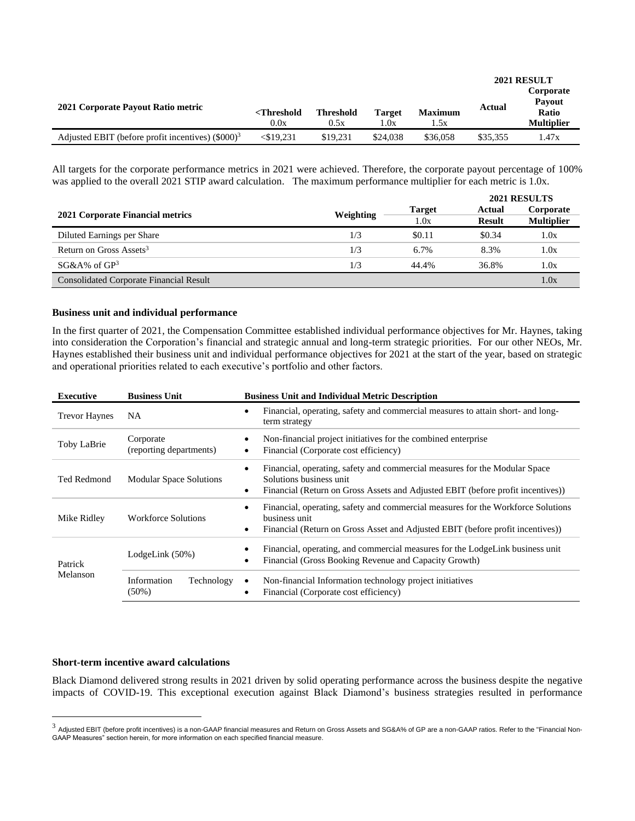|                                                      |                                   |                          |                       |                        | 2021 RESULT |                                                          |  |
|------------------------------------------------------|-----------------------------------|--------------------------|-----------------------|------------------------|-------------|----------------------------------------------------------|--|
| 2021 Corporate Payout Ratio metric                   | <threshold<br>0.0x</threshold<br> | <b>Threshold</b><br>0.5x | <b>Target</b><br>1.0x | <b>Maximum</b><br>1.5x | Actual      | Corporate<br><b>Payout</b><br>Ratio<br><b>Multiplier</b> |  |
| Adjusted EBIT (before profit incentives) $(\$000)^3$ | $<$ \$19,231                      | \$19.231                 | \$24,038              | \$36,058               | \$35,355    | 1.47x                                                    |  |

All targets for the corporate performance metrics in 2021 were achieved. Therefore, the corporate payout percentage of 100% was applied to the overall 2021 STIP award calculation. The maximum performance multiplier for each metric is 1.0x.

|                                                |           |                       | 2021 RESULTS            |                                |  |
|------------------------------------------------|-----------|-----------------------|-------------------------|--------------------------------|--|
| 2021 Corporate Financial metrics               | Weighting | <b>Target</b><br>1.0x | Actual<br><b>Result</b> | Corporate<br><b>Multiplier</b> |  |
| Diluted Earnings per Share                     | 1/3       | \$0.11                | \$0.34                  | 1.0x                           |  |
| Return on Gross Assets <sup>3</sup>            | 1/3       | $6.7\%$               | 8.3%                    | 1.0x                           |  |
| $SG&A\%$ of $GP3$                              | 1/3       | 44.4%                 | 36.8%                   | 1.0x                           |  |
| <b>Consolidated Corporate Financial Result</b> |           |                       |                         | 1.0x                           |  |

### **Business unit and individual performance**

In the first quarter of 2021, the Compensation Committee established individual performance objectives for Mr. Haynes, taking into consideration the Corporation's financial and strategic annual and long-term strategic priorities. For our other NEOs, Mr. Haynes established their business unit and individual performance objectives for 2021 at the start of the year, based on strategic and operational priorities related to each executive's portfolio and other factors.

| <b>Executive</b>     | <b>Business Unit</b>                  | <b>Business Unit and Individual Metric Description</b>                                                                                                                                                             |
|----------------------|---------------------------------------|--------------------------------------------------------------------------------------------------------------------------------------------------------------------------------------------------------------------|
| <b>Trevor Haynes</b> | NA.                                   | Financial, operating, safety and commercial measures to attain short- and long-<br>$\bullet$<br>term strategy                                                                                                      |
| Toby LaBrie          | Corporate<br>(reporting departments)  | Non-financial project initiatives for the combined enterprise<br>$\bullet$<br>Financial (Corporate cost efficiency)<br>$\bullet$                                                                                   |
| Ted Redmond          | <b>Modular Space Solutions</b>        | Financial, operating, safety and commercial measures for the Modular Space<br>$\bullet$<br>Solutions business unit<br>Financial (Return on Gross Assets and Adjusted EBIT (before profit incentives))<br>$\bullet$ |
| Mike Ridley          | <b>Workforce Solutions</b>            | Financial, operating, safety and commercial measures for the Workforce Solutions<br>$\bullet$<br>business unit<br>Financial (Return on Gross Asset and Adjusted EBIT (before profit incentives))<br>$\bullet$      |
| Patrick<br>Melanson  | LodgeLink $(50\%)$                    | Financial, operating, and commercial measures for the LodgeLink business unit<br>٠<br>Financial (Gross Booking Revenue and Capacity Growth)<br>$\bullet$                                                           |
|                      | Technology<br>Information<br>$(50\%)$ | Non-financial Information technology project initiatives<br>$\bullet$<br>Financial (Corporate cost efficiency)<br>٠                                                                                                |

### **Short-term incentive award calculations**

Black Diamond delivered strong results in 2021 driven by solid operating performance across the business despite the negative impacts of COVID-19. This exceptional execution against Black Diamond's business strategies resulted in performance

 $^3$  Adjusted EBIT (before profit incentives) is a non-GAAP financial measures and Return on Gross Assets and SG&A% of GP are a non-GAAP ratios. Refer to the "Financial Non-GAAP Measures" section herein, for more information on each specified financial measure.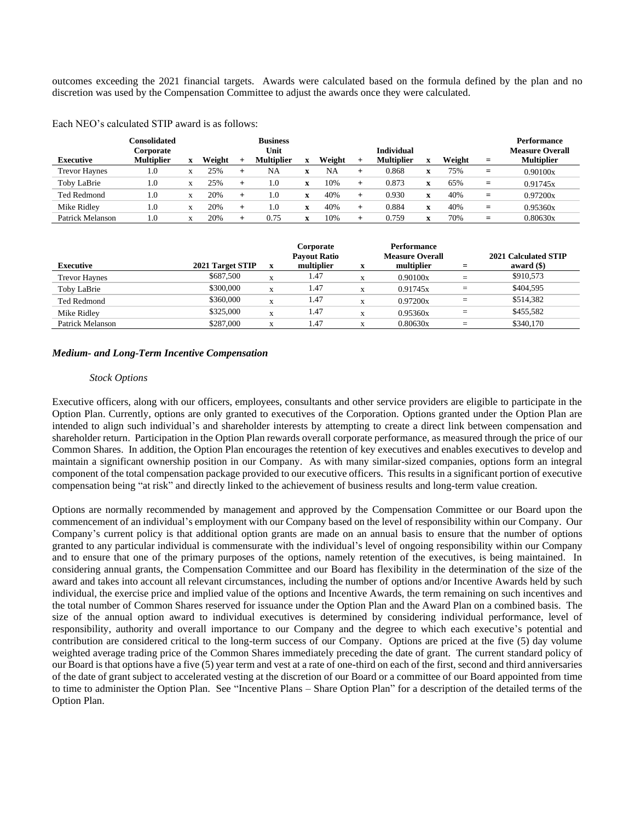outcomes exceeding the 2021 financial targets. Awards were calculated based on the formula defined by the plan and no discretion was used by the Compensation Committee to adjust the awards once they were calculated.

Each NEO's calculated STIP award is as follows:

| <b>Executive</b>     | Consolidated<br>Corporate<br><b>Multiplier</b> |              | Weight |        | <b>Business</b><br>Unit<br><b>Multiplier</b> | $\mathbf{v}$ | Weight |   | <b>Individual</b><br><b>Multiplier</b> |                           | Weight | $=$ | <b>Performance</b><br><b>Measure Overall</b><br><b>Multiplier</b> |
|----------------------|------------------------------------------------|--------------|--------|--------|----------------------------------------------|--------------|--------|---|----------------------------------------|---------------------------|--------|-----|-------------------------------------------------------------------|
| <b>Trevor Haynes</b> | 1.0                                            | $\mathbf{v}$ | 25%    | $\div$ | NA                                           |              | NA     |   | 0.868                                  | $\mathbf{v}$<br>$\lambda$ | 75%    | $=$ | 0.90100x                                                          |
| Toby LaBrie          | $1.0\,$                                        | $\mathbf{v}$ | 25%    |        | 1.0                                          | X            | 10%    | + | 0.873                                  | $\lambda$                 | 65%    | $=$ | 0.91745x                                                          |
| <b>Ted Redmond</b>   | $1.0\,$                                        | $\mathbf{v}$ | 20%    |        | 1.0                                          | $\mathbf{v}$ | 40%    | + | 0.930                                  | $\lambda$                 | 40%    | $=$ | 0.97200x                                                          |
| Mike Ridley          | $1.0\,$                                        | $\mathbf{v}$ | 20%    | $\div$ | 1.0                                          | $\mathbf{v}$ | 40%    | ┶ | 0.884                                  | $\mathbf{v}$<br>$\lambda$ | 40%    | $=$ | 0.95360x                                                          |
| Patrick Melanson     | $\cdot$ 0                                      |              | 20%    |        | 0.75                                         | xz.          | 10%    |   | 0.759                                  |                           | 70%    | $=$ | 0.80630x                                                          |

| <b>Executive</b>     | 2021 Target STIP | X            | Corporate<br><b>Payout Ratio</b><br>multiplier | X | <b>Performance</b><br><b>Measure Overall</b><br>multiplier | $=$ | 2021 Calculated STIP<br>award $($ ) |
|----------------------|------------------|--------------|------------------------------------------------|---|------------------------------------------------------------|-----|-------------------------------------|
| <b>Trevor Haynes</b> | \$687,500        | $\mathbf{v}$ | 1.47                                           | X | 0.90100x                                                   | $=$ | \$910,573                           |
| Toby LaBrie          | \$300,000        | X            | 1.47                                           | X | 0.91745x                                                   | $=$ | \$404,595                           |
| Ted Redmond          | \$360,000        | X            | 1.47                                           | X | 0.97200x                                                   | $=$ | \$514,382                           |
| Mike Ridley          | \$325,000        | $\mathbf{v}$ | 1.47                                           | X | 0.95360x                                                   | $=$ | \$455,582                           |
| Patrick Melanson     | \$287,000        | X            | 1.47                                           | A | 0.80630x                                                   | $=$ | \$340,170                           |

### *Medium- and Long-Term Incentive Compensation*

#### *Stock Options*

Executive officers, along with our officers, employees, consultants and other service providers are eligible to participate in the Option Plan. Currently, options are only granted to executives of the Corporation. Options granted under the Option Plan are intended to align such individual's and shareholder interests by attempting to create a direct link between compensation and shareholder return. Participation in the Option Plan rewards overall corporate performance, as measured through the price of our Common Shares. In addition, the Option Plan encourages the retention of key executives and enables executives to develop and maintain a significant ownership position in our Company. As with many similar-sized companies, options form an integral component of the total compensation package provided to our executive officers. This results in a significant portion of executive compensation being "at risk" and directly linked to the achievement of business results and long-term value creation.

Options are normally recommended by management and approved by the Compensation Committee or our Board upon the commencement of an individual's employment with our Company based on the level of responsibility within our Company. Our Company's current policy is that additional option grants are made on an annual basis to ensure that the number of options granted to any particular individual is commensurate with the individual's level of ongoing responsibility within our Company and to ensure that one of the primary purposes of the options, namely retention of the executives, is being maintained. In considering annual grants, the Compensation Committee and our Board has flexibility in the determination of the size of the award and takes into account all relevant circumstances, including the number of options and/or Incentive Awards held by such individual, the exercise price and implied value of the options and Incentive Awards, the term remaining on such incentives and the total number of Common Shares reserved for issuance under the Option Plan and the Award Plan on a combined basis. The size of the annual option award to individual executives is determined by considering individual performance, level of responsibility, authority and overall importance to our Company and the degree to which each executive's potential and contribution are considered critical to the long-term success of our Company. Options are priced at the five (5) day volume weighted average trading price of the Common Shares immediately preceding the date of grant. The current standard policy of our Board is that options have a five (5) year term and vest at a rate of one-third on each of the first, second and third anniversaries of the date of grant subject to accelerated vesting at the discretion of our Board or a committee of our Board appointed from time to time to administer the Option Plan. See "Incentive Plans – Share Option Plan" for a description of the detailed terms of the Option Plan.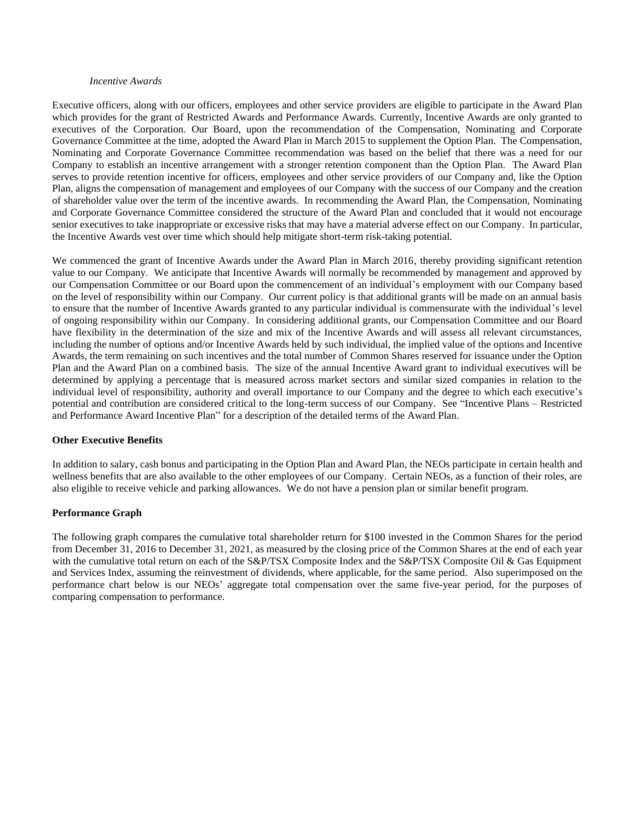#### *Incentive Awards*

Executive officers, along with our officers, employees and other service providers are eligible to participate in the Award Plan which provides for the grant of Restricted Awards and Performance Awards. Currently, Incentive Awards are only granted to executives of the Corporation. Our Board, upon the recommendation of the Compensation, Nominating and Corporate Governance Committee at the time, adopted the Award Plan in March 2015 to supplement the Option Plan. The Compensation, Nominating and Corporate Governance Committee recommendation was based on the belief that there was a need for our Company to establish an incentive arrangement with a stronger retention component than the Option Plan. The Award Plan serves to provide retention incentive for officers, employees and other service providers of our Company and, like the Option Plan, aligns the compensation of management and employees of our Company with the success of our Company and the creation of shareholder value over the term of the incentive awards. In recommending the Award Plan, the Compensation, Nominating and Corporate Governance Committee considered the structure of the Award Plan and concluded that it would not encourage senior executives to take inappropriate or excessive risks that may have a material adverse effect on our Company. In particular, the Incentive Awards vest over time which should help mitigate short-term risk-taking potential.

We commenced the grant of Incentive Awards under the Award Plan in March 2016, thereby providing significant retention value to our Company. We anticipate that Incentive Awards will normally be recommended by management and approved by our Compensation Committee or our Board upon the commencement of an individual's employment with our Company based on the level of responsibility within our Company. Our current policy is that additional grants will be made on an annual basis to ensure that the number of Incentive Awards granted to any particular individual is commensurate with the individual's level of ongoing responsibility within our Company. In considering additional grants, our Compensation Committee and our Board have flexibility in the determination of the size and mix of the Incentive Awards and will assess all relevant circumstances, including the number of options and/or Incentive Awards held by such individual, the implied value of the options and Incentive Awards, the term remaining on such incentives and the total number of Common Shares reserved for issuance under the Option Plan and the Award Plan on a combined basis. The size of the annual Incentive Award grant to individual executives will be determined by applying a percentage that is measured across market sectors and similar sized companies in relation to the individual level of responsibility, authority and overall importance to our Company and the degree to which each executive's potential and contribution are considered critical to the long-term success of our Company. See "Incentive Plans – Restricted and Performance Award Incentive Plan" for a description of the detailed terms of the Award Plan.

### **Other Executive Benefits**

In addition to salary, cash bonus and participating in the Option Plan and Award Plan, the NEOs participate in certain health and wellness benefits that are also available to the other employees of our Company. Certain NEOs, as a function of their roles, are also eligible to receive vehicle and parking allowances. We do not have a pension plan or similar benefit program.

## **Performance Graph**

The following graph compares the cumulative total shareholder return for \$100 invested in the Common Shares for the period from December 31, 2016 to December 31, 2021, as measured by the closing price of the Common Shares at the end of each year with the cumulative total return on each of the S&P/TSX Composite Index and the S&P/TSX Composite Oil & Gas Equipment and Services Index, assuming the reinvestment of dividends, where applicable, for the same period. Also superimposed on the performance chart below is our NEOs' aggregate total compensation over the same five-year period, for the purposes of comparing compensation to performance.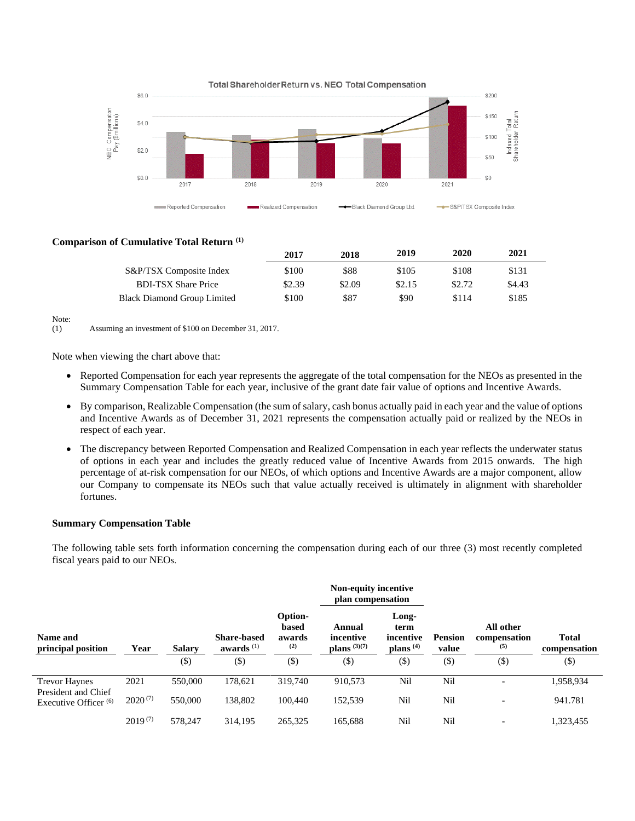

## **Comparison of Cumulative Total Return (1)**

|                                    | 2017   | 2018   | 2019   | 2020   | 2021   |
|------------------------------------|--------|--------|--------|--------|--------|
| S&P/TSX Composite Index            | \$100  | \$88   | \$105  | \$108  | \$131  |
| <b>BDI-TSX Share Price</b>         | \$2.39 | \$2.09 | \$2.15 | \$2.72 | \$4.43 |
| <b>Black Diamond Group Limited</b> | \$100  | \$87   | \$90   | \$114  | \$185  |

Note:

(1) Assuming an investment of \$100 on December 31, 2017.

Note when viewing the chart above that:

- Reported Compensation for each year represents the aggregate of the total compensation for the NEOs as presented in the Summary Compensation Table for each year, inclusive of the grant date fair value of options and Incentive Awards.
- By comparison, Realizable Compensation (the sum of salary, cash bonus actually paid in each year and the value of options and Incentive Awards as of December 31, 2021 represents the compensation actually paid or realized by the NEOs in respect of each year.
- The discrepancy between Reported Compensation and Realized Compensation in each year reflects the underwater status of options in each year and includes the greatly reduced value of Incentive Awards from 2015 onwards. The high percentage of at-risk compensation for our NEOs, of which options and Incentive Awards are a major component, allow our Company to compensate its NEOs such that value actually received is ultimately in alignment with shareholder fortunes.

### **Summary Compensation Table**

The following table sets forth information concerning the compensation during each of our three (3) most recently completed fiscal years paid to our NEOs.

|                                             |              | <b>Salary</b> |                                    |                                   | Non-equity incentive<br>plan compensation |                                           |                         | All other<br>compensation<br>(5)<br>$($ \$) |                              |
|---------------------------------------------|--------------|---------------|------------------------------------|-----------------------------------|-------------------------------------------|-------------------------------------------|-------------------------|---------------------------------------------|------------------------------|
| Name and<br>principal position              | Year         |               | <b>Share-based</b><br>awards $(1)$ | Option-<br>based<br>awards<br>(2) | Annual<br>incentive<br>plans $(3)(7)$     | Long-<br>term<br>incentive<br>plans $(4)$ | <b>Pension</b><br>value |                                             | <b>Total</b><br>compensation |
|                                             |              | $(\$)$        | $(\$)$                             | $(\$\)$                           | $(\$)$                                    | $(\$)$                                    | $(\$)$                  |                                             | $(\$)$                       |
| <b>Trevor Haynes</b><br>President and Chief | 2021         | 550,000       | 178,621                            | 319,740                           | 910,573                                   | Nil                                       | Nil                     | $\overline{\phantom{0}}$                    | 1,958,934                    |
| Executive Officer $(6)$                     | $2020^{(7)}$ | 550,000       | 138,802                            | 100,440                           | 152,539                                   | Nil                                       | Nil                     | $\overline{\phantom{0}}$                    | 941.781                      |
|                                             | $2019^{(7)}$ | 578,247       | 314.195                            | 265,325                           | 165.688                                   | Nil                                       | Nil                     |                                             | 1,323,455                    |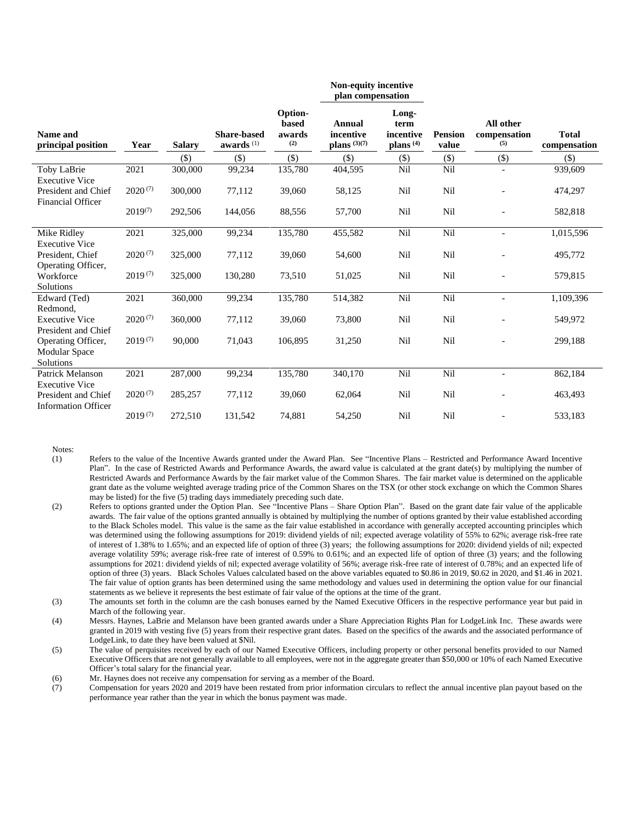|                                                   |              |               |                                    |                                   | Non-equity incentive<br>plan compensation |                                                    |                         |                                  |                              |
|---------------------------------------------------|--------------|---------------|------------------------------------|-----------------------------------|-------------------------------------------|----------------------------------------------------|-------------------------|----------------------------------|------------------------------|
| Name and<br>principal position                    | Year         | <b>Salary</b> | <b>Share-based</b><br>awards $(1)$ | Option-<br>based<br>awards<br>(2) | Annual<br>incentive<br>plans $(3)(7)$     | Long-<br>term<br>incentive<br>plans <sup>(4)</sup> | <b>Pension</b><br>value | All other<br>compensation<br>(5) | <b>Total</b><br>compensation |
|                                                   |              | $($ \$)       | $(\$)$                             | $($ \$)                           | $($ \$ $)$                                | $(\$)$                                             | $(\$)$                  | $(\$)$                           | $(\$)$                       |
| Toby LaBrie<br><b>Executive Vice</b>              | 2021         | 300,000       | 99,234                             | 135,780                           | 404,595                                   | Nil                                                | Nil                     |                                  | 939,609                      |
| President and Chief<br><b>Financial Officer</b>   | $2020^{(7)}$ | 300,000       | 77,112                             | 39,060                            | 58,125                                    | Nil                                                | Nil                     |                                  | 474,297                      |
|                                                   | $2019^{(7)}$ | 292,506       | 144,056                            | 88,556                            | 57,700                                    | Nil                                                | Nil                     |                                  | 582,818                      |
| Mike Ridley<br><b>Executive Vice</b>              | 2021         | 325,000       | 99,234                             | 135,780                           | 455,582                                   | Nil                                                | Nil                     | $\overline{\phantom{a}}$         | 1,015,596                    |
| President, Chief<br>Operating Officer,            | $2020^{(7)}$ | 325,000       | 77,112                             | 39,060                            | 54,600                                    | Nil                                                | Nil                     |                                  | 495,772                      |
| Workforce<br>Solutions                            | $2019^{(7)}$ | 325,000       | 130,280                            | 73,510                            | 51,025                                    | Nil                                                | Nil                     |                                  | 579,815                      |
| Edward (Ted)<br>Redmond,                          | 2021         | 360,000       | 99,234                             | 135,780                           | 514,382                                   | Nil                                                | Nil                     | $\overline{\phantom{a}}$         | 1,109,396                    |
| <b>Executive Vice</b><br>President and Chief      | $2020^{(7)}$ | 360,000       | 77,112                             | 39,060                            | 73,800                                    | Nil                                                | Nil                     |                                  | 549,972                      |
| Operating Officer,<br>Modular Space<br>Solutions  | $2019^{(7)}$ | 90,000        | 71,043                             | 106,895                           | 31,250                                    | Nil                                                | Nil                     |                                  | 299,188                      |
| <b>Patrick Melanson</b><br><b>Executive Vice</b>  | 2021         | 287,000       | 99,234                             | 135,780                           | 340,170                                   | Nil                                                | Nil                     |                                  | 862,184                      |
| President and Chief<br><b>Information Officer</b> | $2020^{(7)}$ | 285,257       | 77,112                             | 39,060                            | 62,064                                    | Nil                                                | Nil                     |                                  | 463,493                      |
|                                                   | $2019^{(7)}$ | 272,510       | 131,542                            | 74,881                            | 54,250                                    | Nil                                                | Nil                     |                                  | 533,183                      |

- (1) Refers to the value of the Incentive Awards granted under the Award Plan. See "Incentive Plans Restricted and Performance Award Incentive Plan". In the case of Restricted Awards and Performance Awards, the award value is calculated at the grant date(s) by multiplying the number of Restricted Awards and Performance Awards by the fair market value of the Common Shares. The fair market value is determined on the applicable grant date as the volume weighted average trading price of the Common Shares on the TSX (or other stock exchange on which the Common Shares may be listed) for the five (5) trading days immediately preceding such date.
- (2) Refers to options granted under the Option Plan. See "Incentive Plans Share Option Plan". Based on the grant date fair value of the applicable awards. The fair value of the options granted annually is obtained by multiplying the number of options granted by their value established according to the Black Scholes model. This value is the same as the fair value established in accordance with generally accepted accounting principles which was determined using the following assumptions for 2019: dividend yields of nil; expected average volatility of 55% to 62%; average risk-free rate of interest of 1.38% to 1.65%; and an expected life of option of three (3) years; the following assumptions for 2020: dividend yields of nil; expected average volatility 59%; average risk-free rate of interest of 0.59% to 0.61%; and an expected life of option of three (3) years; and the following assumptions for 2021: dividend yields of nil; expected average volatility of 56%; average risk-free rate of interest of 0.78%; and an expected life of option of three (3) years. Black Scholes Values calculated based on the above variables equated to \$0.86 in 2019, \$0.62 in 2020, and \$1.46 in 2021. The fair value of option grants has been determined using the same methodology and values used in determining the option value for our financial statements as we believe it represents the best estimate of fair value of the options at the time of the grant.
- (3) The amounts set forth in the column are the cash bonuses earned by the Named Executive Officers in the respective performance year but paid in March of the following year.
- (4) Messrs. Haynes, LaBrie and Melanson have been granted awards under a Share Appreciation Rights Plan for LodgeLink Inc. These awards were granted in 2019 with vesting five (5) years from their respective grant dates. Based on the specifics of the awards and the associated performance of LodgeLink, to date they have been valued at \$Nil.
- (5) The value of perquisites received by each of our Named Executive Officers, including property or other personal benefits provided to our Named Executive Officers that are not generally available to all employees, were not in the aggregate greater than \$50,000 or 10% of each Named Executive Officer's total salary for the financial year.
- (6) Mr. Haynes does not receive any compensation for serving as a member of the Board.
- (7) Compensation for years 2020 and 2019 have been restated from prior information circulars to reflect the annual incentive plan payout based on the performance year rather than the year in which the bonus payment was made.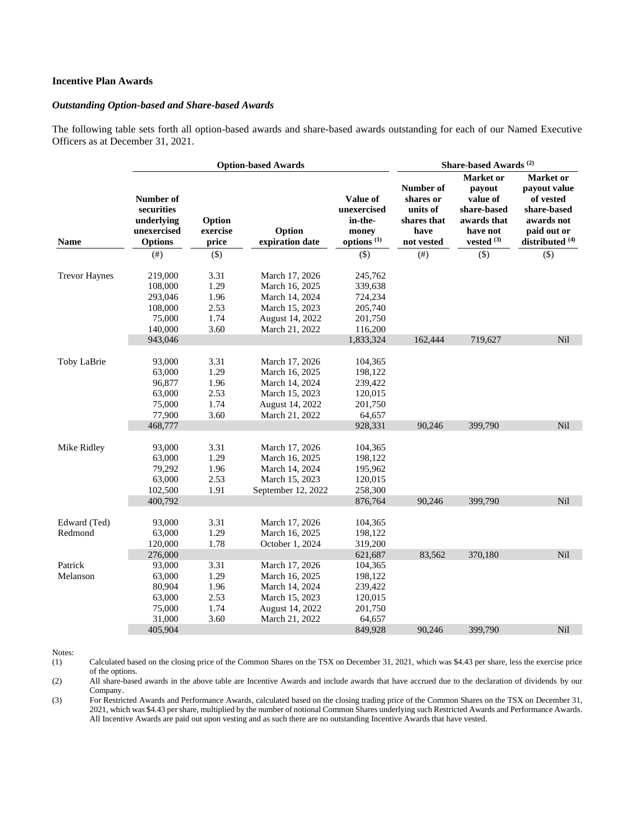## **Incentive Plan Awards**

#### *Outstanding Option-based and Share-based Awards*

The following table sets forth all option-based awards and share-based awards outstanding for each of our Named Executive Officers as at December 31, 2021.

|                         |                                                                        |                                              | <b>Option-based Awards</b>                                                                                |                                                                          |                                                                         | Share-based Awards <sup>(2)</sup>                                                         |                                                                                                                         |
|-------------------------|------------------------------------------------------------------------|----------------------------------------------|-----------------------------------------------------------------------------------------------------------|--------------------------------------------------------------------------|-------------------------------------------------------------------------|-------------------------------------------------------------------------------------------|-------------------------------------------------------------------------------------------------------------------------|
| <b>Name</b>             | Number of<br>securities<br>underlying<br>unexercised<br><b>Options</b> | Option<br>exercise<br>price                  | Option<br>expiration date                                                                                 | Value of<br>unexercised<br>in-the-<br>money<br>options <sup>(1)</sup>    | Number of<br>shares or<br>units of<br>shares that<br>have<br>not vested | Market or<br>payout<br>value of<br>share-based<br>awards that<br>have not<br>vested $(3)$ | <b>Market</b> or<br>payout value<br>of vested<br>share-based<br>awards not<br>paid out or<br>distributed <sup>(4)</sup> |
|                         | (# )                                                                   | $(\$)$                                       |                                                                                                           | $(\$)$                                                                   | (# <sup>2</sup> )                                                       | $($ \$ $)$                                                                                | $($ \$)                                                                                                                 |
| <b>Trevor Haynes</b>    | 219,000<br>108,000<br>293,046<br>108,000                               | 3.31<br>1.29<br>1.96<br>2.53                 | March 17, 2026<br>March 16, 2025<br>March 14, 2024<br>March 15, 2023                                      | 245,762<br>339,638<br>724,234<br>205,740                                 |                                                                         |                                                                                           |                                                                                                                         |
|                         | 75,000                                                                 | 1.74                                         | August 14, 2022                                                                                           | 201,750                                                                  |                                                                         |                                                                                           |                                                                                                                         |
|                         | 140,000<br>943,046                                                     | 3.60                                         | March 21, 2022                                                                                            | 116,200<br>1,833,324                                                     | 162,444                                                                 | 719,627                                                                                   | Nil                                                                                                                     |
| Toby LaBrie             | 93,000<br>63,000<br>96,877<br>63,000<br>75,000<br>77,900<br>468,777    | 3.31<br>1.29<br>1.96<br>2.53<br>1.74<br>3.60 | March 17, 2026<br>March 16, 2025<br>March 14, 2024<br>March 15, 2023<br>August 14, 2022<br>March 21, 2022 | 104,365<br>198,122<br>239,422<br>120,015<br>201,750<br>64,657<br>928,331 | 90,246                                                                  | 399,790                                                                                   | Nil                                                                                                                     |
| Mike Ridley             | 93,000<br>63,000<br>79,292<br>63,000<br>102,500<br>400,792             | 3.31<br>1.29<br>1.96<br>2.53<br>1.91         | March 17, 2026<br>March 16, 2025<br>March 14, 2024<br>March 15, 2023<br>September 12, 2022                | 104,365<br>198,122<br>195,962<br>120,015<br>258,300<br>876,764           | 90,246                                                                  | 399,790                                                                                   | Nil                                                                                                                     |
| Edward (Ted)<br>Redmond | 93,000<br>63,000<br>120,000                                            | 3.31<br>1.29<br>1.78                         | March 17, 2026<br>March 16, 2025<br>October 1, 2024                                                       | 104,365<br>198,122<br>319,200                                            |                                                                         |                                                                                           |                                                                                                                         |
| Patrick<br>Melanson     | 276,000<br>93,000<br>63,000<br>80,904<br>63,000<br>75,000<br>31,000    | 3.31<br>1.29<br>1.96<br>2.53<br>1.74<br>3.60 | March 17, 2026<br>March 16, 2025<br>March 14, 2024<br>March 15, 2023<br>August 14, 2022<br>March 21, 2022 | 621,687<br>104,365<br>198,122<br>239,422<br>120,015<br>201,750<br>64,657 | 83,562                                                                  | 370,180                                                                                   | Nil                                                                                                                     |
|                         | 405,904                                                                |                                              |                                                                                                           | 849,928                                                                  | 90.246                                                                  | 399.790                                                                                   | Nil                                                                                                                     |

Notes:

(1) Calculated based on the closing price of the Common Shares on the TSX on December 31, 2021, which was \$4.43 per share, less the exercise price of the options.

(2) All share-based awards in the above table are Incentive Awards and include awards that have accrued due to the declaration of dividends by our Company.

(3) For Restricted Awards and Performance Awards, calculated based on the closing trading price of the Common Shares on the TSX on December 31, 2021, which was \$4.43 per share, multiplied by the number of notional Common Shares underlying such Restricted Awards and Performance Awards. All Incentive Awards are paid out upon vesting and as such there are no outstanding Incentive Awards that have vested.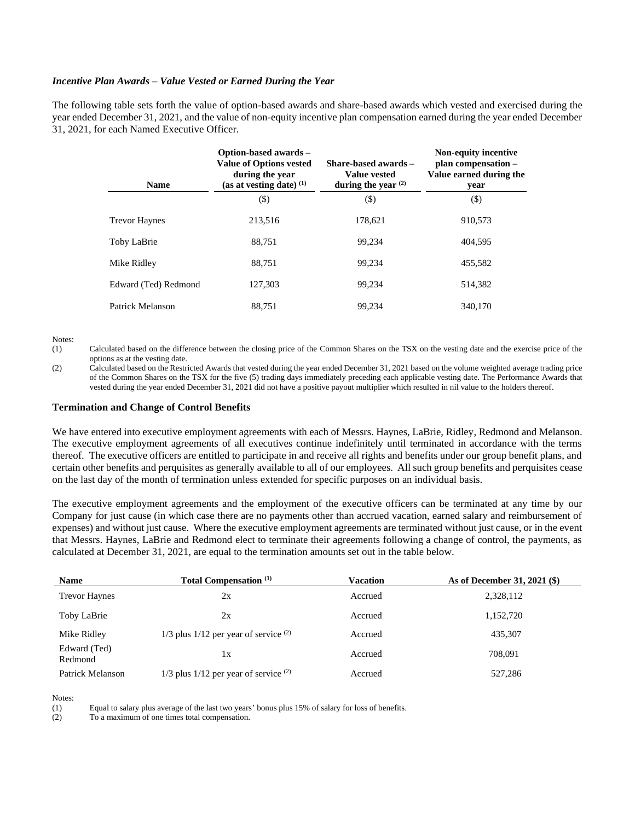### *Incentive Plan Awards – Value Vested or Earned During the Year*

The following table sets forth the value of option-based awards and share-based awards which vested and exercised during the year ended December 31, 2021, and the value of non-equity incentive plan compensation earned during the year ended December 31, 2021, for each Named Executive Officer.

| <b>Name</b>          | Option-based awards -<br><b>Value of Options vested</b><br>during the year<br>(as at vesting date) $(1)$ | Share-based awards –<br><b>Value vested</b><br>during the year $(2)$ | <b>Non-equity incentive</b><br>plan compensation -<br>Value earned during the<br>year |
|----------------------|----------------------------------------------------------------------------------------------------------|----------------------------------------------------------------------|---------------------------------------------------------------------------------------|
|                      | $\left( \text{\$}\right)$                                                                                | $(\$\)$                                                              | $(\$)$                                                                                |
| <b>Trevor Haynes</b> | 213,516                                                                                                  | 178,621                                                              | 910,573                                                                               |
| Toby LaBrie          | 88,751                                                                                                   | 99,234                                                               | 404,595                                                                               |
| Mike Ridley          | 88.751                                                                                                   | 99.234                                                               | 455,582                                                                               |
| Edward (Ted) Redmond | 127,303                                                                                                  | 99,234                                                               | 514,382                                                                               |
| Patrick Melanson     | 88,751                                                                                                   | 99,234                                                               | 340,170                                                                               |

Notes:

(1) Calculated based on the difference between the closing price of the Common Shares on the TSX on the vesting date and the exercise price of the options as at the vesting date.

(2) Calculated based on the Restricted Awards that vested during the year ended December 31, 2021 based on the volume weighted average trading price of the Common Shares on the TSX for the five (5) trading days immediately preceding each applicable vesting date. The Performance Awards that vested during the year ended December 31, 2021 did not have a positive payout multiplier which resulted in nil value to the holders thereof.

## **Termination and Change of Control Benefits**

We have entered into executive employment agreements with each of Messrs. Haynes, LaBrie, Ridley, Redmond and Melanson. The executive employment agreements of all executives continue indefinitely until terminated in accordance with the terms thereof. The executive officers are entitled to participate in and receive all rights and benefits under our group benefit plans, and certain other benefits and perquisites as generally available to all of our employees. All such group benefits and perquisites cease on the last day of the month of termination unless extended for specific purposes on an individual basis.

The executive employment agreements and the employment of the executive officers can be terminated at any time by our Company for just cause (in which case there are no payments other than accrued vacation, earned salary and reimbursement of expenses) and without just cause. Where the executive employment agreements are terminated without just cause, or in the event that Messrs. Haynes, LaBrie and Redmond elect to terminate their agreements following a change of control, the payments, as calculated at December 31, 2021, are equal to the termination amounts set out in the table below.

| <b>Name</b>             | <b>Total Compensation</b> <sup>(1)</sup>    | Vacation | As of December 31, 2021 (\$) |
|-------------------------|---------------------------------------------|----------|------------------------------|
| <b>Trevor Haynes</b>    | 2x                                          | Accrued  | 2,328,112                    |
| Toby LaBrie             | 2x                                          | Accrued  | 1,152,720                    |
| Mike Ridley             | $1/3$ plus $1/12$ per year of service $(2)$ | Accrued  | 435,307                      |
| Edward (Ted)<br>Redmond | 1x                                          | Accrued  | 708.091                      |
| Patrick Melanson        | $1/3$ plus $1/12$ per year of service $(2)$ | Accrued  | 527,286                      |

Notes:

(1) Equal to salary plus average of the last two years' bonus plus 15% of salary for loss of benefits.

To a maximum of one times total compensation.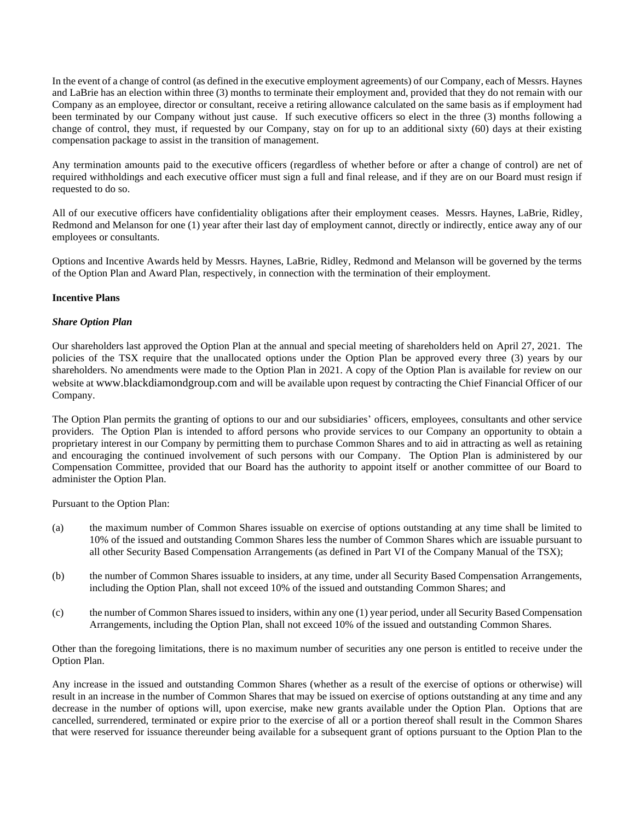In the event of a change of control (as defined in the executive employment agreements) of our Company, each of Messrs. Haynes and LaBrie has an election within three (3) months to terminate their employment and, provided that they do not remain with our Company as an employee, director or consultant, receive a retiring allowance calculated on the same basis as if employment had been terminated by our Company without just cause. If such executive officers so elect in the three (3) months following a change of control, they must, if requested by our Company, stay on for up to an additional sixty (60) days at their existing compensation package to assist in the transition of management.

Any termination amounts paid to the executive officers (regardless of whether before or after a change of control) are net of required withholdings and each executive officer must sign a full and final release, and if they are on our Board must resign if requested to do so.

All of our executive officers have confidentiality obligations after their employment ceases. Messrs. Haynes, LaBrie, Ridley, Redmond and Melanson for one (1) year after their last day of employment cannot, directly or indirectly, entice away any of our employees or consultants.

Options and Incentive Awards held by Messrs. Haynes, LaBrie, Ridley, Redmond and Melanson will be governed by the terms of the Option Plan and Award Plan, respectively, in connection with the termination of their employment.

## **Incentive Plans**

## *Share Option Plan*

Our shareholders last approved the Option Plan at the annual and special meeting of shareholders held on April 27, 2021. The policies of the TSX require that the unallocated options under the Option Plan be approved every three (3) years by our shareholders. No amendments were made to the Option Plan in 2021. A copy of the Option Plan is available for review on our website at [www.blackdiamondgroup.com](http://www.blackdiamondgroup.com/) and will be available upon request by contracting the Chief Financial Officer of our Company.

The Option Plan permits the granting of options to our and our subsidiaries' officers, employees, consultants and other service providers. The Option Plan is intended to afford persons who provide services to our Company an opportunity to obtain a proprietary interest in our Company by permitting them to purchase Common Shares and to aid in attracting as well as retaining and encouraging the continued involvement of such persons with our Company. The Option Plan is administered by our Compensation Committee, provided that our Board has the authority to appoint itself or another committee of our Board to administer the Option Plan.

Pursuant to the Option Plan:

- (a) the maximum number of Common Shares issuable on exercise of options outstanding at any time shall be limited to 10% of the issued and outstanding Common Shares less the number of Common Shares which are issuable pursuant to all other Security Based Compensation Arrangements (as defined in Part VI of the Company Manual of the TSX);
- (b) the number of Common Shares issuable to insiders, at any time, under all Security Based Compensation Arrangements, including the Option Plan, shall not exceed 10% of the issued and outstanding Common Shares; and
- (c) the number of Common Shares issued to insiders, within any one (1) year period, under all Security Based Compensation Arrangements, including the Option Plan, shall not exceed 10% of the issued and outstanding Common Shares.

Other than the foregoing limitations, there is no maximum number of securities any one person is entitled to receive under the Option Plan.

Any increase in the issued and outstanding Common Shares (whether as a result of the exercise of options or otherwise) will result in an increase in the number of Common Shares that may be issued on exercise of options outstanding at any time and any decrease in the number of options will, upon exercise, make new grants available under the Option Plan. Options that are cancelled, surrendered, terminated or expire prior to the exercise of all or a portion thereof shall result in the Common Shares that were reserved for issuance thereunder being available for a subsequent grant of options pursuant to the Option Plan to the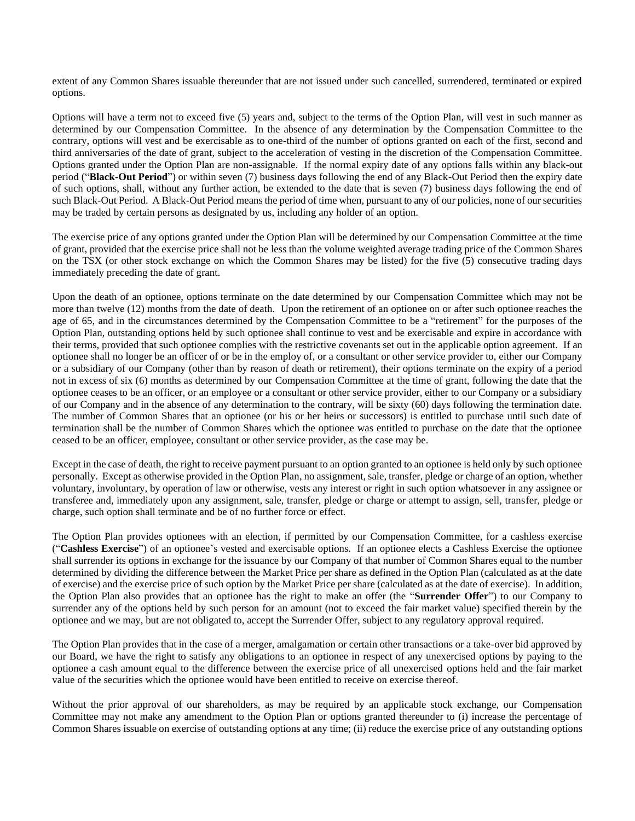extent of any Common Shares issuable thereunder that are not issued under such cancelled, surrendered, terminated or expired options.

Options will have a term not to exceed five (5) years and, subject to the terms of the Option Plan, will vest in such manner as determined by our Compensation Committee. In the absence of any determination by the Compensation Committee to the contrary, options will vest and be exercisable as to one-third of the number of options granted on each of the first, second and third anniversaries of the date of grant, subject to the acceleration of vesting in the discretion of the Compensation Committee. Options granted under the Option Plan are non-assignable. If the normal expiry date of any options falls within any black-out period ("**Black-Out Period**") or within seven (7) business days following the end of any Black-Out Period then the expiry date of such options, shall, without any further action, be extended to the date that is seven (7) business days following the end of such Black-Out Period. A Black-Out Period means the period of time when, pursuant to any of our policies, none of our securities may be traded by certain persons as designated by us, including any holder of an option.

The exercise price of any options granted under the Option Plan will be determined by our Compensation Committee at the time of grant, provided that the exercise price shall not be less than the volume weighted average trading price of the Common Shares on the TSX (or other stock exchange on which the Common Shares may be listed) for the five (5) consecutive trading days immediately preceding the date of grant.

Upon the death of an optionee, options terminate on the date determined by our Compensation Committee which may not be more than twelve (12) months from the date of death. Upon the retirement of an optionee on or after such optionee reaches the age of 65, and in the circumstances determined by the Compensation Committee to be a "retirement" for the purposes of the Option Plan, outstanding options held by such optionee shall continue to vest and be exercisable and expire in accordance with their terms, provided that such optionee complies with the restrictive covenants set out in the applicable option agreement. If an optionee shall no longer be an officer of or be in the employ of, or a consultant or other service provider to, either our Company or a subsidiary of our Company (other than by reason of death or retirement), their options terminate on the expiry of a period not in excess of six (6) months as determined by our Compensation Committee at the time of grant, following the date that the optionee ceases to be an officer, or an employee or a consultant or other service provider, either to our Company or a subsidiary of our Company and in the absence of any determination to the contrary, will be sixty (60) days following the termination date. The number of Common Shares that an optionee (or his or her heirs or successors) is entitled to purchase until such date of termination shall be the number of Common Shares which the optionee was entitled to purchase on the date that the optionee ceased to be an officer, employee, consultant or other service provider, as the case may be.

Except in the case of death, the right to receive payment pursuant to an option granted to an optionee is held only by such optionee personally. Except as otherwise provided in the Option Plan, no assignment, sale, transfer, pledge or charge of an option, whether voluntary, involuntary, by operation of law or otherwise, vests any interest or right in such option whatsoever in any assignee or transferee and, immediately upon any assignment, sale, transfer, pledge or charge or attempt to assign, sell, transfer, pledge or charge, such option shall terminate and be of no further force or effect.

The Option Plan provides optionees with an election, if permitted by our Compensation Committee, for a cashless exercise ("**Cashless Exercise**") of an optionee's vested and exercisable options. If an optionee elects a Cashless Exercise the optionee shall surrender its options in exchange for the issuance by our Company of that number of Common Shares equal to the number determined by dividing the difference between the Market Price per share as defined in the Option Plan (calculated as at the date of exercise) and the exercise price of such option by the Market Price per share (calculated as at the date of exercise). In addition, the Option Plan also provides that an optionee has the right to make an offer (the "**Surrender Offer**") to our Company to surrender any of the options held by such person for an amount (not to exceed the fair market value) specified therein by the optionee and we may, but are not obligated to, accept the Surrender Offer, subject to any regulatory approval required.

The Option Plan provides that in the case of a merger, amalgamation or certain other transactions or a take-over bid approved by our Board, we have the right to satisfy any obligations to an optionee in respect of any unexercised options by paying to the optionee a cash amount equal to the difference between the exercise price of all unexercised options held and the fair market value of the securities which the optionee would have been entitled to receive on exercise thereof.

Without the prior approval of our shareholders, as may be required by an applicable stock exchange, our Compensation Committee may not make any amendment to the Option Plan or options granted thereunder to (i) increase the percentage of Common Shares issuable on exercise of outstanding options at any time; (ii) reduce the exercise price of any outstanding options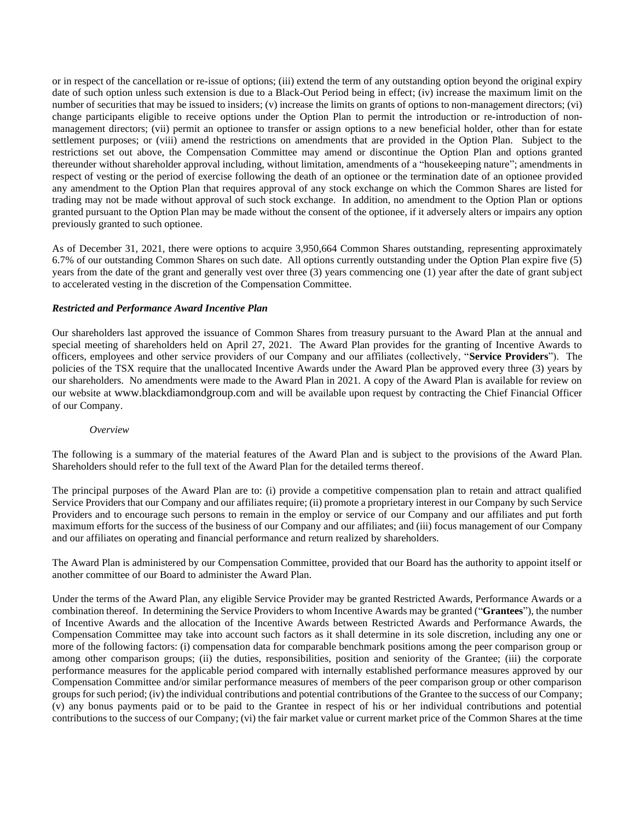or in respect of the cancellation or re-issue of options; (iii) extend the term of any outstanding option beyond the original expiry date of such option unless such extension is due to a Black-Out Period being in effect; (iv) increase the maximum limit on the number of securities that may be issued to insiders; (v) increase the limits on grants of options to non-management directors; (vi) change participants eligible to receive options under the Option Plan to permit the introduction or re-introduction of nonmanagement directors; (vii) permit an optionee to transfer or assign options to a new beneficial holder, other than for estate settlement purposes; or (viii) amend the restrictions on amendments that are provided in the Option Plan. Subject to the restrictions set out above, the Compensation Committee may amend or discontinue the Option Plan and options granted thereunder without shareholder approval including, without limitation, amendments of a "housekeeping nature"; amendments in respect of vesting or the period of exercise following the death of an optionee or the termination date of an optionee provided any amendment to the Option Plan that requires approval of any stock exchange on which the Common Shares are listed for trading may not be made without approval of such stock exchange. In addition, no amendment to the Option Plan or options granted pursuant to the Option Plan may be made without the consent of the optionee, if it adversely alters or impairs any option previously granted to such optionee.

As of December 31, 2021, there were options to acquire 3,950,664 Common Shares outstanding, representing approximately 6.7% of our outstanding Common Shares on such date. All options currently outstanding under the Option Plan expire five (5) years from the date of the grant and generally vest over three (3) years commencing one (1) year after the date of grant subject to accelerated vesting in the discretion of the Compensation Committee.

## *Restricted and Performance Award Incentive Plan*

Our shareholders last approved the issuance of Common Shares from treasury pursuant to the Award Plan at the annual and special meeting of shareholders held on April 27, 2021. The Award Plan provides for the granting of Incentive Awards to officers, employees and other service providers of our Company and our affiliates (collectively, "**Service Providers**"). The policies of the TSX require that the unallocated Incentive Awards under the Award Plan be approved every three (3) years by our shareholders. No amendments were made to the Award Plan in 2021. A copy of the Award Plan is available for review on our website at [www.blackdiamondgroup.com](http://www.blackdiamondgroup.com/) and will be available upon request by contracting the Chief Financial Officer of our Company.

### *Overview*

The following is a summary of the material features of the Award Plan and is subject to the provisions of the Award Plan. Shareholders should refer to the full text of the Award Plan for the detailed terms thereof.

The principal purposes of the Award Plan are to: (i) provide a competitive compensation plan to retain and attract qualified Service Providers that our Company and our affiliates require; (ii) promote a proprietary interest in our Company by such Service Providers and to encourage such persons to remain in the employ or service of our Company and our affiliates and put forth maximum efforts for the success of the business of our Company and our affiliates; and (iii) focus management of our Company and our affiliates on operating and financial performance and return realized by shareholders.

The Award Plan is administered by our Compensation Committee, provided that our Board has the authority to appoint itself or another committee of our Board to administer the Award Plan.

Under the terms of the Award Plan, any eligible Service Provider may be granted Restricted Awards, Performance Awards or a combination thereof. In determining the Service Providers to whom Incentive Awards may be granted ("**Grantees**"), the number of Incentive Awards and the allocation of the Incentive Awards between Restricted Awards and Performance Awards, the Compensation Committee may take into account such factors as it shall determine in its sole discretion, including any one or more of the following factors: (i) compensation data for comparable benchmark positions among the peer comparison group or among other comparison groups; (ii) the duties, responsibilities, position and seniority of the Grantee; (iii) the corporate performance measures for the applicable period compared with internally established performance measures approved by our Compensation Committee and/or similar performance measures of members of the peer comparison group or other comparison groups for such period; (iv) the individual contributions and potential contributions of the Grantee to the success of our Company; (v) any bonus payments paid or to be paid to the Grantee in respect of his or her individual contributions and potential contributions to the success of our Company; (vi) the fair market value or current market price of the Common Shares at the time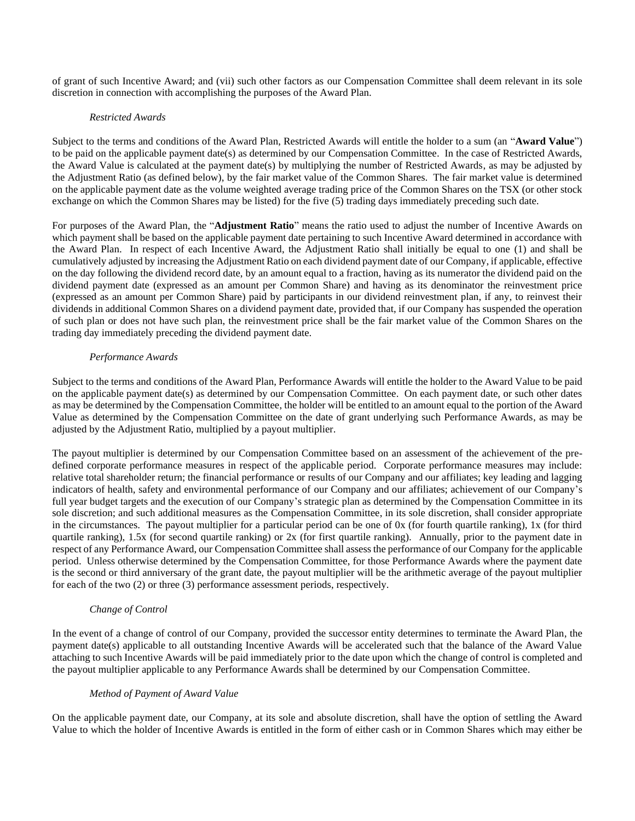of grant of such Incentive Award; and (vii) such other factors as our Compensation Committee shall deem relevant in its sole discretion in connection with accomplishing the purposes of the Award Plan.

## *Restricted Awards*

Subject to the terms and conditions of the Award Plan, Restricted Awards will entitle the holder to a sum (an "**Award Value**") to be paid on the applicable payment date(s) as determined by our Compensation Committee. In the case of Restricted Awards, the Award Value is calculated at the payment date(s) by multiplying the number of Restricted Awards, as may be adjusted by the Adjustment Ratio (as defined below), by the fair market value of the Common Shares. The fair market value is determined on the applicable payment date as the volume weighted average trading price of the Common Shares on the TSX (or other stock exchange on which the Common Shares may be listed) for the five (5) trading days immediately preceding such date.

For purposes of the Award Plan, the "**Adjustment Ratio**" means the ratio used to adjust the number of Incentive Awards on which payment shall be based on the applicable payment date pertaining to such Incentive Award determined in accordance with the Award Plan. In respect of each Incentive Award, the Adjustment Ratio shall initially be equal to one (1) and shall be cumulatively adjusted by increasing the Adjustment Ratio on each dividend payment date of our Company, if applicable, effective on the day following the dividend record date, by an amount equal to a fraction, having as its numerator the dividend paid on the dividend payment date (expressed as an amount per Common Share) and having as its denominator the reinvestment price (expressed as an amount per Common Share) paid by participants in our dividend reinvestment plan, if any, to reinvest their dividends in additional Common Shares on a dividend payment date, provided that, if our Company has suspended the operation of such plan or does not have such plan, the reinvestment price shall be the fair market value of the Common Shares on the trading day immediately preceding the dividend payment date.

## *Performance Awards*

Subject to the terms and conditions of the Award Plan, Performance Awards will entitle the holder to the Award Value to be paid on the applicable payment date(s) as determined by our Compensation Committee. On each payment date, or such other dates as may be determined by the Compensation Committee, the holder will be entitled to an amount equal to the portion of the Award Value as determined by the Compensation Committee on the date of grant underlying such Performance Awards, as may be adjusted by the Adjustment Ratio, multiplied by a payout multiplier.

The payout multiplier is determined by our Compensation Committee based on an assessment of the achievement of the predefined corporate performance measures in respect of the applicable period. Corporate performance measures may include: relative total shareholder return; the financial performance or results of our Company and our affiliates; key leading and lagging indicators of health, safety and environmental performance of our Company and our affiliates; achievement of our Company's full year budget targets and the execution of our Company's strategic plan as determined by the Compensation Committee in its sole discretion; and such additional measures as the Compensation Committee, in its sole discretion, shall consider appropriate in the circumstances. The payout multiplier for a particular period can be one of 0x (for fourth quartile ranking), 1x (for third quartile ranking), 1.5x (for second quartile ranking) or 2x (for first quartile ranking). Annually, prior to the payment date in respect of any Performance Award, our Compensation Committee shall assess the performance of our Company for the applicable period. Unless otherwise determined by the Compensation Committee, for those Performance Awards where the payment date is the second or third anniversary of the grant date, the payout multiplier will be the arithmetic average of the payout multiplier for each of the two (2) or three (3) performance assessment periods, respectively.

### *Change of Control*

In the event of a change of control of our Company, provided the successor entity determines to terminate the Award Plan, the payment date(s) applicable to all outstanding Incentive Awards will be accelerated such that the balance of the Award Value attaching to such Incentive Awards will be paid immediately prior to the date upon which the change of control is completed and the payout multiplier applicable to any Performance Awards shall be determined by our Compensation Committee.

### *Method of Payment of Award Value*

On the applicable payment date, our Company, at its sole and absolute discretion, shall have the option of settling the Award Value to which the holder of Incentive Awards is entitled in the form of either cash or in Common Shares which may either be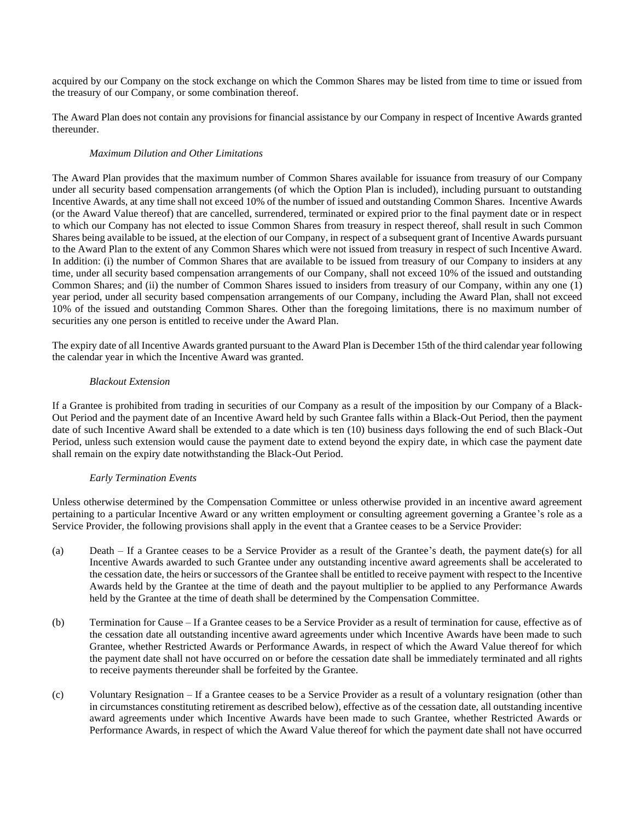acquired by our Company on the stock exchange on which the Common Shares may be listed from time to time or issued from the treasury of our Company, or some combination thereof.

The Award Plan does not contain any provisions for financial assistance by our Company in respect of Incentive Awards granted thereunder.

## *Maximum Dilution and Other Limitations*

The Award Plan provides that the maximum number of Common Shares available for issuance from treasury of our Company under all security based compensation arrangements (of which the Option Plan is included), including pursuant to outstanding Incentive Awards, at any time shall not exceed 10% of the number of issued and outstanding Common Shares. Incentive Awards (or the Award Value thereof) that are cancelled, surrendered, terminated or expired prior to the final payment date or in respect to which our Company has not elected to issue Common Shares from treasury in respect thereof, shall result in such Common Shares being available to be issued, at the election of our Company, in respect of a subsequent grant of Incentive Awards pursuant to the Award Plan to the extent of any Common Shares which were not issued from treasury in respect of such Incentive Award. In addition: (i) the number of Common Shares that are available to be issued from treasury of our Company to insiders at any time, under all security based compensation arrangements of our Company, shall not exceed 10% of the issued and outstanding Common Shares; and (ii) the number of Common Shares issued to insiders from treasury of our Company, within any one (1) year period, under all security based compensation arrangements of our Company, including the Award Plan, shall not exceed 10% of the issued and outstanding Common Shares. Other than the foregoing limitations, there is no maximum number of securities any one person is entitled to receive under the Award Plan.

The expiry date of all Incentive Awards granted pursuant to the Award Plan is December 15th of the third calendar year following the calendar year in which the Incentive Award was granted.

## *Blackout Extension*

If a Grantee is prohibited from trading in securities of our Company as a result of the imposition by our Company of a Black-Out Period and the payment date of an Incentive Award held by such Grantee falls within a Black-Out Period, then the payment date of such Incentive Award shall be extended to a date which is ten (10) business days following the end of such Black-Out Period, unless such extension would cause the payment date to extend beyond the expiry date, in which case the payment date shall remain on the expiry date notwithstanding the Black-Out Period.

## *Early Termination Events*

Unless otherwise determined by the Compensation Committee or unless otherwise provided in an incentive award agreement pertaining to a particular Incentive Award or any written employment or consulting agreement governing a Grantee's role as a Service Provider, the following provisions shall apply in the event that a Grantee ceases to be a Service Provider:

- (a) Death If a Grantee ceases to be a Service Provider as a result of the Grantee's death, the payment date(s) for all Incentive Awards awarded to such Grantee under any outstanding incentive award agreements shall be accelerated to the cessation date, the heirs or successors of the Grantee shall be entitled to receive payment with respect to the Incentive Awards held by the Grantee at the time of death and the payout multiplier to be applied to any Performance Awards held by the Grantee at the time of death shall be determined by the Compensation Committee.
- (b) Termination for Cause If a Grantee ceases to be a Service Provider as a result of termination for cause, effective as of the cessation date all outstanding incentive award agreements under which Incentive Awards have been made to such Grantee, whether Restricted Awards or Performance Awards, in respect of which the Award Value thereof for which the payment date shall not have occurred on or before the cessation date shall be immediately terminated and all rights to receive payments thereunder shall be forfeited by the Grantee.
- (c) Voluntary Resignation If a Grantee ceases to be a Service Provider as a result of a voluntary resignation (other than in circumstances constituting retirement as described below), effective as of the cessation date, all outstanding incentive award agreements under which Incentive Awards have been made to such Grantee, whether Restricted Awards or Performance Awards, in respect of which the Award Value thereof for which the payment date shall not have occurred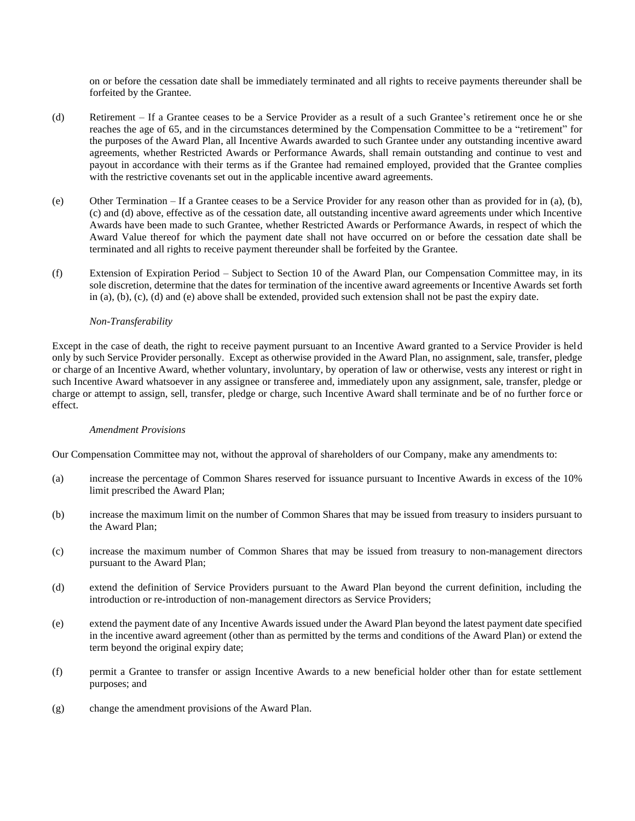on or before the cessation date shall be immediately terminated and all rights to receive payments thereunder shall be forfeited by the Grantee.

- (d) Retirement If a Grantee ceases to be a Service Provider as a result of a such Grantee's retirement once he or she reaches the age of 65, and in the circumstances determined by the Compensation Committee to be a "retirement" for the purposes of the Award Plan, all Incentive Awards awarded to such Grantee under any outstanding incentive award agreements, whether Restricted Awards or Performance Awards, shall remain outstanding and continue to vest and payout in accordance with their terms as if the Grantee had remained employed, provided that the Grantee complies with the restrictive covenants set out in the applicable incentive award agreements.
- (e) Other Termination If a Grantee ceases to be a Service Provider for any reason other than as provided for in (a), (b), (c) and (d) above, effective as of the cessation date, all outstanding incentive award agreements under which Incentive Awards have been made to such Grantee, whether Restricted Awards or Performance Awards, in respect of which the Award Value thereof for which the payment date shall not have occurred on or before the cessation date shall be terminated and all rights to receive payment thereunder shall be forfeited by the Grantee.
- (f) Extension of Expiration Period Subject to Section 10 of the Award Plan, our Compensation Committee may, in its sole discretion, determine that the dates for termination of the incentive award agreements or Incentive Awards set forth in (a), (b), (c), (d) and (e) above shall be extended, provided such extension shall not be past the expiry date.

## *Non-Transferability*

Except in the case of death, the right to receive payment pursuant to an Incentive Award granted to a Service Provider is held only by such Service Provider personally. Except as otherwise provided in the Award Plan, no assignment, sale, transfer, pledge or charge of an Incentive Award, whether voluntary, involuntary, by operation of law or otherwise, vests any interest or right in such Incentive Award whatsoever in any assignee or transferee and, immediately upon any assignment, sale, transfer, pledge or charge or attempt to assign, sell, transfer, pledge or charge, such Incentive Award shall terminate and be of no further force or effect.

### *Amendment Provisions*

Our Compensation Committee may not, without the approval of shareholders of our Company, make any amendments to:

- (a) increase the percentage of Common Shares reserved for issuance pursuant to Incentive Awards in excess of the 10% limit prescribed the Award Plan;
- (b) increase the maximum limit on the number of Common Shares that may be issued from treasury to insiders pursuant to the Award Plan;
- (c) increase the maximum number of Common Shares that may be issued from treasury to non-management directors pursuant to the Award Plan;
- (d) extend the definition of Service Providers pursuant to the Award Plan beyond the current definition, including the introduction or re-introduction of non-management directors as Service Providers;
- (e) extend the payment date of any Incentive Awards issued under the Award Plan beyond the latest payment date specified in the incentive award agreement (other than as permitted by the terms and conditions of the Award Plan) or extend the term beyond the original expiry date;
- (f) permit a Grantee to transfer or assign Incentive Awards to a new beneficial holder other than for estate settlement purposes; and
- (g) change the amendment provisions of the Award Plan.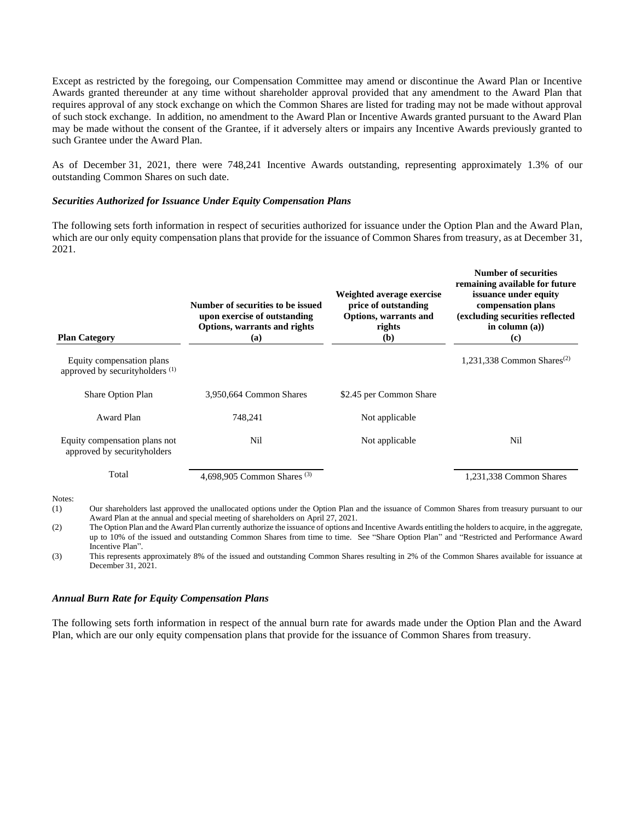Except as restricted by the foregoing, our Compensation Committee may amend or discontinue the Award Plan or Incentive Awards granted thereunder at any time without shareholder approval provided that any amendment to the Award Plan that requires approval of any stock exchange on which the Common Shares are listed for trading may not be made without approval of such stock exchange. In addition, no amendment to the Award Plan or Incentive Awards granted pursuant to the Award Plan may be made without the consent of the Grantee, if it adversely alters or impairs any Incentive Awards previously granted to such Grantee under the Award Plan.

As of December 31, 2021, there were 748,241 Incentive Awards outstanding, representing approximately 1.3% of our outstanding Common Shares on such date.

#### *Securities Authorized for Issuance Under Equity Compensation Plans*

The following sets forth information in respect of securities authorized for issuance under the Option Plan and the Award Plan, which are our only equity compensation plans that provide for the issuance of Common Shares from treasury, as at December 31, 2021.

| <b>Plan Category</b>                                                    | Number of securities to be issued<br>upon exercise of outstanding<br>Options, warrants and rights<br>(a)                                     | Weighted average exercise<br>price of outstanding<br>Options, warrants and<br>rights<br>(b) | Number of securities<br>remaining available for future<br>issuance under equity<br>compensation plans<br>(excluding securities reflected<br>in column $(a)$ )<br>$\left( \mathbf{c} \right)$ |
|-------------------------------------------------------------------------|----------------------------------------------------------------------------------------------------------------------------------------------|---------------------------------------------------------------------------------------------|----------------------------------------------------------------------------------------------------------------------------------------------------------------------------------------------|
| Equity compensation plans<br>approved by securityholders <sup>(1)</sup> |                                                                                                                                              |                                                                                             | 1,231,338 Common Shares <sup>(2)</sup>                                                                                                                                                       |
| Share Option Plan                                                       | 3,950,664 Common Shares                                                                                                                      | \$2.45 per Common Share                                                                     |                                                                                                                                                                                              |
| Award Plan                                                              | 748,241                                                                                                                                      | Not applicable                                                                              |                                                                                                                                                                                              |
| Equity compensation plans not<br>approved by securityholders            | Nil                                                                                                                                          | Not applicable                                                                              | Nil                                                                                                                                                                                          |
| Total                                                                   | 4,698,905 Common Shares <sup>(3)</sup>                                                                                                       |                                                                                             | 1,231,338 Common Shares                                                                                                                                                                      |
| Notes:<br>(1)                                                           | Our shoroholders last enproved the unallocated options under the Option Dlan and the issuance of Common Shares from treasury pursuant to our |                                                                                             |                                                                                                                                                                                              |

(1) Our shareholders last approved the unallocated options under the Option Plan and the issuance of Common Shares from treasury pursuant to our Award Plan at the annual and special meeting of shareholders on April 27, 2021.

(2) The Option Plan and the Award Plan currently authorize the issuance of options and Incentive Awards entitling the holders to acquire, in the aggregate, up to 10% of the issued and outstanding Common Shares from time to time. See "Share Option Plan" and "Restricted and Performance Award Incentive Plan".

(3) This represents approximately 8% of the issued and outstanding Common Shares resulting in 2% of the Common Shares available for issuance at December 31, 2021.

#### *Annual Burn Rate for Equity Compensation Plans*

The following sets forth information in respect of the annual burn rate for awards made under the Option Plan and the Award Plan, which are our only equity compensation plans that provide for the issuance of Common Shares from treasury.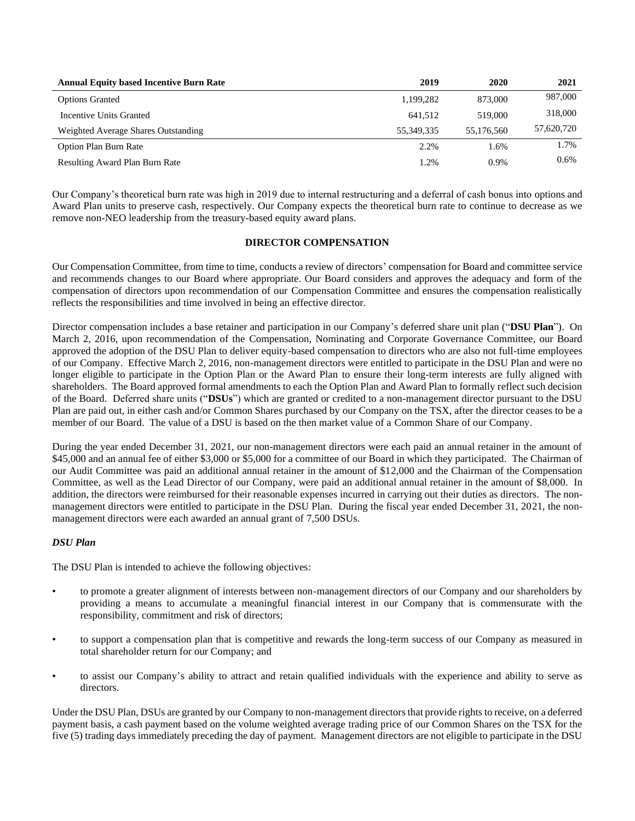| <b>Annual Equity based Incentive Burn Rate</b> | 2019       | 2020       | 2021       |
|------------------------------------------------|------------|------------|------------|
| <b>Options Granted</b>                         | 1,199,282  | 873,000    | 987,000    |
| Incentive Units Granted                        | 641.512    | 519,000    | 318,000    |
| Weighted Average Shares Outstanding            | 55.349.335 | 55,176,560 | 57,620,720 |
| <b>Option Plan Burn Rate</b>                   | 2.2%       | 1.6%       | 1.7%       |
| <b>Resulting Award Plan Burn Rate</b>          | 1.2%       | $0.9\%$    | 0.6%       |

Our Company's theoretical burn rate was high in 2019 due to internal restructuring and a deferral of cash bonus into options and Award Plan units to preserve cash, respectively. Our Company expects the theoretical burn rate to continue to decrease as we remove non-NEO leadership from the treasury-based equity award plans.

## **DIRECTOR COMPENSATION**

Our Compensation Committee, from time to time, conducts a review of directors' compensation for Board and committee service and recommends changes to our Board where appropriate. Our Board considers and approves the adequacy and form of the compensation of directors upon recommendation of our Compensation Committee and ensures the compensation realistically reflects the responsibilities and time involved in being an effective director.

Director compensation includes a base retainer and participation in our Company's deferred share unit plan ("**DSU Plan**"). On March 2, 2016, upon recommendation of the Compensation, Nominating and Corporate Governance Committee, our Board approved the adoption of the DSU Plan to deliver equity-based compensation to directors who are also not full-time employees of our Company. Effective March 2, 2016, non-management directors were entitled to participate in the DSU Plan and were no longer eligible to participate in the Option Plan or the Award Plan to ensure their long-term interests are fully aligned with shareholders. The Board approved formal amendments to each the Option Plan and Award Plan to formally reflect such decision of the Board. Deferred share units ("**DSUs**") which are granted or credited to a non-management director pursuant to the DSU Plan are paid out, in either cash and/or Common Shares purchased by our Company on the TSX, after the director ceases to be a member of our Board. The value of a DSU is based on the then market value of a Common Share of our Company.

During the year ended December 31, 2021, our non-management directors were each paid an annual retainer in the amount of \$45,000 and an annual fee of either \$3,000 or \$5,000 for a committee of our Board in which they participated. The Chairman of our Audit Committee was paid an additional annual retainer in the amount of \$12,000 and the Chairman of the Compensation Committee, as well as the Lead Director of our Company, were paid an additional annual retainer in the amount of \$8,000. In addition, the directors were reimbursed for their reasonable expenses incurred in carrying out their duties as directors. The nonmanagement directors were entitled to participate in the DSU Plan. During the fiscal year ended December 31, 2021, the nonmanagement directors were each awarded an annual grant of 7,500 DSUs.

### *DSU Plan*

The DSU Plan is intended to achieve the following objectives:

- to promote a greater alignment of interests between non-management directors of our Company and our shareholders by providing a means to accumulate a meaningful financial interest in our Company that is commensurate with the responsibility, commitment and risk of directors;
- to support a compensation plan that is competitive and rewards the long-term success of our Company as measured in total shareholder return for our Company; and
- to assist our Company's ability to attract and retain qualified individuals with the experience and ability to serve as directors.

Under the DSU Plan, DSUs are granted by our Company to non-management directors that provide rights to receive, on a deferred payment basis, a cash payment based on the volume weighted average trading price of our Common Shares on the TSX for the five (5) trading days immediately preceding the day of payment. Management directors are not eligible to participate in the DSU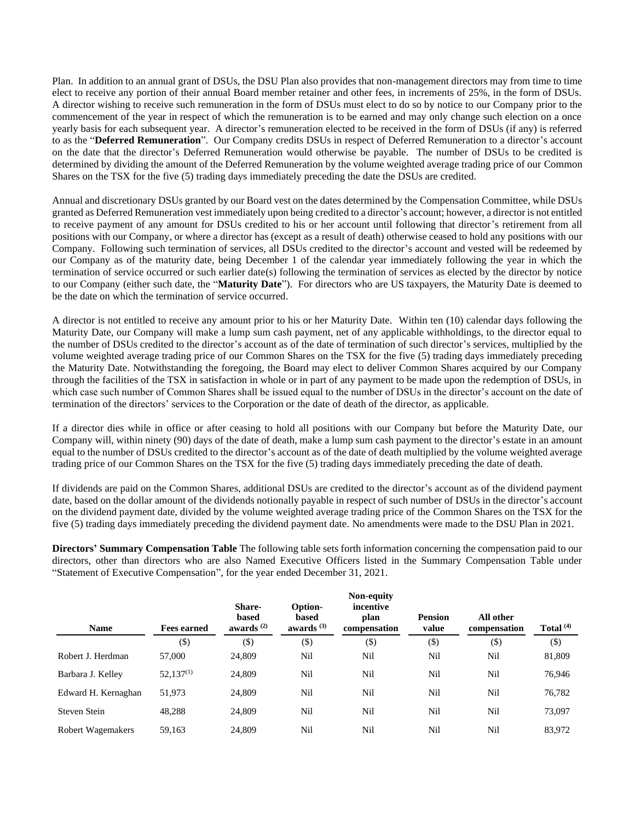Plan. In addition to an annual grant of DSUs, the DSU Plan also provides that non-management directors may from time to time elect to receive any portion of their annual Board member retainer and other fees, in increments of 25%, in the form of DSUs. A director wishing to receive such remuneration in the form of DSUs must elect to do so by notice to our Company prior to the commencement of the year in respect of which the remuneration is to be earned and may only change such election on a once yearly basis for each subsequent year. A director's remuneration elected to be received in the form of DSUs (if any) is referred to as the "**Deferred Remuneration**". Our Company credits DSUs in respect of Deferred Remuneration to a director's account on the date that the director's Deferred Remuneration would otherwise be payable. The number of DSUs to be credited is determined by dividing the amount of the Deferred Remuneration by the volume weighted average trading price of our Common Shares on the TSX for the five (5) trading days immediately preceding the date the DSUs are credited.

Annual and discretionary DSUs granted by our Board vest on the dates determined by the Compensation Committee, while DSUs granted as Deferred Remuneration vest immediately upon being credited to a director's account; however, a director is not entitled to receive payment of any amount for DSUs credited to his or her account until following that director's retirement from all positions with our Company, or where a director has (except as a result of death) otherwise ceased to hold any positions with our Company. Following such termination of services, all DSUs credited to the director's account and vested will be redeemed by our Company as of the maturity date, being December 1 of the calendar year immediately following the year in which the termination of service occurred or such earlier date(s) following the termination of services as elected by the director by notice to our Company (either such date, the "**Maturity Date**"). For directors who are US taxpayers, the Maturity Date is deemed to be the date on which the termination of service occurred.

A director is not entitled to receive any amount prior to his or her Maturity Date. Within ten (10) calendar days following the Maturity Date, our Company will make a lump sum cash payment, net of any applicable withholdings, to the director equal to the number of DSUs credited to the director's account as of the date of termination of such director's services, multiplied by the volume weighted average trading price of our Common Shares on the TSX for the five (5) trading days immediately preceding the Maturity Date. Notwithstanding the foregoing, the Board may elect to deliver Common Shares acquired by our Company through the facilities of the TSX in satisfaction in whole or in part of any payment to be made upon the redemption of DSUs, in which case such number of Common Shares shall be issued equal to the number of DSUs in the director's account on the date of termination of the directors' services to the Corporation or the date of death of the director, as applicable.

If a director dies while in office or after ceasing to hold all positions with our Company but before the Maturity Date, our Company will, within ninety (90) days of the date of death, make a lump sum cash payment to the director's estate in an amount equal to the number of DSUs credited to the director's account as of the date of death multiplied by the volume weighted average trading price of our Common Shares on the TSX for the five (5) trading days immediately preceding the date of death.

If dividends are paid on the Common Shares, additional DSUs are credited to the director's account as of the dividend payment date, based on the dollar amount of the dividends notionally payable in respect of such number of DSUs in the director's account on the dividend payment date, divided by the volume weighted average trading price of the Common Shares on the TSX for the five (5) trading days immediately preceding the dividend payment date. No amendments were made to the DSU Plan in 2021.

**Directors' Summary Compensation Table** The following table sets forth information concerning the compensation paid to our directors, other than directors who are also Named Executive Officers listed in the Summary Compensation Table under "Statement of Executive Compensation", for the year ended December 31, 2021.

| <b>Name</b>              | <b>Fees earned</b> | <b>Share-</b><br>based<br>awards $(2)$ | Option-<br>based<br>awards $(3)$ | <b>Non-equity</b><br>incentive<br>plan<br>compensation | <b>Pension</b><br>value | All other<br>compensation | Total $(4)$ |
|--------------------------|--------------------|----------------------------------------|----------------------------------|--------------------------------------------------------|-------------------------|---------------------------|-------------|
|                          | $(\$)$             | $($ \$)                                | $(\$)$                           | $(\$)$                                                 | $(\$)$                  | $(\$)$                    | $(\$)$      |
| Robert J. Herdman        | 57,000             | 24,809                                 | Nil                              | Nil                                                    | Nil                     | Nil                       | 81,809      |
| Barbara J. Kelley        | $52,137^{(1)}$     | 24,809                                 | Nil                              | Nil                                                    | Nil                     | Nil                       | 76,946      |
| Edward H. Kernaghan      | 51,973             | 24,809                                 | Nil                              | Nil                                                    | Nil                     | Nil                       | 76,782      |
| Steven Stein             | 48,288             | 24,809                                 | Nil                              | Nil                                                    | Nil                     | Nil                       | 73,097      |
| <b>Robert Wagemakers</b> | 59.163             | 24.809                                 | Nil                              | Nil                                                    | Nil                     | Nil                       | 83,972      |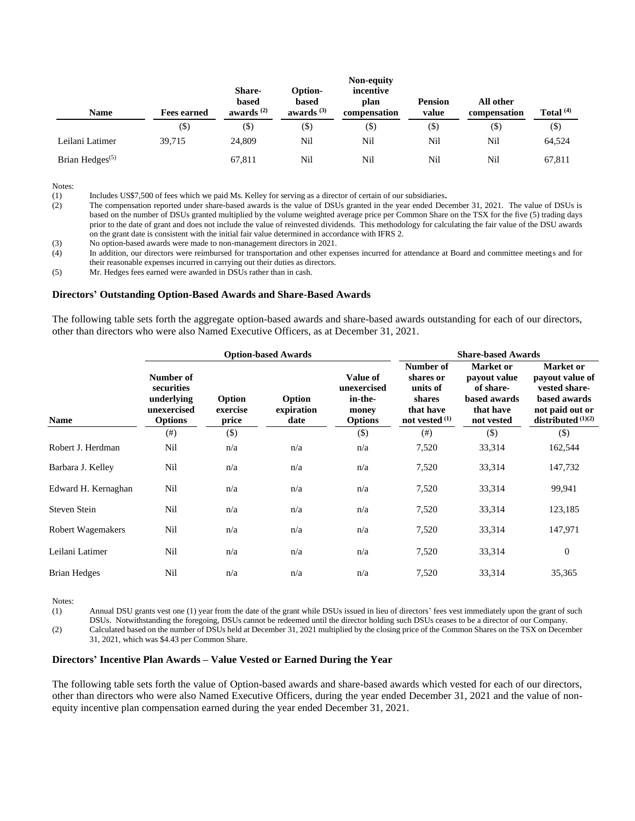| Name               | <b>Fees earned</b> | Share-<br>based<br>awards $(2)$ | Option-<br>based<br>awards $(3)$ | Non-equity<br>incentive<br>plan<br>compensation | <b>Pension</b><br>value | All other<br>compensation | Total $(4)$ |
|--------------------|--------------------|---------------------------------|----------------------------------|-------------------------------------------------|-------------------------|---------------------------|-------------|
|                    | $(\$\)$            | (\$)                            | $(\$)$                           | (\$)                                            | (\$)                    | (\$)                      | $(\$)$      |
| Leilani Latimer    | 39.715             | 24,809                          | Nil                              | Nil                                             | Nil                     | Nil                       | 64,524      |
| Brian Hedges $(5)$ |                    | 67,811                          | Nil                              | Nil                                             | Nil                     | Nil                       | 67,811      |

(1) Includes US\$7,500 of fees which we paid Ms. Kelley for serving as a director of certain of our subsidiaries**.**

(2) The compensation reported under share-based awards is the value of DSUs granted in the year ended December 31, 2021. The value of DSUs is based on the number of DSUs granted multiplied by the volume weighted average price per Common Share on the TSX for the five (5) trading days prior to the date of grant and does not include the value of reinvested dividends. This methodology for calculating the fair value of the DSU awards on the grant date is consistent with the initial fair value determined in accordance with IFRS 2.

(3) No option-based awards were made to non-management directors in 2021.

(4) In addition, our directors were reimbursed for transportation and other expenses incurred for attendance at Board and committee meetings and for their reasonable expenses incurred in carrying out their duties as directors.

(5) Mr. Hedges fees earned were awarded in DSUs rather than in cash.

#### **Directors' Outstanding Option-Based Awards and Share-Based Awards**

The following table sets forth the aggregate option-based awards and share-based awards outstanding for each of our directors, other than directors who were also Named Executive Officers, as at December 31, 2021.

|                          | <b>Option-based Awards</b>                                             |                             |                              |                                                               | <b>Share-based Awards</b>                                                     |                                                                                   |                                                                                                          |
|--------------------------|------------------------------------------------------------------------|-----------------------------|------------------------------|---------------------------------------------------------------|-------------------------------------------------------------------------------|-----------------------------------------------------------------------------------|----------------------------------------------------------------------------------------------------------|
| <b>Name</b>              | Number of<br>securities<br>underlying<br>unexercised<br><b>Options</b> | Option<br>exercise<br>price | Option<br>expiration<br>date | Value of<br>unexercised<br>in-the-<br>money<br><b>Options</b> | Number of<br>shares or<br>units of<br>shares<br>that have<br>not vested $(1)$ | Market or<br>payout value<br>of share-<br>based awards<br>that have<br>not vested | Market or<br>payout value of<br>vested share-<br>based awards<br>not paid out or<br>distributed $(1)(2)$ |
|                          | (# )                                                                   | $(\$)$                      |                              | $(\$)$                                                        | $(\#)$                                                                        | $($)$                                                                             | $(\$)$                                                                                                   |
| Robert J. Herdman        | Nil                                                                    | n/a                         | n/a                          | n/a                                                           | 7,520                                                                         | 33,314                                                                            | 162,544                                                                                                  |
| Barbara J. Kelley        | Nil                                                                    | n/a                         | n/a                          | n/a                                                           | 7,520                                                                         | 33,314                                                                            | 147,732                                                                                                  |
| Edward H. Kernaghan      | Nil                                                                    | n/a                         | n/a                          | n/a                                                           | 7,520                                                                         | 33,314                                                                            | 99,941                                                                                                   |
| Steven Stein             | Nil                                                                    | n/a                         | n/a                          | n/a                                                           | 7,520                                                                         | 33,314                                                                            | 123,185                                                                                                  |
| <b>Robert Wagemakers</b> | Nil                                                                    | n/a                         | n/a                          | n/a                                                           | 7,520                                                                         | 33,314                                                                            | 147,971                                                                                                  |
| Leilani Latimer          | Nil                                                                    | n/a                         | n/a                          | n/a                                                           | 7,520                                                                         | 33,314                                                                            | $\mathbf{0}$                                                                                             |
| <b>Brian Hedges</b>      | Nil                                                                    | n/a                         | n/a                          | n/a                                                           | 7,520                                                                         | 33,314                                                                            | 35,365                                                                                                   |

Notes:

(1) Annual DSU grants vest one (1) year from the date of the grant while DSUs issued in lieu of directors' fees vest immediately upon the grant of such DSUs. Notwithstanding the foregoing, DSUs cannot be redeemed until the director holding such DSUs ceases to be a director of our Company. (2) Calculated based on the number of DSUs held at December 31, 2021 multiplied by the closing price of the Common Shares on the TSX on December

31, 2021, which was \$4.43 per Common Share.

#### **Directors' Incentive Plan Awards – Value Vested or Earned During the Year**

The following table sets forth the value of Option-based awards and share-based awards which vested for each of our directors, other than directors who were also Named Executive Officers, during the year ended December 31, 2021 and the value of nonequity incentive plan compensation earned during the year ended December 31, 2021.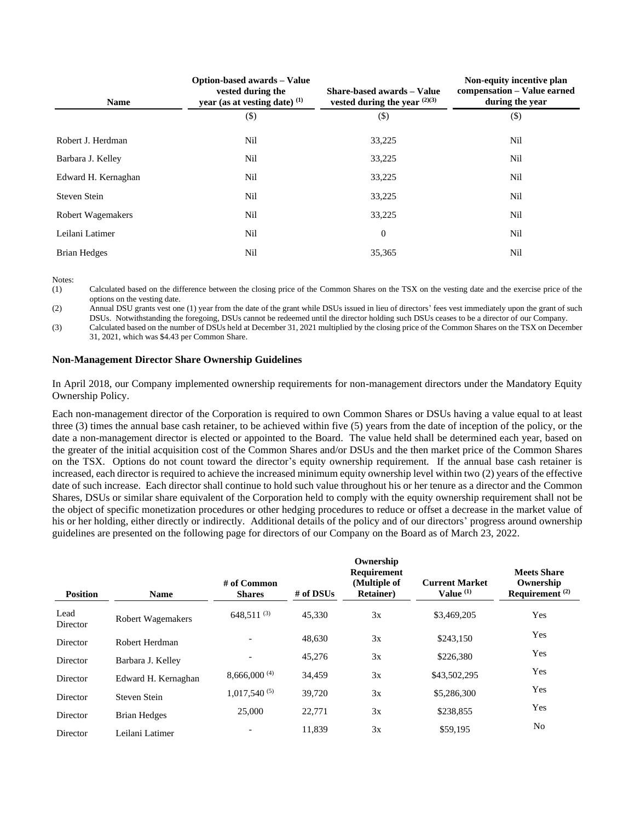| <b>Name</b>              | Option-based awards - Value<br>vested during the<br>year (as at vesting date) (1) | Share-based awards - Value<br>vested during the year $(2)(3)$ | Non-equity incentive plan<br>compensation – Value earned<br>during the year |
|--------------------------|-----------------------------------------------------------------------------------|---------------------------------------------------------------|-----------------------------------------------------------------------------|
|                          | $($ \$)                                                                           | $(\$)$                                                        | $(\$)$                                                                      |
| Robert J. Herdman        | Nil                                                                               | 33,225                                                        | Nil                                                                         |
| Barbara J. Kelley        | Nil                                                                               | 33,225                                                        | Nil                                                                         |
| Edward H. Kernaghan      | Nil                                                                               | 33,225                                                        | Nil                                                                         |
| Steven Stein             | Nil                                                                               | 33,225                                                        | Nil                                                                         |
| <b>Robert Wagemakers</b> | Nil                                                                               | 33,225                                                        | Nil                                                                         |
| Leilani Latimer          | Nil                                                                               | $\boldsymbol{0}$                                              | Nil                                                                         |
| Brian Hedges             | Nil                                                                               | 35,365                                                        | Nil                                                                         |

(1) Calculated based on the difference between the closing price of the Common Shares on the TSX on the vesting date and the exercise price of the options on the vesting date.

(2) Annual DSU grants vest one (1) year from the date of the grant while DSUs issued in lieu of directors' fees vest immediately upon the grant of such DSUs. Notwithstanding the foregoing, DSUs cannot be redeemed until the director holding such DSUs ceases to be a director of our Company.

(3) Calculated based on the number of DSUs held at December 31, 2021 multiplied by the closing price of the Common Shares on the TSX on December 31, 2021, which was \$4.43 per Common Share.

## **Non-Management Director Share Ownership Guidelines**

In April 2018, our Company implemented ownership requirements for non-management directors under the Mandatory Equity Ownership Policy.

Each non-management director of the Corporation is required to own Common Shares or DSUs having a value equal to at least three (3) times the annual base cash retainer, to be achieved within five (5) years from the date of inception of the policy, or the date a non-management director is elected or appointed to the Board. The value held shall be determined each year, based on the greater of the initial acquisition cost of the Common Shares and/or DSUs and the then market price of the Common Shares on the TSX. Options do not count toward the director's equity ownership requirement. If the annual base cash retainer is increased, each director is required to achieve the increased minimum equity ownership level within two (2) years of the effective date of such increase. Each director shall continue to hold such value throughout his or her tenure as a director and the Common Shares, DSUs or similar share equivalent of the Corporation held to comply with the equity ownership requirement shall not be the object of specific monetization procedures or other hedging procedures to reduce or offset a decrease in the market value of his or her holding, either directly or indirectly. Additional details of the policy and of our directors' progress around ownership guidelines are presented on the following page for directors of our Company on the Board as of March 23, 2022.

| <b>Position</b>  | <b>Name</b>              | $#$ of Common<br><b>Shares</b> | # of $DSUs$ | Ownership<br>Requirement<br>(Multiple of<br><b>Retainer</b> ) | <b>Current Market</b><br>Value (1) | <b>Meets Share</b><br>Ownership<br>Requirement $(2)$ |
|------------------|--------------------------|--------------------------------|-------------|---------------------------------------------------------------|------------------------------------|------------------------------------------------------|
| Lead<br>Director | <b>Robert Wagemakers</b> | $648,511^{(3)}$                | 45.330      | 3x                                                            | \$3,469,205                        | Yes                                                  |
| Director         | Robert Herdman           |                                | 48.630      | 3x                                                            | \$243,150                          | Yes                                                  |
| Director         | Barbara J. Kelley        |                                | 45,276      | 3x                                                            | \$226,380                          | Yes                                                  |
| Director         | Edward H. Kernaghan      | 8,666,000(4)                   | 34,459      | 3x                                                            | \$43,502,295                       | Yes                                                  |
| Director         | Steven Stein             | $1,017,540^{(5)}$              | 39.720      | 3x                                                            | \$5,286,300                        | Yes                                                  |
| Director         | <b>Brian Hedges</b>      | 25,000                         | 22,771      | 3x                                                            | \$238,855                          | Yes                                                  |
| Director         | Leilani Latimer          |                                | 11,839      | 3x                                                            | \$59,195                           | N <sub>o</sub>                                       |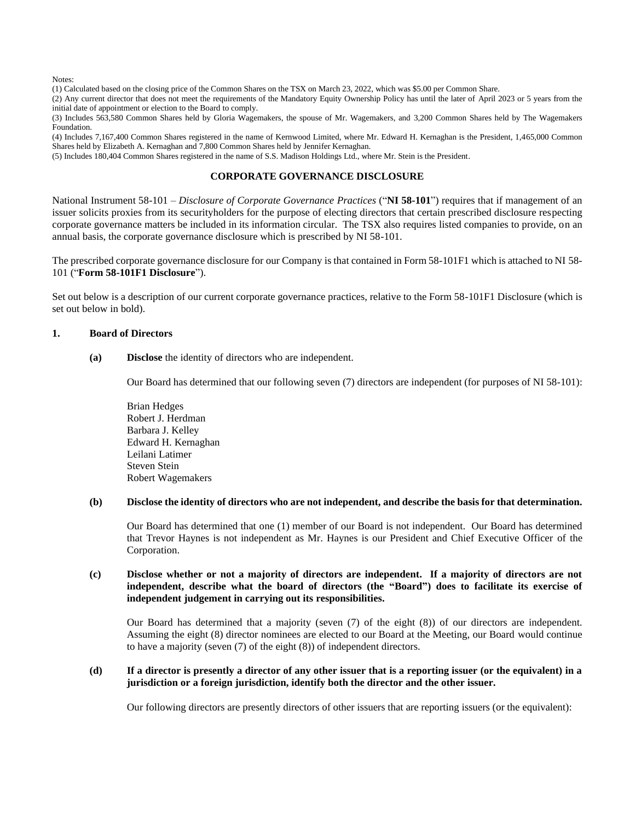(1) Calculated based on the closing price of the Common Shares on the TSX on March 23, 2022, which was \$5.00 per Common Share.

(2) Any current director that does not meet the requirements of the Mandatory Equity Ownership Policy has until the later of April 2023 or 5 years from the initial date of appointment or election to the Board to comply.

(3) Includes 563,580 Common Shares held by Gloria Wagemakers, the spouse of Mr. Wagemakers, and 3,200 Common Shares held by The Wagemakers Foundation.

(4) Includes 7,167,400 Common Shares registered in the name of Kernwood Limited, where Mr. Edward H. Kernaghan is the President, 1,465,000 Common Shares held by Elizabeth A. Kernaghan and 7,800 Common Shares held by Jennifer Kernaghan.

(5) Includes 180,404 Common Shares registered in the name of S.S. Madison Holdings Ltd., where Mr. Stein is the President.

## **CORPORATE GOVERNANCE DISCLOSURE**

National Instrument 58-101 – *Disclosure of Corporate Governance Practices* ("**NI 58-101**") requires that if management of an issuer solicits proxies from its securityholders for the purpose of electing directors that certain prescribed disclosure respecting corporate governance matters be included in its information circular. The TSX also requires listed companies to provide, on an annual basis, the corporate governance disclosure which is prescribed by NI 58-101.

The prescribed corporate governance disclosure for our Company is that contained in Form 58-101F1 which is attached to NI 58- 101 ("**Form 58-101F1 Disclosure**").

Set out below is a description of our current corporate governance practices, relative to the Form 58-101F1 Disclosure (which is set out below in bold).

### **1. Board of Directors**

**(a) Disclose** the identity of directors who are independent.

Our Board has determined that our following seven (7) directors are independent (for purposes of NI 58-101):

Brian Hedges Robert J. Herdman Barbara J. Kelley Edward H. Kernaghan Leilani Latimer Steven Stein Robert Wagemakers

### **(b) Disclose the identity of directors who are not independent, and describe the basis for that determination.**

Our Board has determined that one (1) member of our Board is not independent. Our Board has determined that Trevor Haynes is not independent as Mr. Haynes is our President and Chief Executive Officer of the Corporation.

## **(c) Disclose whether or not a majority of directors are independent. If a majority of directors are not independent, describe what the board of directors (the "Board") does to facilitate its exercise of independent judgement in carrying out its responsibilities.**

Our Board has determined that a majority (seven (7) of the eight (8)) of our directors are independent. Assuming the eight (8) director nominees are elected to our Board at the Meeting, our Board would continue to have a majority (seven (7) of the eight (8)) of independent directors.

### **(d) If a director is presently a director of any other issuer that is a reporting issuer (or the equivalent) in a jurisdiction or a foreign jurisdiction, identify both the director and the other issuer.**

Our following directors are presently directors of other issuers that are reporting issuers (or the equivalent):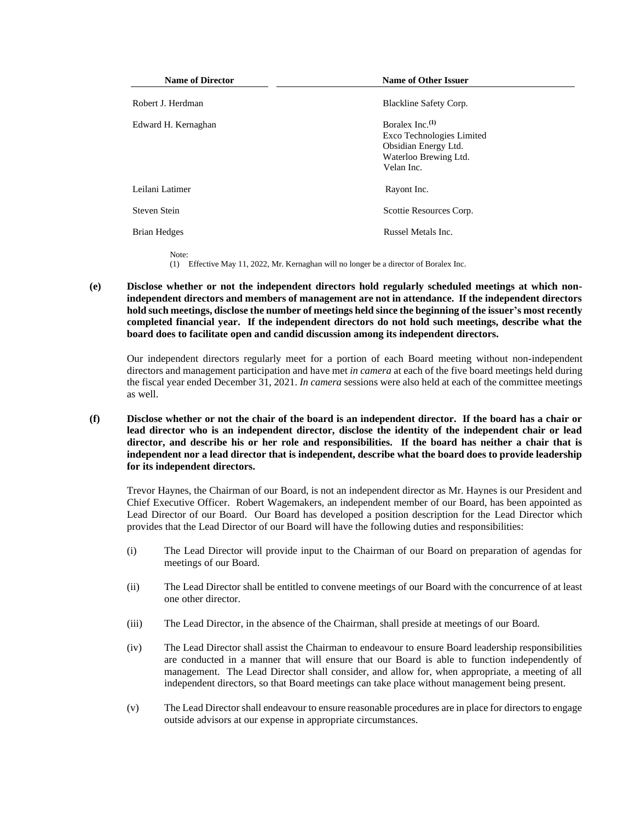| <b>Name of Director</b> | <b>Name of Other Issuer</b>                                                                                    |
|-------------------------|----------------------------------------------------------------------------------------------------------------|
| Robert J. Herdman       | Blackline Safety Corp.                                                                                         |
| Edward H. Kernaghan     | Boralex Inc. $(1)$<br>Exco Technologies Limited<br>Obsidian Energy Ltd.<br>Waterloo Brewing Ltd.<br>Velan Inc. |
| Leilani Latimer         | Rayont Inc.                                                                                                    |
| Steven Stein            | Scottie Resources Corp.                                                                                        |
| <b>Brian Hedges</b>     | Russel Metals Inc.                                                                                             |
| Note:                   |                                                                                                                |

(1) Effective May 11, 2022, Mr. Kernaghan will no longer be a director of Boralex Inc.

**(e) Disclose whether or not the independent directors hold regularly scheduled meetings at which nonindependent directors and members of management are not in attendance. If the independent directors hold such meetings, disclose the number of meetings held since the beginning of the issuer's most recently completed financial year. If the independent directors do not hold such meetings, describe what the board does to facilitate open and candid discussion among its independent directors.**

Our independent directors regularly meet for a portion of each Board meeting without non-independent directors and management participation and have met *in camera* at each of the five board meetings held during the fiscal year ended December 31, 2021. *In camera* sessions were also held at each of the committee meetings as well.

**(f) Disclose whether or not the chair of the board is an independent director. If the board has a chair or lead director who is an independent director, disclose the identity of the independent chair or lead director, and describe his or her role and responsibilities. If the board has neither a chair that is independent nor a lead director that is independent, describe what the board does to provide leadership for its independent directors.**

Trevor Haynes, the Chairman of our Board, is not an independent director as Mr. Haynes is our President and Chief Executive Officer. Robert Wagemakers, an independent member of our Board, has been appointed as Lead Director of our Board. Our Board has developed a position description for the Lead Director which provides that the Lead Director of our Board will have the following duties and responsibilities:

- (i) The Lead Director will provide input to the Chairman of our Board on preparation of agendas for meetings of our Board.
- (ii) The Lead Director shall be entitled to convene meetings of our Board with the concurrence of at least one other director.
- (iii) The Lead Director, in the absence of the Chairman, shall preside at meetings of our Board.
- (iv) The Lead Director shall assist the Chairman to endeavour to ensure Board leadership responsibilities are conducted in a manner that will ensure that our Board is able to function independently of management. The Lead Director shall consider, and allow for, when appropriate, a meeting of all independent directors, so that Board meetings can take place without management being present.
- (v) The Lead Director shall endeavour to ensure reasonable procedures are in place for directors to engage outside advisors at our expense in appropriate circumstances.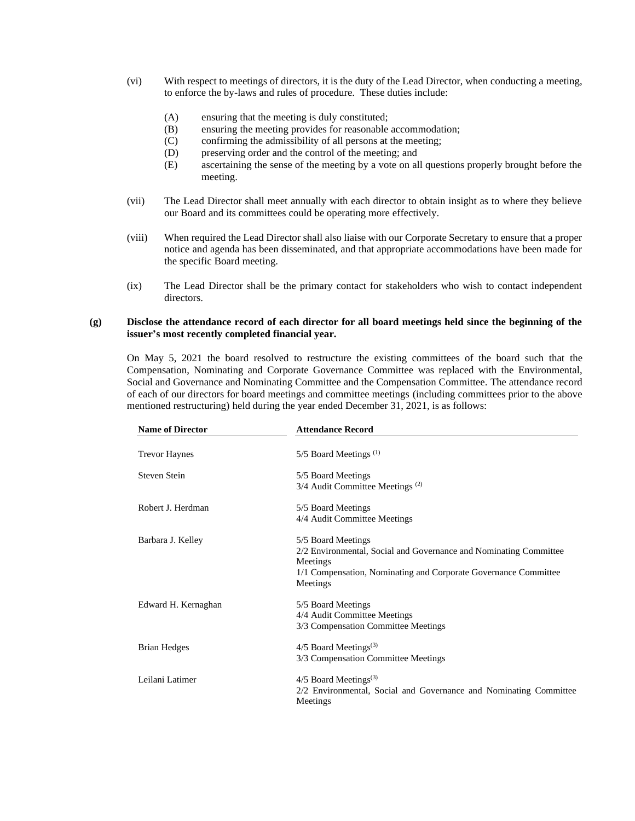- (vi) With respect to meetings of directors, it is the duty of the Lead Director, when conducting a meeting, to enforce the by-laws and rules of procedure. These duties include:
	- (A) ensuring that the meeting is duly constituted;
	- (B) ensuring the meeting provides for reasonable accommodation;
	- (C) confirming the admissibility of all persons at the meeting;
	- (D) preserving order and the control of the meeting; and
	- (E) ascertaining the sense of the meeting by a vote on all questions properly brought before the meeting.
- (vii) The Lead Director shall meet annually with each director to obtain insight as to where they believe our Board and its committees could be operating more effectively.
- (viii) When required the Lead Director shall also liaise with our Corporate Secretary to ensure that a proper notice and agenda has been disseminated, and that appropriate accommodations have been made for the specific Board meeting.
- (ix) The Lead Director shall be the primary contact for stakeholders who wish to contact independent directors.

## **(g) Disclose the attendance record of each director for all board meetings held since the beginning of the issuer's most recently completed financial year.**

On May 5, 2021 the board resolved to restructure the existing committees of the board such that the Compensation, Nominating and Corporate Governance Committee was replaced with the Environmental, Social and Governance and Nominating Committee and the Compensation Committee. The attendance record of each of our directors for board meetings and committee meetings (including committees prior to the above mentioned restructuring) held during the year ended December 31, 2021, is as follows:

| <b>Name of Director</b> | <b>Attendance Record</b>                                          |
|-------------------------|-------------------------------------------------------------------|
| <b>Trevor Haynes</b>    | $5/5$ Board Meetings <sup>(1)</sup>                               |
| Steven Stein            | 5/5 Board Meetings                                                |
|                         | 3/4 Audit Committee Meetings <sup>(2)</sup>                       |
| Robert J. Herdman       | 5/5 Board Meetings                                                |
|                         | 4/4 Audit Committee Meetings                                      |
| Barbara J. Kelley       | 5/5 Board Meetings                                                |
|                         | 2/2 Environmental, Social and Governance and Nominating Committee |
|                         | Meetings                                                          |
|                         | 1/1 Compensation, Nominating and Corporate Governance Committee   |
|                         | Meetings                                                          |
| Edward H. Kernaghan     | 5/5 Board Meetings                                                |
|                         | 4/4 Audit Committee Meetings                                      |
|                         | 3/3 Compensation Committee Meetings                               |
| <b>Brian Hedges</b>     | $4/5$ Board Meetings <sup>(3)</sup>                               |
|                         | 3/3 Compensation Committee Meetings                               |
| Leilani Latimer         | $4/5$ Board Meetings <sup>(3)</sup>                               |
|                         | 2/2 Environmental, Social and Governance and Nominating Committee |
|                         | Meetings                                                          |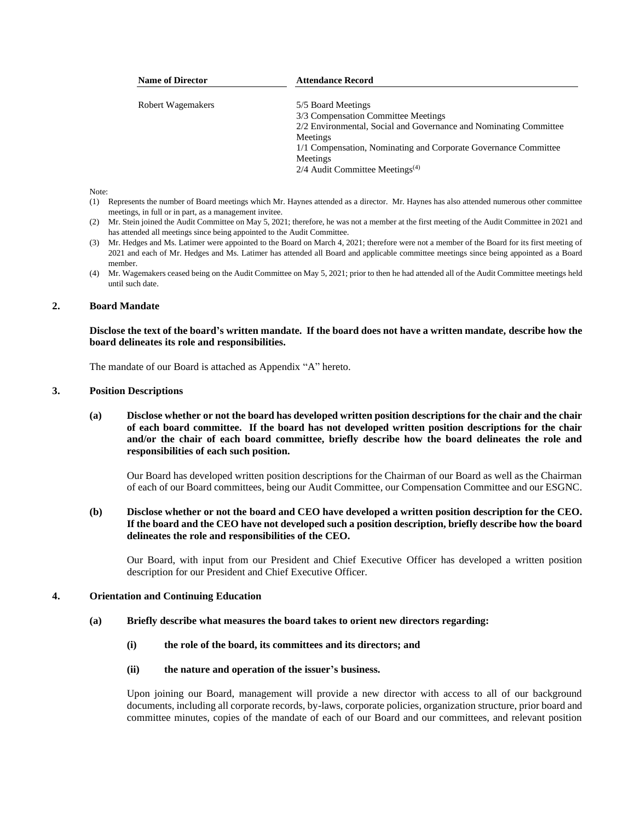| <b>Name of Director</b> | <b>Attendance Record</b>                                          |
|-------------------------|-------------------------------------------------------------------|
| Robert Wagemakers       | 5/5 Board Meetings                                                |
|                         | 3/3 Compensation Committee Meetings                               |
|                         | 2/2 Environmental, Social and Governance and Nominating Committee |
|                         | Meetings                                                          |
|                         | 1/1 Compensation, Nominating and Corporate Governance Committee   |
|                         | Meetings                                                          |
|                         | $2/4$ Audit Committee Meetings <sup>(4)</sup>                     |

- (1) Represents the number of Board meetings which Mr. Haynes attended as a director. Mr. Haynes has also attended numerous other committee meetings, in full or in part, as a management invitee.
- (2) Mr. Stein joined the Audit Committee on May 5, 2021; therefore, he was not a member at the first meeting of the Audit Committee in 2021 and has attended all meetings since being appointed to the Audit Committee.
- (3) Mr. Hedges and Ms. Latimer were appointed to the Board on March 4, 2021; therefore were not a member of the Board for its first meeting of 2021 and each of Mr. Hedges and Ms. Latimer has attended all Board and applicable committee meetings since being appointed as a Board member.
- (4) Mr. Wagemakers ceased being on the Audit Committee on May 5, 2021; prior to then he had attended all of the Audit Committee meetings held until such date.

### **2. Board Mandate**

**Disclose the text of the board's written mandate. If the board does not have a written mandate, describe how the board delineates its role and responsibilities.**

The mandate of our Board is attached as Appendix "A" hereto.

#### **3. Position Descriptions**

**(a) Disclose whether or not the board has developed written position descriptions for the chair and the chair of each board committee. If the board has not developed written position descriptions for the chair and/or the chair of each board committee, briefly describe how the board delineates the role and responsibilities of each such position.**

Our Board has developed written position descriptions for the Chairman of our Board as well as the Chairman of each of our Board committees, being our Audit Committee, our Compensation Committee and our ESGNC.

**(b) Disclose whether or not the board and CEO have developed a written position description for the CEO. If the board and the CEO have not developed such a position description, briefly describe how the board delineates the role and responsibilities of the CEO.**

Our Board, with input from our President and Chief Executive Officer has developed a written position description for our President and Chief Executive Officer.

#### **4. Orientation and Continuing Education**

#### **(a) Briefly describe what measures the board takes to orient new directors regarding:**

- **(i) the role of the board, its committees and its directors; and**
- **(ii) the nature and operation of the issuer's business.**

Upon joining our Board, management will provide a new director with access to all of our background documents, including all corporate records, by-laws, corporate policies, organization structure, prior board and committee minutes, copies of the mandate of each of our Board and our committees, and relevant position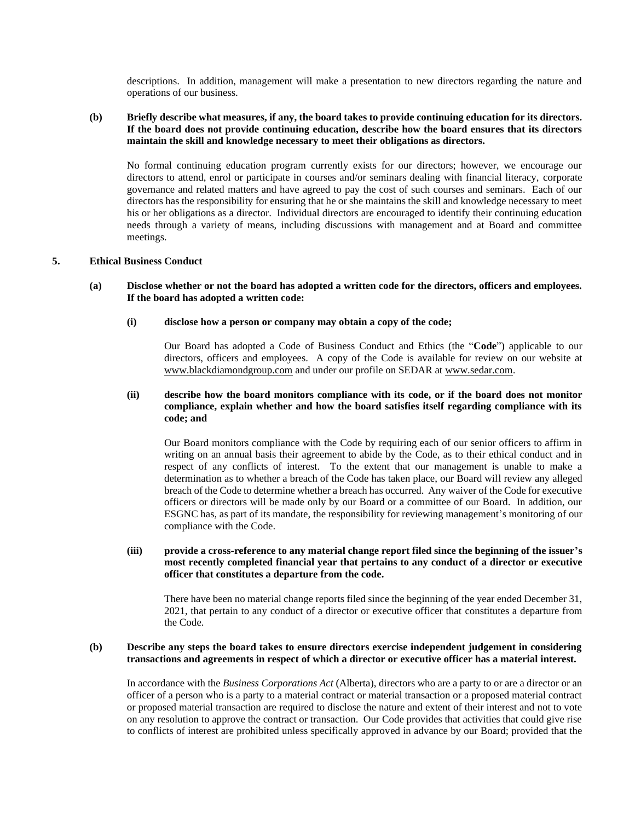descriptions. In addition, management will make a presentation to new directors regarding the nature and operations of our business.

## **(b) Briefly describe what measures, if any, the board takes to provide continuing education for its directors. If the board does not provide continuing education, describe how the board ensures that its directors maintain the skill and knowledge necessary to meet their obligations as directors.**

No formal continuing education program currently exists for our directors; however, we encourage our directors to attend, enrol or participate in courses and/or seminars dealing with financial literacy, corporate governance and related matters and have agreed to pay the cost of such courses and seminars. Each of our directors has the responsibility for ensuring that he or she maintains the skill and knowledge necessary to meet his or her obligations as a director. Individual directors are encouraged to identify their continuing education needs through a variety of means, including discussions with management and at Board and committee meetings.

## **5. Ethical Business Conduct**

## **(a) Disclose whether or not the board has adopted a written code for the directors, officers and employees. If the board has adopted a written code:**

### **(i) disclose how a person or company may obtain a copy of the code;**

Our Board has adopted a Code of Business Conduct and Ethics (the "**Code**") applicable to our directors, officers and employees. A copy of the Code is available for review on our website at www.blackdiamondgroup.com and under our profile on SEDAR at www.sedar.com.

## **(ii) describe how the board monitors compliance with its code, or if the board does not monitor compliance, explain whether and how the board satisfies itself regarding compliance with its code; and**

Our Board monitors compliance with the Code by requiring each of our senior officers to affirm in writing on an annual basis their agreement to abide by the Code, as to their ethical conduct and in respect of any conflicts of interest. To the extent that our management is unable to make a determination as to whether a breach of the Code has taken place, our Board will review any alleged breach of the Code to determine whether a breach has occurred. Any waiver of the Code for executive officers or directors will be made only by our Board or a committee of our Board. In addition, our ESGNC has, as part of its mandate, the responsibility for reviewing management's monitoring of our compliance with the Code.

## **(iii) provide a cross-reference to any material change report filed since the beginning of the issuer's most recently completed financial year that pertains to any conduct of a director or executive officer that constitutes a departure from the code.**

There have been no material change reports filed since the beginning of the year ended December 31, 2021, that pertain to any conduct of a director or executive officer that constitutes a departure from the Code.

### **(b) Describe any steps the board takes to ensure directors exercise independent judgement in considering transactions and agreements in respect of which a director or executive officer has a material interest.**

In accordance with the *Business Corporations Act* (Alberta), directors who are a party to or are a director or an officer of a person who is a party to a material contract or material transaction or a proposed material contract or proposed material transaction are required to disclose the nature and extent of their interest and not to vote on any resolution to approve the contract or transaction. Our Code provides that activities that could give rise to conflicts of interest are prohibited unless specifically approved in advance by our Board; provided that the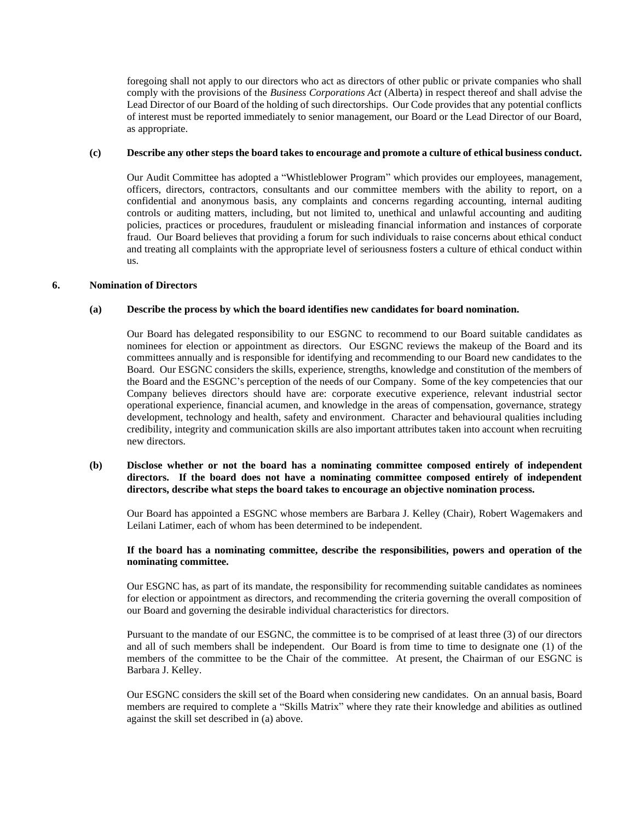foregoing shall not apply to our directors who act as directors of other public or private companies who shall comply with the provisions of the *Business Corporations Act* (Alberta) in respect thereof and shall advise the Lead Director of our Board of the holding of such directorships. Our Code provides that any potential conflicts of interest must be reported immediately to senior management, our Board or the Lead Director of our Board, as appropriate.

### **(c) Describe any other steps the board takes to encourage and promote a culture of ethical business conduct.**

Our Audit Committee has adopted a "Whistleblower Program" which provides our employees, management, officers, directors, contractors, consultants and our committee members with the ability to report, on a confidential and anonymous basis, any complaints and concerns regarding accounting, internal auditing controls or auditing matters, including, but not limited to, unethical and unlawful accounting and auditing policies, practices or procedures, fraudulent or misleading financial information and instances of corporate fraud. Our Board believes that providing a forum for such individuals to raise concerns about ethical conduct and treating all complaints with the appropriate level of seriousness fosters a culture of ethical conduct within us.

## **6. Nomination of Directors**

### **(a) Describe the process by which the board identifies new candidates for board nomination.**

Our Board has delegated responsibility to our ESGNC to recommend to our Board suitable candidates as nominees for election or appointment as directors. Our ESGNC reviews the makeup of the Board and its committees annually and is responsible for identifying and recommending to our Board new candidates to the Board. Our ESGNC considers the skills, experience, strengths, knowledge and constitution of the members of the Board and the ESGNC's perception of the needs of our Company. Some of the key competencies that our Company believes directors should have are: corporate executive experience, relevant industrial sector operational experience, financial acumen, and knowledge in the areas of compensation, governance, strategy development, technology and health, safety and environment. Character and behavioural qualities including credibility, integrity and communication skills are also important attributes taken into account when recruiting new directors.

## **(b) Disclose whether or not the board has a nominating committee composed entirely of independent directors. If the board does not have a nominating committee composed entirely of independent directors, describe what steps the board takes to encourage an objective nomination process.**

Our Board has appointed a ESGNC whose members are Barbara J. Kelley (Chair), Robert Wagemakers and Leilani Latimer, each of whom has been determined to be independent.

## **If the board has a nominating committee, describe the responsibilities, powers and operation of the nominating committee.**

Our ESGNC has, as part of its mandate, the responsibility for recommending suitable candidates as nominees for election or appointment as directors, and recommending the criteria governing the overall composition of our Board and governing the desirable individual characteristics for directors.

Pursuant to the mandate of our ESGNC, the committee is to be comprised of at least three (3) of our directors and all of such members shall be independent. Our Board is from time to time to designate one (1) of the members of the committee to be the Chair of the committee. At present, the Chairman of our ESGNC is Barbara J. Kelley.

Our ESGNC considers the skill set of the Board when considering new candidates. On an annual basis, Board members are required to complete a "Skills Matrix" where they rate their knowledge and abilities as outlined against the skill set described in (a) above.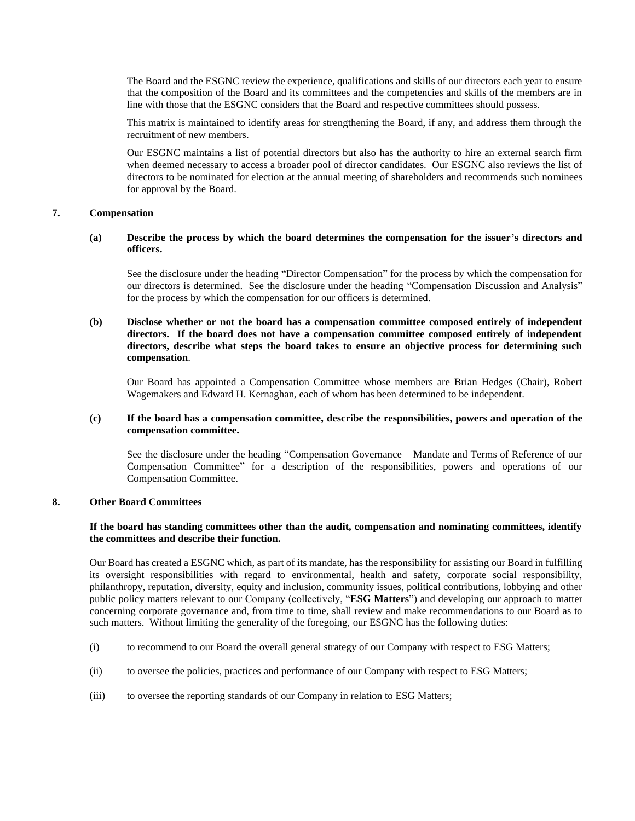The Board and the ESGNC review the experience, qualifications and skills of our directors each year to ensure that the composition of the Board and its committees and the competencies and skills of the members are in line with those that the ESGNC considers that the Board and respective committees should possess.

This matrix is maintained to identify areas for strengthening the Board, if any, and address them through the recruitment of new members.

Our ESGNC maintains a list of potential directors but also has the authority to hire an external search firm when deemed necessary to access a broader pool of director candidates. Our ESGNC also reviews the list of directors to be nominated for election at the annual meeting of shareholders and recommends such nominees for approval by the Board.

### **7. Compensation**

## **(a) Describe the process by which the board determines the compensation for the issuer's directors and officers.**

See the disclosure under the heading "Director Compensation" for the process by which the compensation for our directors is determined. See the disclosure under the heading "Compensation Discussion and Analysis" for the process by which the compensation for our officers is determined.

## **(b) Disclose whether or not the board has a compensation committee composed entirely of independent directors. If the board does not have a compensation committee composed entirely of independent directors, describe what steps the board takes to ensure an objective process for determining such compensation**.

Our Board has appointed a Compensation Committee whose members are Brian Hedges (Chair), Robert Wagemakers and Edward H. Kernaghan, each of whom has been determined to be independent.

## **(c) If the board has a compensation committee, describe the responsibilities, powers and operation of the compensation committee.**

See the disclosure under the heading "Compensation Governance – Mandate and Terms of Reference of our Compensation Committee" for a description of the responsibilities, powers and operations of our Compensation Committee.

## **8. Other Board Committees**

## **If the board has standing committees other than the audit, compensation and nominating committees, identify the committees and describe their function.**

Our Board has created a ESGNC which, as part of its mandate, has the responsibility for assisting our Board in fulfilling its oversight responsibilities with regard to environmental, health and safety, corporate social responsibility, philanthropy, reputation, diversity, equity and inclusion, community issues, political contributions, lobbying and other public policy matters relevant to our Company (collectively, "**ESG Matters**") and developing our approach to matter concerning corporate governance and, from time to time, shall review and make recommendations to our Board as to such matters. Without limiting the generality of the foregoing, our ESGNC has the following duties:

- (i) to recommend to our Board the overall general strategy of our Company with respect to ESG Matters;
- (ii) to oversee the policies, practices and performance of our Company with respect to ESG Matters;
- (iii) to oversee the reporting standards of our Company in relation to ESG Matters;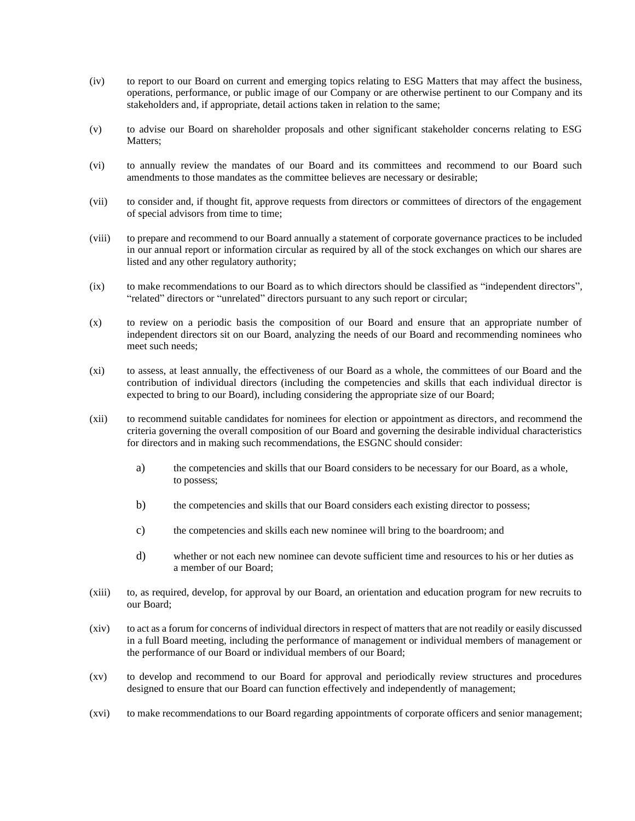- (iv) to report to our Board on current and emerging topics relating to ESG Matters that may affect the business, operations, performance, or public image of our Company or are otherwise pertinent to our Company and its stakeholders and, if appropriate, detail actions taken in relation to the same;
- (v) to advise our Board on shareholder proposals and other significant stakeholder concerns relating to ESG Matters:
- (vi) to annually review the mandates of our Board and its committees and recommend to our Board such amendments to those mandates as the committee believes are necessary or desirable;
- (vii) to consider and, if thought fit, approve requests from directors or committees of directors of the engagement of special advisors from time to time;
- (viii) to prepare and recommend to our Board annually a statement of corporate governance practices to be included in our annual report or information circular as required by all of the stock exchanges on which our shares are listed and any other regulatory authority;
- (ix) to make recommendations to our Board as to which directors should be classified as "independent directors", "related" directors or "unrelated" directors pursuant to any such report or circular;
- (x) to review on a periodic basis the composition of our Board and ensure that an appropriate number of independent directors sit on our Board, analyzing the needs of our Board and recommending nominees who meet such needs;
- (xi) to assess, at least annually, the effectiveness of our Board as a whole, the committees of our Board and the contribution of individual directors (including the competencies and skills that each individual director is expected to bring to our Board), including considering the appropriate size of our Board;
- (xii) to recommend suitable candidates for nominees for election or appointment as directors, and recommend the criteria governing the overall composition of our Board and governing the desirable individual characteristics for directors and in making such recommendations, the ESGNC should consider:
	- a) the competencies and skills that our Board considers to be necessary for our Board, as a whole, to possess;
	- b) the competencies and skills that our Board considers each existing director to possess;
	- c) the competencies and skills each new nominee will bring to the boardroom; and
	- d) whether or not each new nominee can devote sufficient time and resources to his or her duties as a member of our Board;
- (xiii) to, as required, develop, for approval by our Board, an orientation and education program for new recruits to our Board;
- (xiv) to act as a forum for concerns of individual directors in respect of matters that are not readily or easily discussed in a full Board meeting, including the performance of management or individual members of management or the performance of our Board or individual members of our Board;
- (xv) to develop and recommend to our Board for approval and periodically review structures and procedures designed to ensure that our Board can function effectively and independently of management;
- (xvi) to make recommendations to our Board regarding appointments of corporate officers and senior management;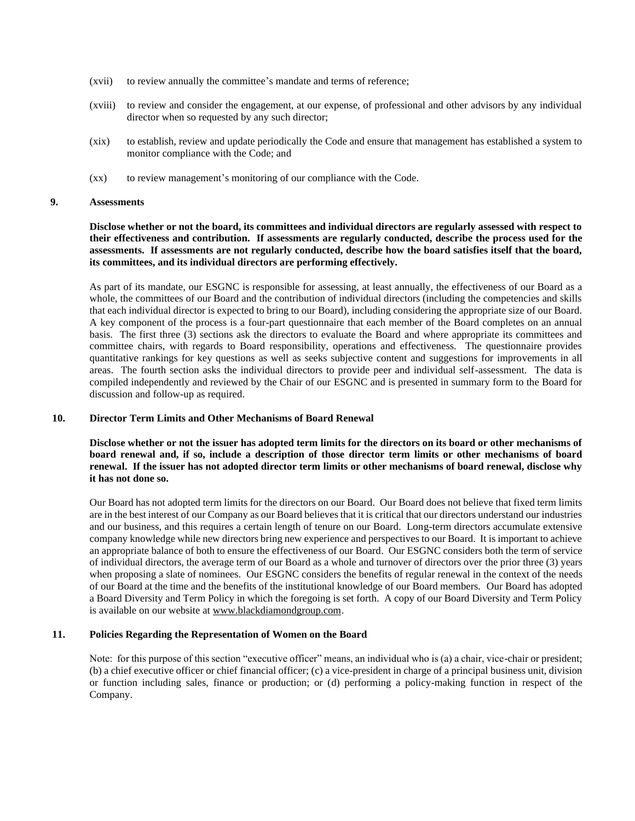- (xvii) to review annually the committee's mandate and terms of reference;
- (xviii) to review and consider the engagement, at our expense, of professional and other advisors by any individual director when so requested by any such director;
- (xix) to establish, review and update periodically the Code and ensure that management has established a system to monitor compliance with the Code; and
- (xx) to review management's monitoring of our compliance with the Code.

#### **9. Assessments**

**Disclose whether or not the board, its committees and individual directors are regularly assessed with respect to their effectiveness and contribution. If assessments are regularly conducted, describe the process used for the assessments. If assessments are not regularly conducted, describe how the board satisfies itself that the board, its committees, and its individual directors are performing effectively.**

As part of its mandate, our ESGNC is responsible for assessing, at least annually, the effectiveness of our Board as a whole, the committees of our Board and the contribution of individual directors (including the competencies and skills that each individual director is expected to bring to our Board), including considering the appropriate size of our Board. A key component of the process is a four-part questionnaire that each member of the Board completes on an annual basis. The first three (3) sections ask the directors to evaluate the Board and where appropriate its committees and committee chairs, with regards to Board responsibility, operations and effectiveness. The questionnaire provides quantitative rankings for key questions as well as seeks subjective content and suggestions for improvements in all areas. The fourth section asks the individual directors to provide peer and individual self-assessment. The data is compiled independently and reviewed by the Chair of our ESGNC and is presented in summary form to the Board for discussion and follow-up as required.

### **10. Director Term Limits and Other Mechanisms of Board Renewal**

**Disclose whether or not the issuer has adopted term limits for the directors on its board or other mechanisms of board renewal and, if so, include a description of those director term limits or other mechanisms of board renewal. If the issuer has not adopted director term limits or other mechanisms of board renewal, disclose why it has not done so.**

Our Board has not adopted term limits for the directors on our Board. Our Board does not believe that fixed term limits are in the best interest of our Company as our Board believes that it is critical that our directors understand our industries and our business, and this requires a certain length of tenure on our Board. Long-term directors accumulate extensive company knowledge while new directors bring new experience and perspectives to our Board. It is important to achieve an appropriate balance of both to ensure the effectiveness of our Board. Our ESGNC considers both the term of service of individual directors, the average term of our Board as a whole and turnover of directors over the prior three (3) years when proposing a slate of nominees. Our ESGNC considers the benefits of regular renewal in the context of the needs of our Board at the time and the benefits of the institutional knowledge of our Board members. Our Board has adopted a Board Diversity and Term Policy in which the foregoing is set forth. A copy of our Board Diversity and Term Policy is available on our website at www.blackdiamondgroup.com.

### **11. Policies Regarding the Representation of Women on the Board**

Note: for this purpose of this section "executive officer" means, an individual who is (a) a chair, vice-chair or president; (b) a chief executive officer or chief financial officer; (c) a vice-president in charge of a principal business unit, division or function including sales, finance or production; or (d) performing a policy-making function in respect of the Company.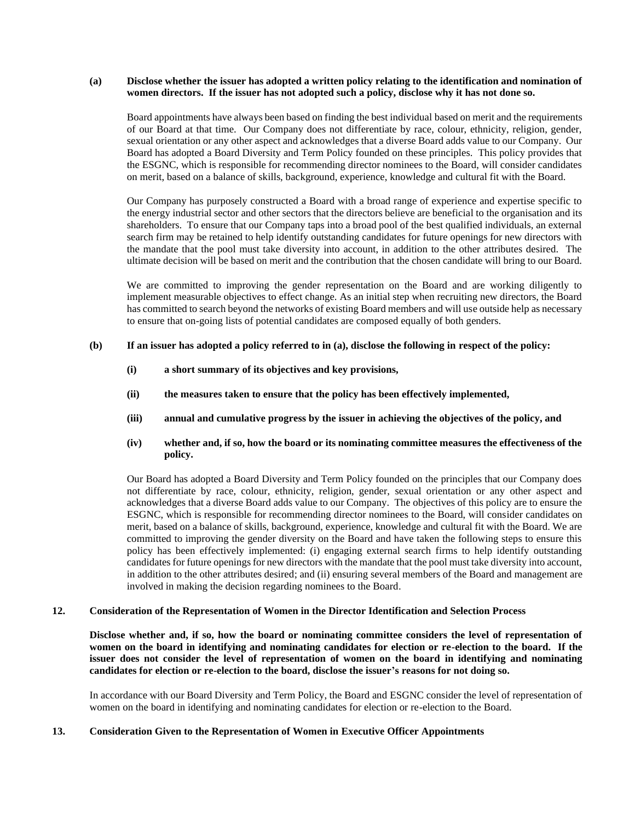### **(a) Disclose whether the issuer has adopted a written policy relating to the identification and nomination of women directors. If the issuer has not adopted such a policy, disclose why it has not done so.**

Board appointments have always been based on finding the best individual based on merit and the requirements of our Board at that time. Our Company does not differentiate by race, colour, ethnicity, religion, gender, sexual orientation or any other aspect and acknowledges that a diverse Board adds value to our Company. Our Board has adopted a Board Diversity and Term Policy founded on these principles. This policy provides that the ESGNC, which is responsible for recommending director nominees to the Board, will consider candidates on merit, based on a balance of skills, background, experience, knowledge and cultural fit with the Board.

Our Company has purposely constructed a Board with a broad range of experience and expertise specific to the energy industrial sector and other sectors that the directors believe are beneficial to the organisation and its shareholders. To ensure that our Company taps into a broad pool of the best qualified individuals, an external search firm may be retained to help identify outstanding candidates for future openings for new directors with the mandate that the pool must take diversity into account, in addition to the other attributes desired. The ultimate decision will be based on merit and the contribution that the chosen candidate will bring to our Board.

We are committed to improving the gender representation on the Board and are working diligently to implement measurable objectives to effect change. As an initial step when recruiting new directors, the Board has committed to search beyond the networks of existing Board members and will use outside help as necessary to ensure that on-going lists of potential candidates are composed equally of both genders.

### **(b) If an issuer has adopted a policy referred to in (a), disclose the following in respect of the policy:**

- **(i) a short summary of its objectives and key provisions,**
- **(ii) the measures taken to ensure that the policy has been effectively implemented,**
- **(iii) annual and cumulative progress by the issuer in achieving the objectives of the policy, and**
- **(iv) whether and, if so, how the board or its nominating committee measures the effectiveness of the policy.**

Our Board has adopted a Board Diversity and Term Policy founded on the principles that our Company does not differentiate by race, colour, ethnicity, religion, gender, sexual orientation or any other aspect and acknowledges that a diverse Board adds value to our Company. The objectives of this policy are to ensure the ESGNC, which is responsible for recommending director nominees to the Board, will consider candidates on merit, based on a balance of skills, background, experience, knowledge and cultural fit with the Board. We are committed to improving the gender diversity on the Board and have taken the following steps to ensure this policy has been effectively implemented: (i) engaging external search firms to help identify outstanding candidates for future openings for new directors with the mandate that the pool must take diversity into account, in addition to the other attributes desired; and (ii) ensuring several members of the Board and management are involved in making the decision regarding nominees to the Board.

## **12. Consideration of the Representation of Women in the Director Identification and Selection Process**

**Disclose whether and, if so, how the board or nominating committee considers the level of representation of women on the board in identifying and nominating candidates for election or re-election to the board. If the issuer does not consider the level of representation of women on the board in identifying and nominating candidates for election or re-election to the board, disclose the issuer's reasons for not doing so.**

In accordance with our Board Diversity and Term Policy, the Board and ESGNC consider the level of representation of women on the board in identifying and nominating candidates for election or re-election to the Board.

### **13. Consideration Given to the Representation of Women in Executive Officer Appointments**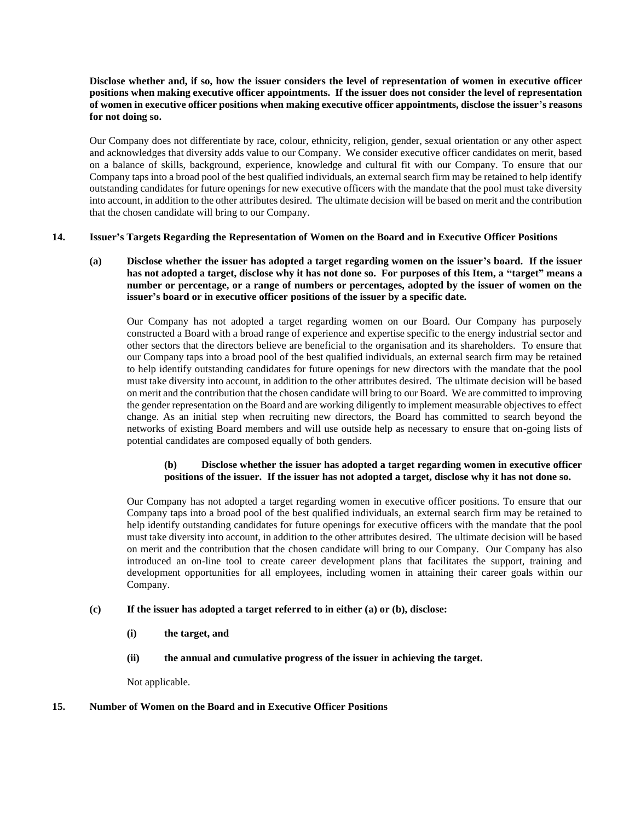## **Disclose whether and, if so, how the issuer considers the level of representation of women in executive officer positions when making executive officer appointments. If the issuer does not consider the level of representation of women in executive officer positions when making executive officer appointments, disclose the issuer's reasons for not doing so.**

Our Company does not differentiate by race, colour, ethnicity, religion, gender, sexual orientation or any other aspect and acknowledges that diversity adds value to our Company. We consider executive officer candidates on merit, based on a balance of skills, background, experience, knowledge and cultural fit with our Company. To ensure that our Company taps into a broad pool of the best qualified individuals, an external search firm may be retained to help identify outstanding candidates for future openings for new executive officers with the mandate that the pool must take diversity into account, in addition to the other attributes desired. The ultimate decision will be based on merit and the contribution that the chosen candidate will bring to our Company.

## **14. Issuer's Targets Regarding the Representation of Women on the Board and in Executive Officer Positions**

**(a) Disclose whether the issuer has adopted a target regarding women on the issuer's board. If the issuer has not adopted a target, disclose why it has not done so. For purposes of this Item, a "target" means a number or percentage, or a range of numbers or percentages, adopted by the issuer of women on the issuer's board or in executive officer positions of the issuer by a specific date.**

Our Company has not adopted a target regarding women on our Board. Our Company has purposely constructed a Board with a broad range of experience and expertise specific to the energy industrial sector and other sectors that the directors believe are beneficial to the organisation and its shareholders. To ensure that our Company taps into a broad pool of the best qualified individuals, an external search firm may be retained to help identify outstanding candidates for future openings for new directors with the mandate that the pool must take diversity into account, in addition to the other attributes desired. The ultimate decision will be based on merit and the contribution that the chosen candidate will bring to our Board. We are committed to improving the gender representation on the Board and are working diligently to implement measurable objectives to effect change. As an initial step when recruiting new directors, the Board has committed to search beyond the networks of existing Board members and will use outside help as necessary to ensure that on-going lists of potential candidates are composed equally of both genders.

## **(b) Disclose whether the issuer has adopted a target regarding women in executive officer positions of the issuer. If the issuer has not adopted a target, disclose why it has not done so.**

Our Company has not adopted a target regarding women in executive officer positions. To ensure that our Company taps into a broad pool of the best qualified individuals, an external search firm may be retained to help identify outstanding candidates for future openings for executive officers with the mandate that the pool must take diversity into account, in addition to the other attributes desired. The ultimate decision will be based on merit and the contribution that the chosen candidate will bring to our Company. Our Company has also introduced an on-line tool to create career development plans that facilitates the support, training and development opportunities for all employees, including women in attaining their career goals within our Company.

## **(c) If the issuer has adopted a target referred to in either (a) or (b), disclose:**

- **(i) the target, and**
- **(ii) the annual and cumulative progress of the issuer in achieving the target.**

Not applicable.

### **15. Number of Women on the Board and in Executive Officer Positions**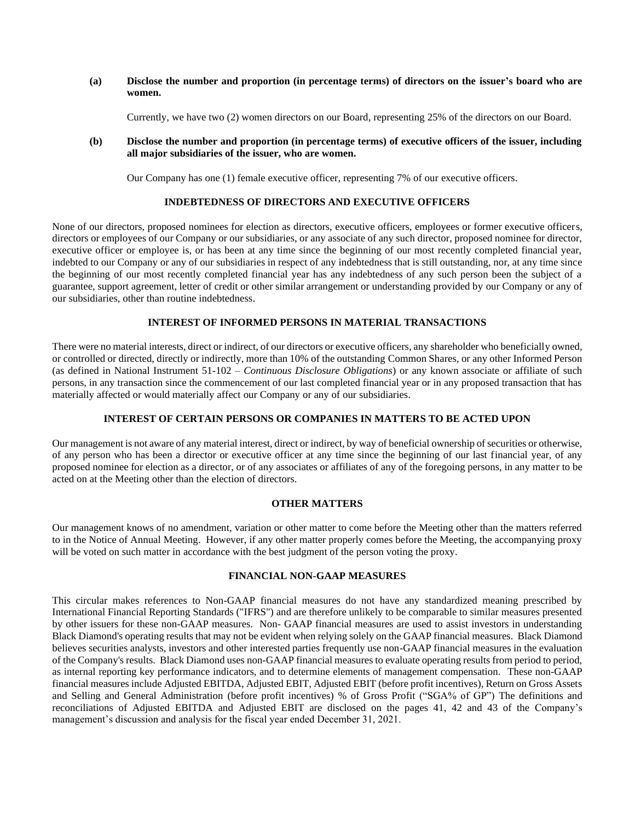### **(a) Disclose the number and proportion (in percentage terms) of directors on the issuer's board who are women.**

Currently, we have two (2) women directors on our Board, representing 25% of the directors on our Board.

## **(b) Disclose the number and proportion (in percentage terms) of executive officers of the issuer, including all major subsidiaries of the issuer, who are women.**

Our Company has one (1) female executive officer, representing 7% of our executive officers.

## **INDEBTEDNESS OF DIRECTORS AND EXECUTIVE OFFICERS**

None of our directors, proposed nominees for election as directors, executive officers, employees or former executive officers, directors or employees of our Company or our subsidiaries, or any associate of any such director, proposed nominee for director, executive officer or employee is, or has been at any time since the beginning of our most recently completed financial year, indebted to our Company or any of our subsidiaries in respect of any indebtedness that is still outstanding, nor, at any time since the beginning of our most recently completed financial year has any indebtedness of any such person been the subject of a guarantee, support agreement, letter of credit or other similar arrangement or understanding provided by our Company or any of our subsidiaries, other than routine indebtedness.

## **INTEREST OF INFORMED PERSONS IN MATERIAL TRANSACTIONS**

There were no material interests, direct or indirect, of our directors or executive officers, any shareholder who beneficially owned, or controlled or directed, directly or indirectly, more than 10% of the outstanding Common Shares, or any other Informed Person (as defined in National Instrument 51-102 – *Continuous Disclosure Obligations*) or any known associate or affiliate of such persons, in any transaction since the commencement of our last completed financial year or in any proposed transaction that has materially affected or would materially affect our Company or any of our subsidiaries.

## **INTEREST OF CERTAIN PERSONS OR COMPANIES IN MATTERS TO BE ACTED UPON**

Our management is not aware of any material interest, direct or indirect, by way of beneficial ownership of securities or otherwise, of any person who has been a director or executive officer at any time since the beginning of our last financial year, of any proposed nominee for election as a director, or of any associates or affiliates of any of the foregoing persons, in any matter to be acted on at the Meeting other than the election of directors.

## **OTHER MATTERS**

Our management knows of no amendment, variation or other matter to come before the Meeting other than the matters referred to in the Notice of Annual Meeting. However, if any other matter properly comes before the Meeting, the accompanying proxy will be voted on such matter in accordance with the best judgment of the person voting the proxy.

### **FINANCIAL NON-GAAP MEASURES**

This circular makes references to Non-GAAP financial measures do not have any standardized meaning prescribed by International Financial Reporting Standards ("IFRS") and are therefore unlikely to be comparable to similar measures presented by other issuers for these non-GAAP measures. Non- GAAP financial measures are used to assist investors in understanding Black Diamond's operating results that may not be evident when relying solely on the GAAP financial measures. Black Diamond believes securities analysts, investors and other interested parties frequently use non-GAAP financial measures in the evaluation of the Company's results. Black Diamond uses non-GAAP financial measures to evaluate operating results from period to period, as internal reporting key performance indicators, and to determine elements of management compensation. These non-GAAP financial measures include Adjusted EBITDA, Adjusted EBIT, Adjusted EBIT (before profit incentives), Return on Gross Assets and Selling and General Administration (before profit incentives) % of Gross Profit ("SGA% of GP") The definitions and reconciliations of Adjusted EBITDA and Adjusted EBIT are disclosed on the pages 41, 42 and 43 of the Company's management's discussion and analysis for the fiscal year ended December 31, 2021.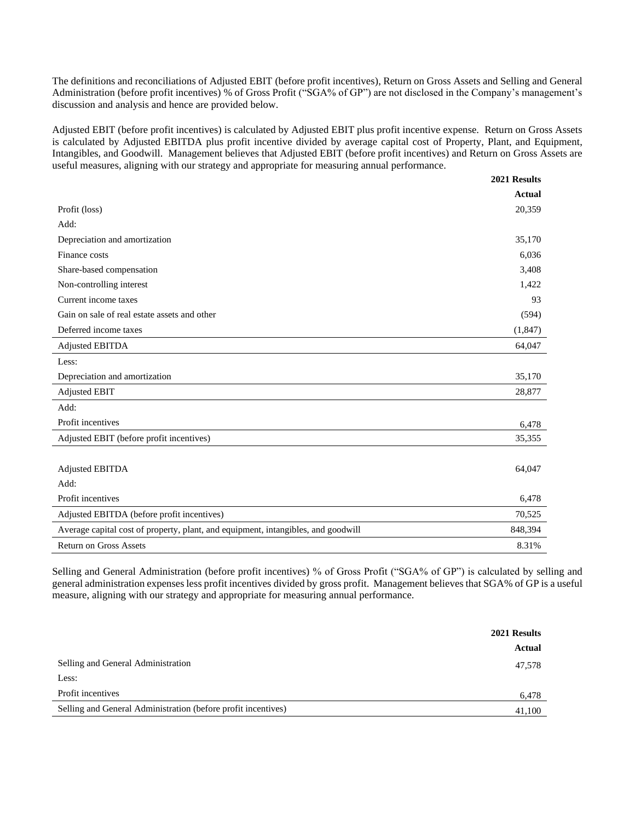The definitions and reconciliations of Adjusted EBIT (before profit incentives), Return on Gross Assets and Selling and General Administration (before profit incentives) % of Gross Profit ("SGA% of GP") are not disclosed in the Company's management's discussion and analysis and hence are provided below.

Adjusted EBIT (before profit incentives) is calculated by Adjusted EBIT plus profit incentive expense. Return on Gross Assets is calculated by Adjusted EBITDA plus profit incentive divided by average capital cost of Property, Plant, and Equipment, Intangibles, and Goodwill. Management believes that Adjusted EBIT (before profit incentives) and Return on Gross Assets are useful measures, aligning with our strategy and appropriate for measuring annual performance.

|                                                                                   | 2021 Results  |
|-----------------------------------------------------------------------------------|---------------|
|                                                                                   | <b>Actual</b> |
| Profit (loss)                                                                     | 20,359        |
| Add:                                                                              |               |
| Depreciation and amortization                                                     | 35,170        |
| Finance costs                                                                     | 6,036         |
| Share-based compensation                                                          | 3,408         |
| Non-controlling interest                                                          | 1,422         |
| Current income taxes                                                              | 93            |
| Gain on sale of real estate assets and other                                      | (594)         |
| Deferred income taxes                                                             | (1, 847)      |
| <b>Adjusted EBITDA</b>                                                            | 64,047        |
| Less:                                                                             |               |
| Depreciation and amortization                                                     | 35,170        |
| <b>Adjusted EBIT</b>                                                              | 28,877        |
| Add:                                                                              |               |
| Profit incentives                                                                 | 6,478         |
| Adjusted EBIT (before profit incentives)                                          | 35,355        |
|                                                                                   |               |
| <b>Adjusted EBITDA</b>                                                            | 64,047        |
| Add:                                                                              |               |
| Profit incentives                                                                 | 6,478         |
| Adjusted EBITDA (before profit incentives)                                        | 70,525        |
| Average capital cost of property, plant, and equipment, intangibles, and goodwill | 848,394       |
| <b>Return on Gross Assets</b>                                                     | 8.31%         |

Selling and General Administration (before profit incentives) % of Gross Profit ("SGA% of GP") is calculated by selling and general administration expenses less profit incentives divided by gross profit. Management believes that SGA% of GP is a useful measure, aligning with our strategy and appropriate for measuring annual performance.

|                                                               | 2021 Results |
|---------------------------------------------------------------|--------------|
|                                                               | Actual       |
| Selling and General Administration                            | 47,578       |
| Less:                                                         |              |
| Profit incentives                                             | 6,478        |
| Selling and General Administration (before profit incentives) | 41,100       |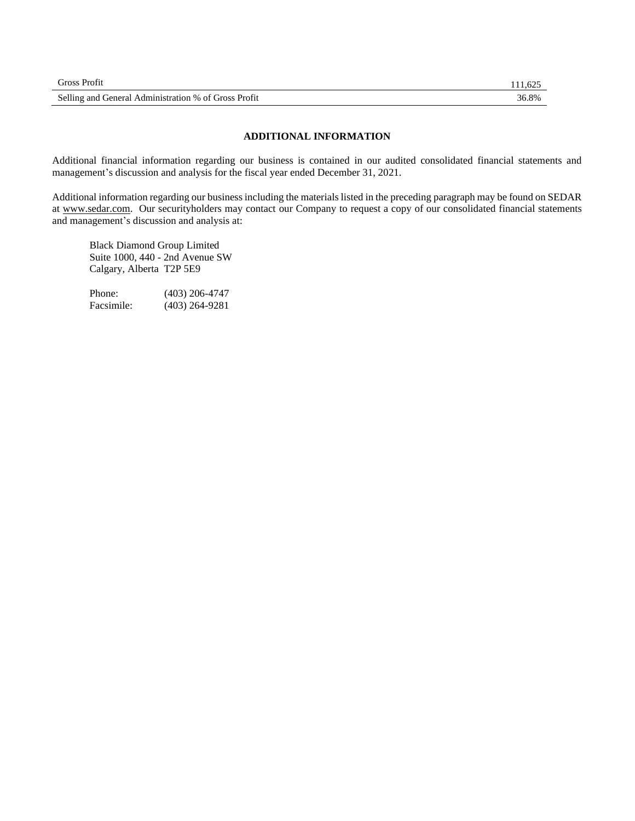| <b>Gross Profit</b>                                  |       |
|------------------------------------------------------|-------|
| Selling and General Administration % of Gross Profit | 36.8% |

## **ADDITIONAL INFORMATION**

Additional financial information regarding our business is contained in our audited consolidated financial statements and management's discussion and analysis for the fiscal year ended December 31, 2021.

Additional information regarding our business including the materials listed in the preceding paragraph may be found on SEDAR at www.sedar.com. Our securityholders may contact our Company to request a copy of our consolidated financial statements and management's discussion and analysis at:

Black Diamond Group Limited Suite 1000, 440 - 2nd Avenue SW Calgary, Alberta T2P 5E9

Phone: (403) 206-4747 Facsimile: (403) 264-9281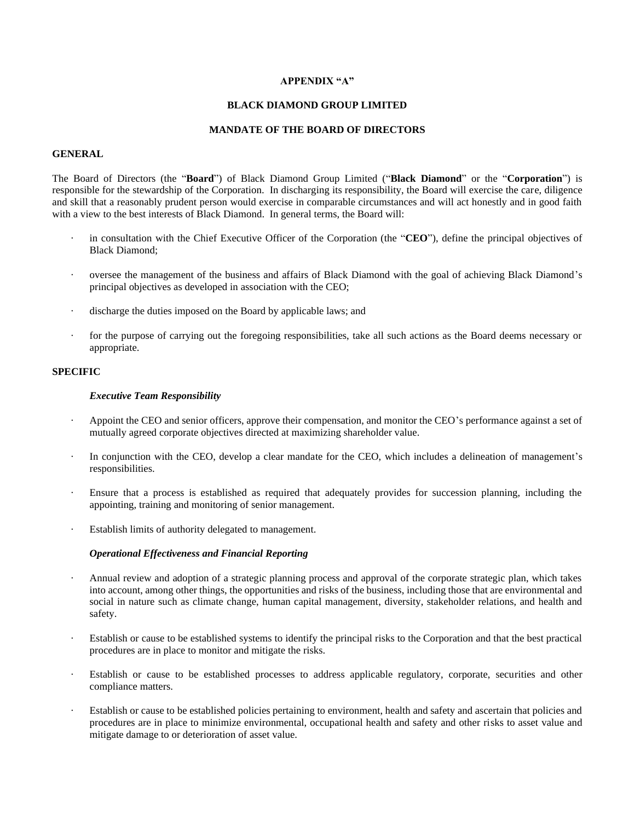### **APPENDIX "A"**

### **BLACK DIAMOND GROUP LIMITED**

#### **MANDATE OF THE BOARD OF DIRECTORS**

## **GENERAL**

The Board of Directors (the "**Board**") of Black Diamond Group Limited ("**Black Diamond**" or the "**Corporation**") is responsible for the stewardship of the Corporation. In discharging its responsibility, the Board will exercise the care, diligence and skill that a reasonably prudent person would exercise in comparable circumstances and will act honestly and in good faith with a view to the best interests of Black Diamond. In general terms, the Board will:

- in consultation with the Chief Executive Officer of the Corporation (the "CEO"), define the principal objectives of Black Diamond;
- · oversee the management of the business and affairs of Black Diamond with the goal of achieving Black Diamond's principal objectives as developed in association with the CEO;
- · discharge the duties imposed on the Board by applicable laws; and
- for the purpose of carrying out the foregoing responsibilities, take all such actions as the Board deems necessary or appropriate.

## **SPECIFIC**

#### *Executive Team Responsibility*

- Appoint the CEO and senior officers, approve their compensation, and monitor the CEO's performance against a set of mutually agreed corporate objectives directed at maximizing shareholder value.
- In conjunction with the CEO, develop a clear mandate for the CEO, which includes a delineation of management's responsibilities.
- Ensure that a process is established as required that adequately provides for succession planning, including the appointing, training and monitoring of senior management.
- Establish limits of authority delegated to management.

### *Operational Effectiveness and Financial Reporting*

- · Annual review and adoption of a strategic planning process and approval of the corporate strategic plan, which takes into account, among other things, the opportunities and risks of the business, including those that are environmental and social in nature such as climate change, human capital management, diversity, stakeholder relations, and health and safety.
- Establish or cause to be established systems to identify the principal risks to the Corporation and that the best practical procedures are in place to monitor and mitigate the risks.
- Establish or cause to be established processes to address applicable regulatory, corporate, securities and other compliance matters.
- Establish or cause to be established policies pertaining to environment, health and safety and ascertain that policies and procedures are in place to minimize environmental, occupational health and safety and other risks to asset value and mitigate damage to or deterioration of asset value.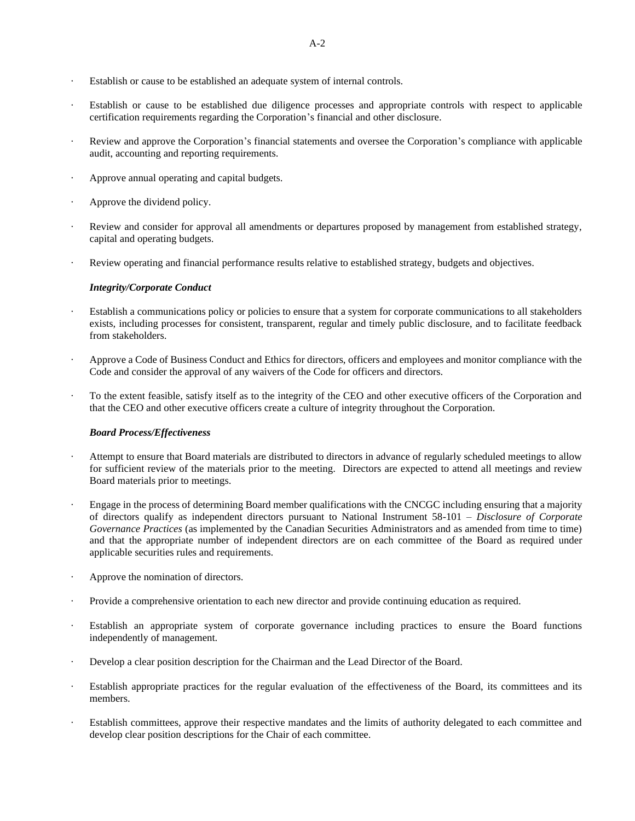- · Establish or cause to be established an adequate system of internal controls.
- Establish or cause to be established due diligence processes and appropriate controls with respect to applicable certification requirements regarding the Corporation's financial and other disclosure.
- Review and approve the Corporation's financial statements and oversee the Corporation's compliance with applicable audit, accounting and reporting requirements.
- Approve annual operating and capital budgets.
- Approve the dividend policy.
- Review and consider for approval all amendments or departures proposed by management from established strategy, capital and operating budgets.
- Review operating and financial performance results relative to established strategy, budgets and objectives.

### *Integrity/Corporate Conduct*

- Establish a communications policy or policies to ensure that a system for corporate communications to all stakeholders exists, including processes for consistent, transparent, regular and timely public disclosure, and to facilitate feedback from stakeholders.
- Approve a Code of Business Conduct and Ethics for directors, officers and employees and monitor compliance with the Code and consider the approval of any waivers of the Code for officers and directors.
- · To the extent feasible, satisfy itself as to the integrity of the CEO and other executive officers of the Corporation and that the CEO and other executive officers create a culture of integrity throughout the Corporation.

### *Board Process/Effectiveness*

- Attempt to ensure that Board materials are distributed to directors in advance of regularly scheduled meetings to allow for sufficient review of the materials prior to the meeting. Directors are expected to attend all meetings and review Board materials prior to meetings.
- · Engage in the process of determining Board member qualifications with the CNCGC including ensuring that a majority of directors qualify as independent directors pursuant to National Instrument 58-101 – *Disclosure of Corporate Governance Practices* (as implemented by the Canadian Securities Administrators and as amended from time to time) and that the appropriate number of independent directors are on each committee of the Board as required under applicable securities rules and requirements.
- Approve the nomination of directors.
- · Provide a comprehensive orientation to each new director and provide continuing education as required.
- Establish an appropriate system of corporate governance including practices to ensure the Board functions independently of management.
- Develop a clear position description for the Chairman and the Lead Director of the Board.
- Establish appropriate practices for the regular evaluation of the effectiveness of the Board, its committees and its members.
- Establish committees, approve their respective mandates and the limits of authority delegated to each committee and develop clear position descriptions for the Chair of each committee.